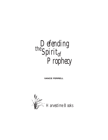# the Spirit<sub>of</sub> Prophecy

**VANCE FERRELL**

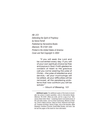*HB–372*

*Defending the Spirit of Prophecy by Vance Ferrell Published by Harvestime Books Altamont, TN 37301 USA Printed in the United States of America Cover and Text Copyright © 2004*

> "If you will seek the Lord and be converted every day: if you will of your own spiritual choice be free and joyous in God: if with gladsome consent of heart to His gracious call you come wearing the yoke of Christ,—the yoke of obedience and service,—all your murmurings will be stilled, all your difficulties will be removed, all the perplexing problems that now confront you will be solved."

> > — Mount of Blessing, 101

*Additional copies: For additional copies of this book at remarkably low prices in boxful quantities, write to Harvestime Books, Altamont, TN 37301. When you write, ask for a copy of our "Missionary Book Order Sheet," containing lowest-cost boxful prices of this and other books, such as Great Controversy, Ministry of Healing, Christ's Object Lessons, Steps to Christ, Patriarchs and Prophets, Prophets and Kings, Desire of Ages, Acts of the Apostles, Bible Readings, Evolution Cruncher, Family Bible Studies, and more. See the last two pages of this book for more information.*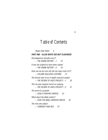### Table of Contents

#### *READ THIS FIRST 5 PART ONE - ELLEN WHITE DID NOT PLAGIARIZE Did plagiarism actually occur? — THE RAMIK REPORT—1 10 It was too original to have been copied — THE RAMIK REPORT—2 16 How can we be sure she did not copy most of it? — VOLUME NULLIFIES COPYING 21 The dismal start of an in-depth research project — THE DESIRE OF AGES PROJECT—1 33 This six-year analysis found no copying — THE DESIRE OF AGES PROJECT—2 41 The work of a prophet — HOW A PROPHET WRITES 61 What about the Bible writers? — HOW THE BIBLE WRITERS WROTE 81 The men who attack — CANRIGHT AND REA 97*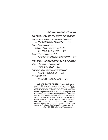#### *PART TWO - HOW GOD PROTECTED THE WRITINGS*

*Why we know that no one else wrote these books — PROTECTED FROM TAMPERING 119 How a doubter discovered*

 *that Ellen White wrote her own books*

 *— M.L. ANDREASEN SPEAKS 192*

*The most important book of all*

 *— THE STORY BEHIND GREAT CONTROVERSY 211*

*PART THREE - THE IMPORTANCE OF THE WRITINGS*

*What is the Spirit of Prophecy for?*

 *— WHY IT WAS GIVEN 235 How were we given our doctrinal positions?*

 *— TRUTHS FROM HEAVEN 238*

*An invaluable gift!*

 *— MESSAGES FROM THE LORD 245*

**AS WE GO TO PRESS—**"I was talking recently with a former pastor of mine. He is Aaron Wagner and he was pastor of the Turlock SDA Church. Walter Rea attends that church now and Elder Wagner knows him. He was telling me that Walter Rea now regrets having written The White Lie. He said that he wrote it because he was angry at the time. Elder Wagner told me that today, Rea's favorite book is Christ's Object Lessons, and that he calls The White Lie a 'dumb' book. I believe this is true because I know Elder Wagner very well."—Bruce G. Chittenden, email dated April 21, 2004, bgchip@adelphia.net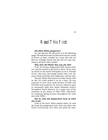## Read This First

#### *Did Ellen White plagiarize?*

No, she did not. We will prove it in the following pages. We will show that an exhaustive six-year study of *Desire of Ages,* headed by a man who did not like her writings, found that she did not copy anything at all from other books!

#### *Why then did Walter Rea say she did?*

First, he became disgruntled with church leaders; and he wanted to get back at them. So he used an attack on the Spirit of Prophecy to do it. Friends of his, who have personally known him over the years (both in Florida and California), told me this.

Second, Walter Rea wanted to make money. And he did. He really pulled it in for a time. He was reported to have been paid between \$7,000 and \$10,000 each weekend, for lectures which he gave at community halls near major Adventist centers throughout North America, on a major tour of the continent in the winter of 1981-1982. Afterward, he continued giving lectures throughout the early and mid-1980s.

#### *But he said she plagiarized most of what she wrote*.

Look at the facts: When pinned down, he said the book she plagiarized more than any other was *Great Controversy.* But when you push for data,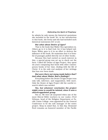he admits he only means the historical quotations she included in the book! Yet, in her introduction to that book, she freely said she had included such historical statements (*GC xi-xii)*.

#### *But what about Desire of Ages?*

That is the book that Walter Rea specializes in. Others go to it to find God, for it has helped millions; Walter goes to it in an effort to destroy the influence of the book. He maintains that it is brimful of passages pulled directly out of other books.

Because Rea had excited so much interest in this, a special group was set up to check out the facts. Called the Desire of Ages Project*,* they spent six years comparing that book with other contemporary books of her time, dealing with the life of Christ. It is the only real analysis of her writings that has ever been made.

#### *But were there not many made before that? And what about Walter Rea's findings?*

Everything before the Desire of Ages Project was only talk, inference, and supposition, little more. Only the Desire of Ages Project did the careful research which was needed.

#### *Yes, but whatever conclusion the project might come to would be tainted, since it was a church-appointed group.*

Not so. We were all surprised when one of the most liberal Bible teachers in our ranks—Fred Veltman, head of the Religion Department at Pacific Union College—was appointed by the General Conference to be the sole manager of the entire project. Keep in mind that, to this day, Desmond Ford remains an honored member of the Pacific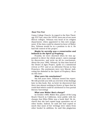Union College Church. In regard to the New Theology, PUC has, since the 1970s, been one of our most liberal colleges. Veltman was head of its religion department, when appointed to this new assignment. If the data could be slanted in favor of Walter Rea, Veltman would be in a position to do it. He had full control of the project.

#### *Maybe he secretly was a conservative and believed in the Spirit of Prophecy.*

Frankly, we were shocked when he was appointed to direct the whole project, micro-manage its discoveries, and write up all its conclusions. About the year 1982, Veltman, by that time head of the Desire of Ages Project*,* spoke at a ministerial retreat at PUC and at an Adventist Forum in San Francisco. His sentiments were very liberal, indicating his disbelief in the Spirit of Prophecy. More on this later.

#### *What were his conclusions?*

Six full years later, Veltman issued his report. We will provide you with an overview of his findings later in this book. But, in brief, he discovered that there was almost nothing in *Desire of Ages* that he could find which could be attributed to even partial literary borrowing!

#### *What was Walter Rea's charge?*

In October 1980, Walter Rea, pastor of the Long Beach Church in California, went public with his charges that Ellen White was a book thief. He declared that she had copied large quantities out of other books. Indeed, he said she had copied so much that most of her writings were taken from other books! In addition, he said this plagiarism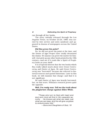ran through all her books.

The story, initially released through the *Los Angeles Times,* on October 23-24, 1980, was carried by wire service and news syndicate and appeared in dozens of newspapers across the United States.

#### *Did Rea prove his point?*

No, he did not prove his point at the time; and the Desire of Ages Project later totally devastated his claims. Yet anyone can prove the matter for himself: Just pick up any other book printed in the 19th century—and see if it reads like a Spirit of Prophecy book on your shelf!

It is of special interest that the two books which Rea really talked much about were *Great Controversy* and *Desire of Ages.* He said *Great Controversy* was "borrowed" because she referred to historical sources and quoted historians. Later in this book, we will examine that charge—and find it is not significant.

He said *Desire of Ages* was heavily borrowed; but, on that score, Veltman's research proves quite the opposite.

#### *Well, I'm ready now. Tell me the truth about the plagiarism charge against Ellen White.*

"Those who turn to God with heart and soul and mind will find in Him peaceful security . . He knows just what we need, just what we can bear, and He will give us grace to endure every trial."

—Sons and Daughters of God, 19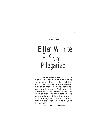#### **— PART ONE —**

## Ellen White Plagarize Did Not

"When God gave His Son to our world, He endowed human beings with imperishable riches—riches compared with which the treasured wealth of men since the world began is nothingness. Christ came to the earth and stood before the children of men with the hoarded love of eternity, and this is the treasure that, through our connection with Him, we are to receive, to reveal, and to impart."

— Ministry of Healing, 37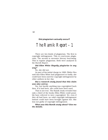#### **Did plagiarism actually occur?**

## The Ramik Report – 1

There are two kinds of plagiarism. The first is copyright infringement. This is courtroom plagiarism. The second is excessive literary borrowing. This is regular plagiarism. Both were analyzed in the *Ramik Report.*

#### *Did Ellen White illegally plagiarize in any way?*

No, she did not.

As part of his initial charge in 1980, Walter Rea said that Ellen White had plagiarized so badly, she could have been sued for copyright infringement by other authors in her day.

#### *But a research study found that this claim was also untrue.*

Yes, but hardly anything was copyrighted back then. If it had been, she could have been sued.

That is not true. The Ramik study revealed that only a third of the books Ellen White could possibly have referred to were copyrighted. Yet, even if they all had been, no valid copyright infringement lawsuit could have been brought against her. She was not guilty of copyright infringement.

#### *What was this Ramik study about? Give me the details.*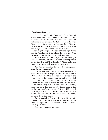The office of the chief counsel of the General Conference, under the direction of Warren L. Johns, decided to get to the bottom of the legal aspects of this matter. So on April 21, 1981, six months after Rea issued his plagiarism charges, that office retained the services of a highly reputable firm specializing in patent, trademark, and copyright law. As you might imagine, the best of those legal firms are in Washington, D.C.; since that is where U.S. government applications are made and defended.

Since it was felt that a specialist in copyright law was needed, Vincent L. Ramik, senior partner in the law firm of Diller, Ramik & Wight, Ltd., was retained to personally carry out the work.

#### *Was Ramik an Adventist or otherwise favorable to our message?*

Our leaders had never done any previous work with Diller, Ramik & Wight. Ramik, himself, was a Roman Catholic. This is stated three times in the final report of the research study, which was printed in the September 17, 1981, issue of the *Adventist Review* (Ramik said so twice; the editor said it once). Later, Victor Cooper, a General Conference officer, also said so in the October 15, 1981, issue of the *Mid-America Adventist Outlook.* It should be noted that, as part of his task, Ramik read *Great Controversy.* He said that, in the course of his research, he read the entire book.

Over a period of four months (April 21 to late August 1981), Ramik spent more than 300 hours researching about 1,000 relevant cases in American legal history.

Then he presented his report.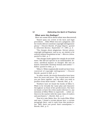#### *What were his findings?*

Here are some facts about what was discovered:

"Based upon our review of the facts and legal precedents . . Ellen White was not a plagiarist, and her works did not constitute copyright infringement/ piracy."—*Vincent Ramik, 27-page Report, quoted in Adventist Review, September 17, 1981, p. 3.*

"The charges about plagiarism, literary piracy, copyright infringement, and so on, are shown to be entirely without foundation in law."—*Warren Johns, quoted in ibid., p. 7.*

"The charges made against her simply do not hold water. She did not operate in an underhanded, devious, unethical manner as charged. She was an honest, honorable Christian woman and author."— *Editor, quoted in ibid., p. 7.*

"Ellen G. White emphatically would not have been convicted of copyright infringement."—*Vincent Ramik, quoted in ibid., p. 3.*

"In other words, the words themselves have been there for years and years. The crucial issue is how you put them together, and the effect you wish to produce from those words."—*Ramik, ibid., p. 6.*

"Nowhere have we found the books of Ellen G. White to be virtually the 'same plan and character throughout' as those of her predecessors. Nor have we found, or have the critics made reference to, any intention of Ellen White to supersede . . [other authors] in the market with the same class of readers and purchasers."—*Ramik, ibid., p. 3.*

"Now let's take Walter Rea. He reads Ellen White and says: 'I found a certain phrase here, a certain paragraph there, and it came from this predecessor.' Well, that's not proof; that's assumption."— *Ramik, ibid., p. 5.*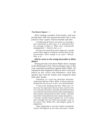After reading a number of her books, and comparing them with the purported books she is supposed to have copied, Vincent Ramik said this:

"Considering all factors necessary in reaching a just conclusion on this issue, it is submitted that the writings of Ellen G. White were conclusively unplagiaristic."—*Ramik, ibid., p. 3.*

"If I had to be involved in such a legal case, I would much rather appear as defense counsel than for the prosecution. There simply is no case!"*—Ramik, ibid., p. 6.*

#### *Did he come to the study favorable to Ellen White?*

Having already read about Walter Rea's charges in the *Washington Post,* Vincent Ramik came to this case somewhat prejudiced against Ellen White. He explained what happened when he first read statements by her critics and defenders—and then opened and read her books and compared them with other books:

"Somehow, as I read one particular Adventistauthorized defense of Mrs. White, it left me with the feeling that she was not, in fact, very well defended.

"I came back thinking that Mrs. White was, if I may use the expression that has been used by others, a literary borrower: And that she had borrowed a lot and that she had borrowed with something less than candor and honesty! In other words—and this was before I had delved into her works themselves— I became actually biased against her in the sense that I thought she was what some people, such as her latest critic, Walter Rea, had alleged—guilty of plagiarism . .

"[After beginning to read her books] I gradually turned 180 degrees in the other direction. I found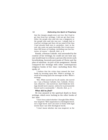that the charges simply were not true. But I had to get that from her writings; I did not get that from either the people who said she was a plagiarist or the people who said she was not. I simply had to read her writings and then rid my mind of the bias I had already built into it—prejudice. And, in the end, she came out quite favorably. But it took more than 300 hours of reading—including case law histories, of course."*—Ramik, ibid., p. 4.*

Ramik, a Roman Catholic, was astounded by the content of her writings; he could not see how anyone would want to criticize a person who wrote such breathtaking, heavenly portrayals of Christ and the plan of salvation. As part of his assignment, Ramik compared her writings with other contemporary religious books of her time—including those Rea spoke of.

"I believe that the critics have missed the boat badly by focusing upon Mrs. White's writings, instead of focusing upon the messages in Mrs. White's writings.

"Mrs. White moved me! In all candor, she moved me. I am a Roman Catholic; but, Catholic, Protestant, whatever—she moved me. And I think her writings should move anyone, unless he is permanently biased and is unswayable."—*Ramik, ibid., p. 4.*

#### *What did he find?*

He was amazed at the spiritual depth in those writings, which were lacking in the other books of her time.

"I have been asked whether I thought Ellen White was 'inspired.' Well, inspiration is a theological word, not a legal word; and I am more at home with legal words than I am with theological words.

"I don't know whether she was inspired, in the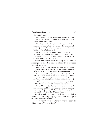theological sense.

"I do believe that she was highly motivated. And if it wasn't God who motivated her, then I don't know who it could have been . .

"The bottom line is: What really counts is the message of Mrs. White, not merely the mechanical writings—words, clauses, sentences—of Mrs. White."—*Ramik, ibid., p. 6.*

"Most certainly, the nature and content of her writings had but one hope and intent, namely, the furthering of mankind's understanding of the word of God."—*Ramik, ibid., p. 3.*

Ramik contended that not only Ellen White's message but also her obvious sincerity of purpose were significant.

"One certainly perceives from Mrs. White's writings that she was motivated by 'the influence of the Holy Ghost' which itself belies wrongful intent . .

"It is impossible to imagine that the intention of Ellen G. White, as reflected in her writings and the unquestionably prodigious efforts involved therein, was anything other than a sincerely motivated and unselfish effort to place the understanding of Biblical truths in a coherent form for all to see and comprehend. Most certainly, the nature and content of her writings had but one hope and intent, namely, the furthering of mankind's understanding of the word of God."—*Ramik, 27-page Report.*

Ramik concluded that, in a legal sense, Ellen White was not guilty of plagiarism. But let us pursue this matter further.

Let us now turn our attention more closely to this matter of "borrowings."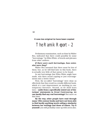#### **It was too original to have been copied**

## The Ramik Report – 2

Preliminary examination, such as done by Walter Rea, indicated that there could possibly be some "borrowings," by Ellen White, of words and phrases from other authors.

#### *If there were such borrowings, how extensive were they?*

Walter Rea assumed that there must be lots of them; but, as we will find later in this book, there is actually very little of that nature to be found.

In any borrowings that Ellen White might have made, was there actual copying or just rearrangements into a better form?

First, the so-called "borrowings" were done so effectively that they result in a totally different book, which is a vast improvement on anything in contemporary literature. Second, as we shall learn later,—aside from a specifically stated use of historians' statements in *Great Controversy*, we can hardly find any real borrowings! But more on that later.

By the way, other people have read through many 19th century books and have not been able to find hardly anything worth calling a similarity between her writings and those of others. Try it yourself; you will probably come up with zeros also.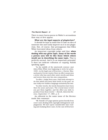#### **The Ramik Report - 2**

There is more hocus-pocus in Walter's accusations than may at first appear.

#### *What are the legal aspects of plagiarism?*

It should be kept in mind that to take an idea of someone else and vastly improve on it is not plagiarism. But, of course, that presupposes that Ellen White borrowed ideas from others.

An important copyright judge said that, when dealing with any given topic, many of the words a person uses will be like those which others would use in describing the same topic. That is perfectly normal. And it is an important principle! It does not indicate collusion or copying. Ramik speaking again:

"In the middle of the nineteenth century—just when Ellen White was beginning to write for print, 1845—in the legal case of *Emerson v. Davies,* Massachusetts Circuit Justice Story in effect exonerates a writer who has used other men's words and ideas and woven them into his own composition.

"In effect, Judge Story says, Only fools attempt to do that which has been done better in the past; no one really ever builds a language exclusively his own.

"In other words, the words themselves have been there for years and years. The crucial issue is how you put them together, and the effect you wish to produce from those words."—*Ramik, Adventist Review, September 17, 1981, p. 6.*

An editorial in the same issue of the *Review* made this comment:

"Mr. Ramik's 27-page opinion quotes heavily from court cases dealing with copyright infringement and plagiarism. We have spent considerable time reading and studying these cases. In the case of *Emerson*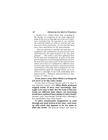*v. Davies et al.,* Justice Story, who, according to Mr. Ramik, 'is recognized as the most influential judge in the area of copyright law in the era in question' concluded that 'the question is not, whether the materials which are used are entirely new, and have never been used before, or even that they have never been used before for the same purpose.

"The true question is, whether the same plan, arrangement and combination of material have been used before for the same purpose or for any other purpose . . [The author] may have gathered hints for his plan and arrangement, or parts of his plan and arrangement, from existing and known sources. He may have borrowed much of his material from others, but if they are combined in a different manner from what was in use before; and afortiori [more conclusively], if his plan and arrangement are real improvements upon the existing modes, he is entitled to a copyright in the book embodying such improvement." —*Editorial, Adventist Review, September 17, 1981, p. 13.*

#### *From what I read, Ellen White's writings do not seem to be like other books.*

It was clear to Vincent Ramik, and it is clear to any objective reader—that Ellen White produced original works. If there were borrowings, they ought to be easy to find. But the truth is that her works are different than others—yet borrowing would have rendered them similar to other books! Second, such "borrowings" hardly exist, although a few possibilities have been found.

It takes considerable imagination to read through any book written at her time—and come up with much that appears to be the same as what she wrote! The present author has tried to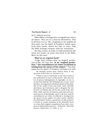do it, without success.

Ellen White's writings have a magnificence above all others. They are in a class by themselves. That is all there is to it. The complainers can quibble all they want; but the Spirit of Prophecy stands apart from other books, before her time or since. Only the Bible writings compare with her statements.

For this reason, in order to understand how she wrote her books, we must turn back to the Bible. More on this later.

#### *What is an original book?*

Judge Story defines what an original production is like. He says that, in an "original production," "the resemblances are either accidental or arising from the nature of the subject." That definition fits the Spirit of Prophecy writings very well.

"He [Ramik] quotes from Justice Story in the decision of *Emerson vs. Davies et al*.:

"I think it may be laid down as the clear result of the authorities in cases of this nature, that the true test of piracy (infringement of copyright), or not, is to ascertain whether the defendant has, in fact, used the plan, arrangements and illustrations of the plaintiff, as the model of his own book, with colorable alterations and variations only to disguise the use thereof; or whether his work is the result of his own labor, skill, and use of common materials and common sources of knowledge, open to all men, and the resemblances are either accidental or arising from the nature of the subject. In other words, whether the defendant's book is, quoad hoc [in this respect], a servile or evasive imitation of the plaintiff's work or a bona fide original compilation from other common or independent sources."—*Editorial, Adventist Review, September 17, 1981, p. 13.*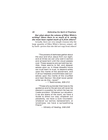#### *But what about the volume of Ellen White's writing? Since there is so much of it, surely she must have copied much of it from others?*

Actually, there are very simple reasons why the large quantity of Ellen White's literary output—all by itself—proves that she did not copy from others!

"The powers of darkness gather about the soul and shut Jesus from our sight, and at times we can only wait in sorrow and amazement until the cloud passes over. These seasons are sometimes terrible. Hope seems to fail, and despair seizes upon us. In these dreadful hours we must learn to trust, to depend solely upon the merits of the atonement, and in all our helpless unworthiness cast ourselves upon the merits of the crucified and risen Saviour. We shall never perish while we do this—never!"

— 1 Testimonies, 309-310

"Those who surrender their lives to His guidance and to His service will never be placed in a position for which He has not made provision. Whatever our situation, if we are doers of His word, we have a Guide to direct our way; whatever our perplexity, we have a sure Counselor; whatever our sorrow, bereavement, or loneliness, we have a sympathizing Friend."

— Ministry of Healing, 248-249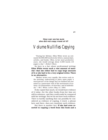#### **How can we be sure she did not copy most of it?**

## Volume Nullifies Copying

"During her lifetime, Ellen White wrote an estimated 25,000,000 words in her letters, manuscripts, articles, and books. Often, in her most productive years, she would average about 4,500 words (18 pages) a day."*—Robert Olson.*

So here is a fact about professional writing: Ellen White wrote such a vast amount of material—that she either had to copy large amounts of it or she had to be a very original writer. There is no alternative.

"Mother writes very rapidly. She writes early in the morning, endeavoring to place upon paper a word-picture of the things that are flashed into her mind as a panoramic view of the movements of nations, of communities, of churches, and of individuals."—*W.C. White, Letter; May 13, 1904.*

If she copied that much, we would have evidence of it today—for the other books from her time are still in existence, and they could easily be compared with her writings. But we do not have such evidence. There is hardly anything that can possibly be considered as evidence of copying. A word, a phrase here and there, does not constitute such evidence.

But there is another fact: If she had even resorted to copying a word from this book and a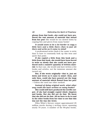phrase from that book—she could not have produced the vast amount of material that issued from her pen! She would be too slowed down by copying bits and pieces from many books!

#### *It would seem to be a lot harder to copy a little here and a little there—then to just sit there and write as it came to mind!*

A professional writer finds it far easier to write than to have to constantly look up this item and quote that point.

If she copied a little from this book and a little from that book, she would have been forced to write so slowly that she could not have produced such a massive quantity of written material. In that case, she would only have written a few books and articles, not the immense amount she turned out.

But, if she wrote originally—that is, just sat down and wrote as it came to mind—then, and only then, could she have poured out the large amount of material which flowed from her pen! —Unless she used one other method:

*Instead of doing original work, what other way could she have written so many books?*

She could still have produced the terrific output—if she had straight copied whole chapters and books. But she did not do that. We know that she did not do that. All we have to do is read in the other books from her time to see that this was not the way she wrote.

Ellen White's literary output approximated 25 million words during a writing career spanning nearly 70 years. A number of the 90-plus books,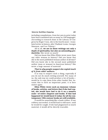including compilations, from her pen in print today have been translated into as many as 100 languages. (According to research done at the Library of Congress by Roger Coon, she is the fourth most—translated writer in history, after Vladimir Lenin, Georges Simenon, and Leo Tolstoy.)

All in all, we see in these writings not only a depth of spirituality, but also an astounding productivity. She wrote so much!

Did you know that Ellen White wrote more than any other woman in history? Did you know that she is the most published woman author of all time? Did you know she is the second most published author (man or woman) in American history? She wrote a huge amount of material!

#### *That is why people suspect she copied much of it from other authors.*

It is easy to suspect such a thing, especially if you do not do much writing yourself. For many of us, the only way we could produce a lot of books would be to copy them from other books! But, because this is such an important point, it is here stated again:

Ellen White wrote such an immense volume of books, articles, and letters that if she had copied, she would have had to do it on a massive scale—of entire chapters and books. If that had happened we would know it today; for all the contemporary 19th century books are still available.

It would be something like a bank robber: If one robbery succeeded, it would lead to still more, until he would be caught. If she had plagiarized so much material, it would all be directly traceable.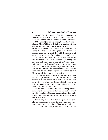**24 Defending the Spirit of Prophecy**

Joseph Smith (founder of the Mormon Church) plagiarized an entire book and published it as his own. We know because the other book still exists.

D.L. Canright (oddly enough, the first one to charge Ellen White with being a plagiarist) copied an entire book by Moses Hull, an earlier Adventist minister, and published it under his own name! So others have attempted this. But we can always track down what they did; because, as always occurs, copies of the other books still exist.

Yet, in the writings of Ellen White, we do not find evidence of massive copyings. We hardly find any hint of borrowings either. Ellen White was, by definition, a professional writer. A "professional writer" is one who spends large amounts of time writing. She wrote such a mass of material, it would have had to be either original or heavily copied! There simply is no other alternative.

The one writing the book you now have in hand is also a professional writer. He sits down and churns out publication after publication, week after week, year after year. Since 1980, he has probably produced more printed material than any other person in our denomination.

Yet he can tell you that no one can keep writing, hour after hour, day after day, unless he has a writing ability. A large literary output either has to be copied in massive quantities or it has to pour out of the head.

Every day, from Ellen White's pen, there came diaries, magazine articles, letters—and still more pages (averaging 18 a day) of her latest book.

She could not have produced such an output if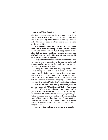she had used sources in the manner charged by Walter Rea! It just could not have been done! She could not possibly have the time to look up all those little bits and pieces in other books, here a little and there a little!

A non-wrlter does not realize this; he imagines that it would be easy for her to turn to this book and that book, and just copy down material. But no, that would only greatly increase the difficulty of the task! The use of sources would slow down the writing task.

The present writer has noticed that when he has to refer to source material (as finding the data and quotations for this book), the work goes much more slowly. It is always that way.

To say it a third time: The only way Ellen White could have poured out such a volume of material was either by being an original writer or by massive copying from other books. And if she had done the latter, it would have been discovered as such; yet no evidence of massive copying has ever been produced, in spite of Walter Rea's misleading claims.

#### *But didn't she have lots of books in front of her as she wrote? That is what Walter Rea says.*

Ellen White wrote wherever she could find a place to sit down—on the train, at camp meeting, on the ship, or wherever she was staying overnight. When at home, she wrote in her bedroom or sitting room. Visitors noted that there were few or no other books lying around, other than the Bible. The books were hardly to be found, because she was not referring to them.

Much of her writing was done in a comfort-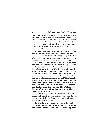able chair with a lapboard in front of her, with no desk or table nearby loaded with books. How much research can you do sitting in an armchair, with a lapboard in front of you? Very little. But you surely can write a lot out of your head in an armchair with a lapboard in front of you. And that is what she did.

#### *It has been charged that it was not Ellen White, but her assistants who wrote her books!*

There are all kinds of charges against Ellen White. The devil hates those books; he suggests every possible excuse to ignore and oppose them.

As part of his exhaustive research Fred Veltman, the director of the Desire of Ages Project*,* analyzed not only that book, but also her earlier life-of-Christ writings. He discovered that the style, vocabulary, and concepts were identical in them all. It was clear that the same mind, the same hand had written both that book and her earlier writings on the same topics! Yet, when she wrote those earlier books, Ellen White did not have the helpers she had when she wrote most of her later books (from 1885 onward). Veltman's conclusion from this was that Ellen White wrote *Desire of Ages*—and not her assistants! That is a major substantiation.

The little lady sat in an armchair, with a study board in front of her—and almost no room to put anything on it but a Bible and a sheet of paper and wrote *Desire of Ages!*

#### *Is that how she wrote her other books?*

To our knowledge, that is how she wrote all her books, except when she was traveling from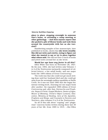place to place, stopping overnight in someone else's home, or attending a camp meeting or other gatherings. —And does anyone expect that she packed a pile of library books and took them around the countryside with her as she traveled?

Handwriting samples of her manuscripts, later published in books, shows that she wrote steadily. She did not write and rewrite, trying to figure out what she wanted to say or try to piece together what others said. She did not have a stack of books and jotted notes around her as she wrote.

*Would her age have any factor in all this?*

Ellen White was born on November 26, 1827. By the year, 1884, she had written only Volumes 1 to 4 of the *Testimonies* (primarily composed of collected letters), a few small books, and one major book (the 1884 edition of *Great Controversy)*.

The truth was that she could not get much writing done until her husband died and she could get away from the seemingly endless squabbles at Battle Creek. So it was not until 1885 that she began her intense writing work, churning out one major book after another: the expanded 1888 edition of *Great Controversy* and, after that, *Patriarchs and Prophets, Steps to Christ, Gospel Workers, Desire of Ages, Mount of Blessing, Christ's Object Lessons, Education, Ministry of Healing, Acts of the Apostles, Prophets and Kings,* and *Counsels to Parents and Teachers,* plus volumes 5 to 9 of the *Testimonies*.

So all of this talk about "copying" and "plagiarism" concerns books written during these last 30 years of her life, from 1885 to 1915. —But Ellen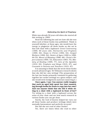White was already 58 years old when she started all this writing in 1885!

Read the following list and see how old she was when each of those books was published. Think to yourself whether, at those ages, she would have the energy to plagiarize all those books as she sat in that soft chair with a lapboard: *Great Controversy* (1888, 60 years old), *Patriarchs and Prophets* (1890, 62), *Steps to Christ* (1892, 64), *Gospel Workers* (1892, 64), *Desire of Age*s (1892 to 1898, 64-70), *Mount of Blessing* (1896, 68), *Christ's Object Lessons* (1900, 72), *Education* (1903, 75), *Ministry of Healing* (1905, 77), *Acts of the Apostles* (1910, 82), *Prophets and Kings* (1915, 87), and *Counsels to Parents and Teachers* (1915, 87).

It is amazing to think that she wrote those books at such advanced ages. Yet Veltman's research shows that she did her own writing! (The preparation of the last two books primarily consisted in gathering together her earlier writings on a given subject; and she would write bridgework material connecting it.)

Once again, I say: Can anyone really imagine that such an aged lady spent her time ransacking through books for items to copy into her own? And can anyone think that she did it while sitting in a chair with a lapboard in front of her? Try sitting in a chair with a lapboard across the arms of your chair and see how much research in various books you can get done.

Surely, the God of heaven helped her turn out all those books and produce writings which were mutually harmonious and perfectly accurate!

But did she not read in other books?

Yes, there are times when she read in other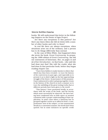books. We will understand this better in the following chapters on the Desire of Ages Project.

Are there any exceptions to this pattern? Are there any times when she did sit down with a number of other books and refer to them?

In real life there are always exceptions, when situations arise out of the ordinary, and a person has to do things differently than normal.

In the case of Ellen White, that happened when she wrote the book, *Great Controversy.* In preparing the 1888 edition of *Great Controversy,* she did use statements of historians. But, on pages xi and xii of her *Introduction*—in that book,—she said she had done just that! She told the reader what she had done in that particular book, before they began reading chapter one.

"I have been bidden to make known to others that which has thus been revealed—to trace the history of the controversy in past ages, and especially so to present it as to shed a light on the fast approaching struggle of the future. In pursuance of this purpose, I have endeavored to select and group together events in the history of the church in such a manner as to trace the unfolding of the great testing truths that at different periods have been given to the world . .

"This history I have presented briefly, in accordance with the scope of the book, and the brevity which must necessarily be observed, the facts having been condensed into as little space as seemed consistent with a proper understanding of their application. In some cases where a historian has so grouped together events as to afford in brief, a comprehensive view of the subject, or has summarized details in a convenient manner, his words have been quoted; but in some instances no specific credit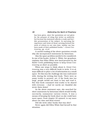has been given, since the quotations are not given for the purpose of citing that writer as authority, but because his statement affords a ready and forcible presentation of the subject. In narrating the experience and views of those carrying forward the work of reform in our own time, similar use has been made of their published books."—*Great Controversy, pp. xi-xii.*

A careful reading of the above quotation reveals why she incorporated statements by historians.

Also the space problem needed to be considered. In one of his books, Arthur L. White, her grandson, explains that Ellen White was hard-pressed by the Battle Creek publishing house to keep *Great Controversy* as short as possible.

When one stops to think about it, *Great Controversy* was a very difficult book to write. It is always difficult to place a lot of information in a small space. Yet this was the challenge she was confronted with, during the writing that book. There were so many truths to present; yet, if the book was too large, people would not want to buy and read it. But that book contained vital truths to be shared with everyone. —And we surely are thankful she wrote them down!

As the above statement says, she searched for short statements by historians which would briefly, succinctly, summarize various events. It was a means of keeping the book short so she could have more space, from chapter 23 onward, to say more about our time and final events!

Did she write other books that way also?

Never again did Ellen White find herself in that situation.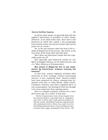In all her other books, we generally find only the slightest indications of parallels to other books. (However, as we shall notice later, there were a few instances in which she copied a few paragraphs from another writer, the way you would copy a pretty poem out of a book.)

Yet, in the one instance when she had to do it while writing *Great Controversy*—she stated, at the very front of the book what she had done.

Were there any historians' books that she especially made use of?

She especially used historical studies by J.H. Merle d'Aubigné *(History of the Reformation)* and J.A. Wiley *(History of Protestantism)*.

#### *But wasn't it illegal for her to use statements by historians, without naming the sources?*

At that time, writers regularly included other materials in their writings, without mentioning sources. It was commonly done. Various studies have been prepared by others, showing how frequently such men as John Wesley, Adam Clarke, Conybeare, Howson, and others regularly did it. It was commonplace; the sharing of truth was thought to be more important than quoting names.

Here is a sample comment, written over a hundred years ago, by a writer of that time:

"All the Commentators have drawn largely from the [church] fathers, especially from St. Augustine; and most of them have made general property of Patrick, Lowth, and Whitby. Poole has exhausted the old continental writers; Henry has made very free with Bishop Hall and others; Scott and Benson have enriched their pages abundantly from Henry; Gill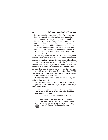has translated the spirit of Poole's 'Synopsis,' but he most generally gives his authorities; Adam Clarke and Davidson have been much indebted to all the best critics, though the former does not always mention his obligations, and the latter never; but his preface to his admirable 'Pocket Commentary' is a confession that he intends to be no more than a compiler."—*Ingram Cobbim, The Condensed Commentary and Family Exposition of the Holy Bible, Preface, p. 9 (1863).*

In her *Preface* to *Great Controversy*, as quoted earlier, Ellen White also clearly stated her indebtedness to earlier writers, in this case, historians; she was in no way trying to hide the fact. It is of interest that, in the pages of the *Review*, she recommended d'Aubigné's *History of the Reformation* as an excellent set of books for everyone to read and share with others *(Review, December 26, 1882).* She wanted others to read the complete work, which she had, to some extent, used.

What was her normal pattern in reading and using other books?

We will understand this better in the following chapters on the Desire of Ages Project. Let us go directly to them.

"The heart of him who receives the grace of God overflows with love for God and for those for whom Christ died."

— Christ's Object Lessons, 101-102

"If we commit the keeping of our souls to God in the exercise of living faith, His promises will not fail us; for they have no limit but our faith." - My Life Today, 14 (Signs, November 14, 1905).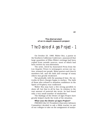#### **The dismal start of an in-depth research project**

## The Desire of Ages Project – 1

On October 23, 1980, Walter Rea, a pastor in the Southern California Conference, announced that large quantities of Ellen White's writings had been copied from outside sources, most of which had been written by non-Adventists.

The news, wired by Associated Press from the *Los Angeles Times* to newspapers across our nation, stunned our people. Many pastors and church members left, and the faith and courage of many others was greatly weakened.

But gradually, with the passing of time, the untruths in Rea's charges began to surface. The faith of those who refused to abandon confidence in the Spirit of Prophecy was confirmed.

Walter Rea may have a few strong parallels to show off, but that is all he has. In relation to the vast amount of material she wrote, he had found only a very small number of similarities.

The findings of the Desire of Ages Project have greatly helped clarify the truth of the situation.

#### *What was the Desire of Ages Project?*

PREXED (the GC President's Executive Advisory Committee) decided to ask a Bible teacher in one of our colleges to take on the assignment of analyz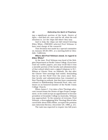**34 Defending the Spirit of Prophecy**

ing a significant portion of the book, *Desire of Ages,*—and find out, once and for all, what the real situation is. Let the chips fall where they may.

And to help the chips not fall toward favoring Ellen White—PREXED selected Fred Veltman to have total charge of the research!

That decision was made by a special committee on January 28-29,1981, at a meeting held in Glendale, California.

#### *Where did Fred Veltman stand, in regard to Ellen White?*

At the time, Fred Veltman was head of the Religion Department at Pacific Union College. If you have read our earlier papers, you may recall that it was a sizeable portion of the faculty and administration of that school which sent a signed telegram to N.C. Wilson at Glacier View, on Sabbath, the day after the Glacier View meetings had ended, demanding that he not fire Ford! Over the years since then, that faculty and administration has remained so New Theology in outlook, that they have consistently refused to disfellowship Desmond Ford, who continues as an honored member of the Pacific Union College Church.

When James C. Cox (also a New Theology advocate) turned down the Desire of Ages Project assignment, so he could accept an appointment to become president of Avondale College in Australia, Veltman was approached. To the surprise of everyone, Fred Veltman, a thoroughgoing New Theology liberal who cared little about Ellen White, accepted the position *(see Adventist Review, December 25, 1980, p. 21).*

The task was expected to require two full years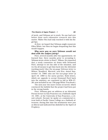of work; and Veltman set to work. No one had ever before done such exhaustive research into this matter. Walter Rea had only touched it with his fingertips.

At first, we hoped that Veltman might exonerate Ellen White; but then we began despairing that this would happen.

#### *Why were you so sure Veltman would not deal with the subject fairly?*

First, several months after his appointment, we learned that, three months prior to accepting it, Veltman wrote a letter to Neal C. Wilson. He requested that a study committee sit down with Desmond Ford, attempt to see his side of the situation, and try (by all means) to get him back into the Adventist teaching work! (*See the six-page Veltman letter to Wilson, Bradford, Warnick, and Eva, dated September 15, 1980; also see his two-page letter of April 18, 1980 to the same parties.* Both letters, which are appeals to accept Desmond Ford back into the ministry, are reprinted in full in *WM–37- 38*; now included in our 146-page *White Tractbook*.)

The next year two more events occurred, which convinced the faithful that the project had been put in the wrong hands:

First, Veltman gave an address at an Adventist Forum lecture in San Francisco on a Sabbath (April 18, 1981, at the University of San Francisco, a Jesuit school). Second, he spoke at a ministerial retreat held at Pacific Union College on a Sabbath afternoon; during this time his sentiments were just as liberal and indicated his disbelief in the Spirit of Prophecy.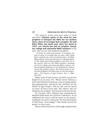The present writer was sent tapes of both speeches. Veltman spoke of the need for new prophets to interpret the Bible for our modern times, since we no longer had a prophet. He said Ellen White was dead; and, since her death in 1915, our church has had no prophet—except our college and university Bible teachers! In his view, they are our new inspired prophets!

"In brief, he made four points: (1) Prophets are only of value to us while they are alive; after death their counsels are of far less importance. (2) Ellen White died in 1915 and therefore is a dead prophet. (3) We today need living prophets, and they are in the church. They are our 'Bible scholars,' meaning our Ph.D. college and university Bible teachers. (4) Past prophetic guidance is not adequate for today's needs and modern culture. We need to listen to our current prophets; the dead ones are far less important."—*The Desire of Ages Project, Part 1, WM– 351-354.*

When news of that lecture traveled around (we helped it on its way), N.C. Wilson wrote Veltman a letter and told him to hush up, stop accepting speaking appointments, and focus his attention on the Desire of Ages Project. This he did, and we heard no more lectures from him. But silence did not eliminate the problem. The fox was in the hen house.

By January 1981, Veltman was requesting additional funds from the General Conference, so an additional two years could be spent on the project, making it even more exhaustive. He was determined to find those "borrowings"! This would extend the project to four years.

Never before had such a thorough analysis been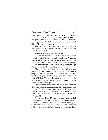undertaken. Rea had not done it; neither had earlier critics, such as Canright. They were armchair complainers; but now Veltman would be able to really dig in and find the ammunition to show that Ellen White was a copycat.

As for the General Conference, they just wanted the matter settled, once and for all, regardless of how it turned out.

### *How did the project turn out?*

Frankly, we found that Fred Veltman was made of better stuff than we had imagined. What he found, he reported exactly as it was. He did not try to sway the data in accordance with his beliefs.

He exonerated Ellen White fully, completely! More on this in the next chapter.

What chapters in *Desire of Ages* did Veltman research? First, since the work would be so microscopic in nature, Veltman decided to limit the study to fifteen chapters in *Desire of Ages*. It was assumed that, if Ellen White had copied material it surely would show itself in those chapters; since many of them were quite large.

Five chapters were selected from the shortest chapters, five from the medium-sized ones, and five from the longest chapters in the book. Here are the fifteen chapters which Veltman researched: chapters 3, 10, 13, 14, 24, 37, 39, 46, 53, 56, 72, 75, 76, 83, and 84.

The text of those 15 chapters was then divided into short sections (he called them "sentence units"), most of which were sentences and a few were splitup compound sentences. The 15 chapters contained 2,624 "sentence units." As you can see, this was done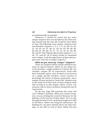as professionally as possible.

(However, it should be noted that her most unique chapters were not included in the above listing; instead only the ones she would be more likely to copy. The following, more unique, chapters were not included: chapters 1, 2, 5, 7, 9, 12, 26, 34, 38, 41, 42, 43, 44, 47, 48, 51, 52, 54, 55, 59, 60, 64, 65, 66, 67, 68, 69, 70, 71, 73, 74, 79, 81, 82, 85, 86, and 87. But Veltman did include chapters 3, 13, 46, 72, and 84, all of which would be somewhat more unique. Look through *Desire of Ages* and prepare your own list of unique chapters.)

#### *What do you mean by "unique" chapters?*

These are chapters which contain extended comment on special themes, which do not always directly describe a single incident in Christ's life. For example, chapter 26, *At Capernaum,* deals with three extended topics; each of which is not focused on a single specific incident: Jesus' manner of preaching, the nature of demon possession, and a sample 24-hour period in Christ's life. Nowhere else in the book do we find each of these subjects dealt with as fully as in this chapter which, at first, one assumes will be about incidents during His stay in Capernaum.

By the way, page 258 mentions the cause and cure of Walter's problem. When you criticize Scripture, you are inviting the control of demons; for the defenses of the soul are broken down. Yet it is only through the help of God, working through your faith in His Word—which can bring you deliverance. By thinking he can place himself above the holy writings, as one able to cavil at them, Walter Rea has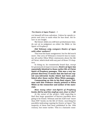cut himself off from salvation. Unless he openly repents and tries to undo what he has done, his future is not bright.

My friend, while you still have probationary time, do not sit in judgment on either the Bible or the Spirit of Prophecy!

#### *Did Veltman only compare Desire of Ages with other authors?*

That was his basic assignment; but he did much more. One area of Veltman's research was to examine all earlier Ellen White statements about the life of Christ, which dealt with any part of those 15 chapters.

In doing so, he consistently found that, except for grammatical improvements, *Desire of Ages* was essentially identical to those earlier life-of-Christ Spirit of Prophecy passages. This was a very important discovery. It meant that she had not copied non-Adventist books which had been published after those earlier Ellen White passages.

Commenting on this in his final report; Veltman said this evidence clearly pointed to Ellen White as the researcher and author of the materials.

### *How many other non-Spirit of Prophecy books did he and his staff go over, four or five?*

At the outset of the project, fully expecting to find that large quantities of literary parallels were going to be found, Veltman and his staff read "more than 500" books on the life of Christ, searching for parallels indicating copying by *Desire of Ages!* The majority of them had been published in the 19th century, but some earlier. This is a fantastic num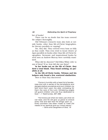ber of books!

There can be no doubt that his team covered the subject thoroughly.

Did Veltman's research team also look at outside books, other than life-of-Christ biographies, for literary parallels or copying?

Yes, they did. They covered every base as fully as they could. They even tried to locate *Desire of Ages* parallels in books other than life-of-Christ biographies. Sermonic and inspirational books by such men as Andrew Murray were carefully examined.

What did he discover? Did Ellen White refer to any of them? If so, how did she use them?

In her books not on the life of Christ, they drew a total blank. They found nothing, no parallels at all.

In the life-of-Christ books, Veltman and his helpers only found a few, scattered similarities.

Here is what they discovered:

"Come in humility with a heart full of tenderness and with a sense of the temptations and dangers before yourselves and your children; by faith bind them upon the altar, entreating for them the care of the Lord. Ministering angels will guard children who are thus dedicated to God."—1 Testimonies, 397-398.

"He knows just what we need, just what we can bear, and He will give us grace to endure every trial and test that He brings upon us . . Every provision has been made to meet the needs of our spiritual and our moral nature." — Sons and Daughters of God, 19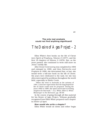#### **The only real analysis could not find anything significant!**

# The Desire of Ages Project – 2

Ellen White's first books on the life of Christ were *Spirit of Prophecy, Volume 2* (1877), and the first 19 chapters of *Volume 3* (1878). But, as the years passed, she continued to write still more on Jesus' earthly life.

After *Great Controversy* was completed in 1884 and enlarged in 1888, and then *Patriarchs and Prophets* in 1890, she determined that, at last, she would write a full-size book on the life of Christ. Six years were dedicated to the task; for she was often interrupted by problems throughout the world field, especially in Battle Creek.

"When she went to Australia in the autumn of 1891, it was her expectation that the long-hoped-for life of Christ could soon be prepared. During the years 1892 to 1898, she spent much time in writing chapters for this book."—*A.L. White, Ellen G. White: Messenger to the Remnant, pp. 58-59.*

In the course of going through all this material for his Desire of Ages Project*,* Veltman gradually recognized how Ellen White prepared each chapter in *Desire of Ages*.

#### *How would she write a chapter?*

Ellen White would sit down and either begin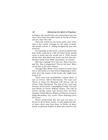writing or she would select one (sometimes two, but never more than two) other book on the life of Christ and see what they did.

Then she would set the book aside; and, referring to her earlier writings on the topic at hand, she would rewrite it, adding bridgework and new material.

Occasionally as she wrote, a word or phrase she had earlier noticed in a life-of-Christ book, would come to mind and she would use it. Thus, nearly all the time, that which she wrote was her own production (aside from Bible quotations, of course).

Was that copying? No it was not. Was it borrowing? No. Was it plagiaristic? Not in the least. More on all this in the next chapter.

Though Ellen White never looked in more than one or two books at a time before beginning to write, what were the names of the books she might have looked at?

There were nine possibilities: Lyman Abott, *A Life of Christ;* Alfred Edersheim, *The Life and Times of Jesus the Messiah;* F.W. Farrar, *Life of Christ;* John Fleetwood, *The Life of Our Lord and Saviour Jesus Christ;* Cunningham Geikie, *The Life and Works of Christ;* William Hanna, *The Life of Christ;* George Jones, *Life Scenes from the Four Gospels;* Daniel March, *Walks and Homes of Jesus;* Hugh Macmillan, *Our Lord's Three Raisings from the Dead.*

Please understand that she may not have referred to all of those books. It only appeared that, at times, there may have been, in *Desire of Ages,* words or phrases similar to what was found in one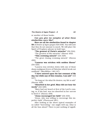or another of those books.

*Can you give me samples of what these similarities were like?*

Here are all the similarities found in chapter 58 of *Desire of Ages (pages 524-536)*. You will note that they do not amount to much. We will place the Spirit of Prophecy phrase in bold type:

"The greatest of Christ's miracles" *(DA 524).*

"The greatest of His miracles" *(Hanna 452).*

"This crowning miracle" *(DA 529).*

"The great closing crowning miracle" *(Hanna 450).*

"Lazarus was stricken with sudden illness" *(DA 525).*

"Lazarus was stricken down with one of those sharp malignant fevers of Palestine which break out suddenly" *(MacMillan 146-147).*

"I have entered upon the last remnant of My day, but while any of this remains, I am safe" *(DA 527).*

"So long as I do what He desires, my life is safe" *(Hanna 449).*

"Absorbed in her grief, Mary did not hear the words" *(DA 529).*

"Mary had not heard at first of the Lord's coming, or, if she had, was too absorbed in her sorrow to heed it" *(Hanna 458).*

"Jesus encouraged her faith" *(DA 530).*

"Jesus, who was willing to encourage this imperfect faith" *(Fleetwood 281).*

After looking at the above typical examples of so-called "borrowing," one might well say, what is all the fuss about? There is just nothing of signifi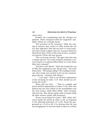cance here!

Frankly, the complaining and the charges are pathetic, when compared with the supposed "parallels" which are actually found.

*"The greatest of the miracles."* Well, the raising of Lazarus was, wasn't it? Why would she not use that adjective? She did not have to read someone else's book to figure that out. Lazarus had been dead three days. Prior to His resurrection, no physical miracle Christ did was greater.

*"The crowning miracle."* We agree that this was a unique phrase. Yet is this isolated similarity a decent reason to condemn Ellen White as a low-down thief and criminal?

*"Stricken with illness."* How else would she say it? Was she supposed to say "He got sick," "He came down sick," "He had got ailing"? No reading of someone else's book was needed to hit on the commonplace phrase, "stricken with illness."

*" . . I am safe."* This is an obvious explanation of the meaning of John 11:9. How would you describe the verse?

*"Mary did not hear . ."* This is a simple and much needed explanation of John 11:20. Note that Hanna was not sure which of two possibilities was the real reason; while Ellen White, with certainty, selected one. She always spoke with certainty while all other writers spoke with hesitancy.

*"Jesus encouraged her faith."* Well, didn't He? Jesus spoke the words in John 11:23, in response to her grieving statement of 11:22. Read the progression in 11:22 to 26. It is obvious that He was encouraging her to exercise faith in Him as a divine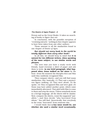Person and as the Great Healer. It takes no searching of books to figure that out.

In conclusion, with the possible exception of "crowning miracle," nothing in that chapter appears to have been taken from any other authors.

Those amount to all the similarities found in one chapter of *Desire of Ages.*

#### *But should not every book in the world be totally different than every other book?*

In all this, we should keep in mind that it is natural for two different writers, when speaking of the same subject, to use similar words and phrases.

The next time you have a study circle with friends, hand everyone a sheet of paper and ask them to write, in one brief paragraph, what happened when Jesus walked on the water by the boat—from the moment the disciples first saw Him until they suddenly recognized Him.

Then compare sheets—and you will find many similarities. But, basically: (1) They saw a mysterious figure walking. (2) They were afraid. (3) He spoke. (4) They recognized Him and were glad. (5) Some may have added another point, which came immediately afterward: They pled with Him to come to them and stop the storm. Unless somebody wrote in a foreign language, all the sheets will be similar. Next, compare the sheets, count the supposed "parallels,"—and then decide "who borrowed from whom." You will find, theoretically, that everybody in the room "borrowed" from someone else.

I would think that a key issue would be, not whether she used a similar word occasionally,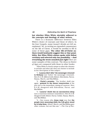but whether Ellen White slavishly adhered to the concepts and theology of other writers.

There is a dramatic difference between Ellen White's choice of concepts and those of others. In the four Gospels, many (many!) details are left unexplained. Yet, in writing an expanded commentary on the life of Christ, it would be needful to fill in some of those gaps. The other life-of-Christ authors would hesitantly suggest this or that possibility. But Ellen White always spoke with fullest certainty and selected only one possibility. —And everything she wrote sounded just right! Here are some samples of this contrast. The ideas in *Desire of Ages* are compared with those in other books:

"Ellen White is clearly unique in what she chooses to include and what she does not choose to include in her description of this subject:

"1 - Lazarus died 'after' the messenger returned to Bethany (not 'before' the messenger returned). Here E.G.W. differed with Abbott, Edersheim, Farrar, Hanna, March, and MacMillan.

"2 - Christ's promise, 'Thy brother shall rise again,' pointed to the future resurrection of the just (not to the immediate raising of Lazarus). Here E.G.W. disagreed with Edersheim, Farrar, and MacMillan.

"3 - Lazarus' death was an unconscious sleep (not a conscious existence somewhere). Here E.G.W. disagreed with Abbott, Farrar, Geikie, Hanna, March, and MacMillan.

"4 - One reason why Jesus wept was that the people were mourning while the Life-giver stood by to help them. Abbott, March, and MacMillan gave other reasons, but not this one."—*The Use of Ear-*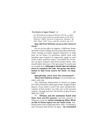*lier Writings by Scriptural Writers [PG-6], a collection drawn from selected studies given at the New Orleans (1985) General Conference Session, by R.W. Olson, R.W. Coon, and P.A. Gordon, pp. 2-3.*

## *How did Fred Veltman carry on his research work?*

He set up his office in Angwin, California, home of Pacific Union College and his many liberal friends. Then, having recruited unpaid volunteers to help him, he set down 14 questions which each staff member was required to rigorously apply to each of the 2,624 "sentence units," into which the 15 *Desire of Ages* chapters had been broken down. One would think this was a CIA operation! It surely was as complicated. Although it would take six tedious years to complete the task, the group was determined to find every source for those 15 chapters!

#### *Specifically, what were his conclusions?*

There were thirteen of them. Let us briefly consider each one:

The following information is based on pages 871-903 of Veltman's 958-page Desire of Ages Project Report*.* If you wish to read a far more detailed discussion of that project, we refer you to the present author's 16-page tract set, *The Desire of Ages Project [WM–351-354].*

 $#1$  - Veltman and his assistants found that there were pre-DA sources ("pre-DA sources" is Veltman's term for earlier writings *by Ellen White* on life of Christ topics) for the entire book. Analyzing them and comparing their style, vocabulary, and concepts with *Desire of Ages*,—he concluded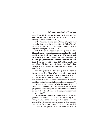that Ellen White wrote *Desire of Ages*, not her assistants! That is a major discovery; but there are more *(Veltman Report, p. 871).*

#2 - Veltman found that *Desire of Ages* fully agreed with the theological positions in Ellen White's earlier writings. None of the religious views or teachings had changed *(Report, p. 874).*

#3 - Veltman disclosed his findings after he and his assistants spent six years comparing the spiritual level of *Desire of Ages* with 500 non-Spirit of Prophecy books. They found that, consistently, *Desire of Ages* was much more spiritual in content than any or all of the 500 other books on the life of Christ! None of those other books had the spiritual emphasis found in *Desire of Ages! (Report, p. 875)*.

#4 - His questions 5 to 7 bring us to the heart of the research: Did Ellen White copy other sources?

"What is the nature of the dependency of the *DA* text on other literary sources?" "What proportion of the chapter contains sentences in their composition that reflect the influence of other sources?"

"What is the nature of the independence of the *DA* text influenced by other literary sources? What proportion of the chapter contains sentences which do not reflect the influence of literary sources in their composition?"

"What is the degree of dependence for the dependent sentences, when evaluated according to the rating scale? How do the dependent sentences rate when figured against all sentences in the chapter other than Bible quotations?" *(Report, pp. 20-21)*.

These three questions distill down to this: To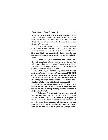what extent did Ellen White use sources? Veltman's chart *(shown on p. 879 of his Report),* summarizing the data for these three questions, is titled *"Statistics on Source Parallel Evaluation for the Desire of Ages* text*.*"

Here is a summary of the conclusions shown on that chart: Look at the bottom (horizontal) line of the chart in his *Report*. This is the "totals" line. It is this that was essentially discovered in the six years of exhaustive work. It reveals seven basic facts:

(1) There are 2,624 sentence units in the entire 15 chapters *(chart: column 2, bottom)*. (We will refer to them as "sentences"; since nearly all are full sentences, except for nine which are split compound sentences he split in two.)

(2) Of the 2,624 sentences, *none are "strict verbatim*" *(col. 11, bottom)*. That means NOT ONE of the 2,624 sentences was DIRECTLY COPIED FROM ANY SOURCE, other than earlier Spirit of Prophecy writings or the Bible! That is the conclusion of six years of intensive research!

(3) Of the 2,624 sentences, only 29 were "verbatim" or partially similar! That is a ratio of one sentence out of every ninety, which showed a slight similarity!

(4) Columns 7-9 indicate various degrees of paraphrase; and the total for them is 532. That means, of the 2,624 sentences, 532 appear to show some indication of possible paraphrase. But keep in mind that, because of the nature of the material, it is easily possible for many of those 532 sentences to only appear as paraphrases,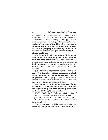when in fact they are not. (You will recall our earlier analysis of when Jesus spoke with Mary and Martha at the death of Lazarus. Nearly all the supposed parallels amounted to nothing.) "Paraphrase" means saying all or part of the idea of a sentence in different words. It would be difficult for anyone to write a paragraph describing an event in Christ's life without using words similar to those others would use.

(5) Column 6 indicates that a Bible quotation, which a source is quoted from, differed from the King James Version. Veltman incorrectly termed each such instance "an outside source." A Bible quotation is not an "outside source"! Yet Veltman used column 6 in preparing his column 12 total.

(6) Column 5 represents "partial independence." which refers to those sentences in which the slightest hint of possible use of a source might be present. This category sounds so loose that it probably means little. Veltman also used this column in arriving at his Column 12 total.

#### (7) *Summary: Of the 2,624 sentences in the 15 chapters, none were actually verbatim (exact copies); only 29 were partially verbatim; and only 532 might be paraphrases.*

(8) The final total for Column 12 is the totals of columns 5 through 10 added together, which is really unfair—yet that total is only 823. (If Columns 7-11 had been used, the Column 12 total would only have been 561.)

There you have it: This exhaustive six-year research has produced zero "strict verbatims"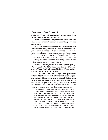and only 28 partial "verbatims" out of more than twenty-six hundred sentences!

Ramik said there simply was no case; and the data from Veltman's research essentially says the same thing.

#5 - Veltman tried to ascertain the books Ellen White most likely looked at, before she would begin to write a chapter. Veltman's three charts indicate possible major and minor sources (other than her earlier writings and the Bible) she might have used. William Hanna's book, *Life of Christ,* was definitely referred to most frequently. None of the other books were used very often.

#### *Since Veltman found that none of the life-of-Christ books had the deep spirituality that Desire of Ages had, why would Ellen White bother with looking at them at all?*

The answer is simple enough. She primarily referred to them for factual material, such as geographical, historical, and cultural data, etc., which had not been revealed in vision. She knew she would be guided to clearly discern truth when she read it. She had been told she could do so. She was encouraged to do so; therefore she did so.

"In her early experience when she was sorely distressed over the difficulty of putting into human language the revelations of truths that had been imparted to her, she was reminded of the fact that all wisdom and knowledge comes from God, and she was assured that God would bestow grace and guidance. She was told that in the reading of religious books and journals she would find precious gems of truth expressed in acceptable language and that she would be given help from heaven to recognize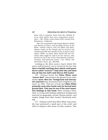these and to separate them from the rubbish of error with which they were sometimes associated."—*W.C. White, Letter dated 1933, written from Elmshaven, California.*

"She was acquainted with Daniel March's *Walks and Homes of Jesus,* and his *Night Scenes in the Bible.* Geikie's *Hours with the Bible* and Edersheim's works on the Temple and its services and Jewish social life were known to her as well as some others. While, as noted, these books did not constitute what might be said to be her sources, they proved an aid to her in her descriptions of places, customs, and historical events."—*A.L. White, The Australian Years, pp. 385-386.*

Looking at the three source charts which Veltman's staff prepared, one is struck by the fact that there is hardly anything there which could possibly be called "sources"! Only little bits and hints was all that his staff could find in 500 books!

#6 - Veltman found that **Ellen White used** "source data" (information she gleaned from other books) more often for "background and descriptive material than devotional and evangelical comment" *(p. 900)*. This fact reveals that Ellen White primarily used other books only for factual background data. This may be one of the most important findings in this study. When writing a book, what is wrong with finding additional background material on geography, secular Roman history, and similar things from other books? Absolutely nothing!

#7 - Veltman noted that Ellen White may possibly have patterned a small part of the order and titles of chapters after those of other authors. This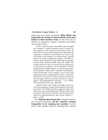point has never been contested. Ellen White was frequently not shown in vision which event came before or after another event. It was left to her to decide on sequence, chapter contents and splits, and chapter titles.

"As the materials were assembled and arranged into chapters, careful attention had to be given to the sequence of the events in the Saviour's life. To what extent and in what detail visions provided the sequence in ministry and miracles in Christ's life and work is not known. It is known that a decade earlier she made a significant request: 'Tell Mary to find me some histories of the Bible that would give me the order of events' *(EGW, Letter 38, 1885)*. The Gospel writers in their accounts did not help much in the point of sequence. In the absence of direct instruction from Ellen White, or clues in the materials themselves, Miss Davis consulted carefully prepared harmonies of the Gospels, and as the work progressed made considerable use of S.J. Andrews' *Life of Our Lord upon the Earth,* which as noted on the title page took into account 'historical, chronological, and geographical relations.' "—*A.L. White, The Australian Years, pp. 384-385.*

"Chapter titles came rather naturally as the material was prepared, being representative of the subject matter. The Bible narrative suggested some, but there was some paralleling with chapter titles used by others who wrote on Christ's life. Selection was based on appropriateness and reader appeal."— *Ibid., p. 385.*

#8 - Veltman discovered that, using his exhaustive research methods, all the "sources" seemed frequently to be copying one another! At this point, this foolish study of chasing after rabbits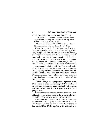which cannot be found—turns into a comedy.

"We often found similarities and even verbatim expressions among the sources used by Ellen White."—*Veltman Report, p. 952.*

"The writers used by Ellen White often exhibited literary parallels between themselves."—*Ibid.*

Using the methods that Veltman used to trace "literary dependency" and "use of sources" *(pp. 920, 952),* it appears that all the sources were copying one another! It would have been interesting if Veltman had made charts interconnecting all the "borrowings" by the various "sources" from one another. He could have tabulated how much everybody "borrowed" from each other! Quite obviously Veltman's assumptions, of what constitutes "borrowed materials," is so stringent—that it would apply to everything anybody writes! The next time you write a letter to someone, know that you must have "copied it" from someone else you have never met or heard about! Perhaps someone who wrote a letter a hundred years ago.

These charges of "plagiarism" against Ellen White have injured thousands; yet they are based on extreme assumptions of similarity of content —which would condemn anyone's writings as plagiaristic!

Who is willing to throw over his faith in the Spirit of Prophecy, so he can wander down the wilderness trails blazed by critics, such as Walter Rea?

#9 - Elsewhere, Veltman mentions another discovery about *Desire of Ages.* We find it on *p. 901* of his Report: Unlike all the other 500 authors of her time, Ellen White spoke, with authority, as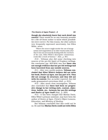though she absolutely knew that each detail was correct! There would be no way humanly possible for a life-of-Christ author to know which possibilities were correct. For this reason, the other authors very frequently expressed uncertainty; but Ellen White, never.

"Where the source might invoke the use of imagination and supposition or in other words make clear that it was not necessarily dealing with the real facts of the case, Ellen White's descriptive commentary reads like a work of history."—*Ibid., p. 901.*

#10 - Veltman also did some checking into sources of the pre-DA Spirit of Prophecy writings. His conclusion *(pp. 903-904)* was that there was not enough evidence that her pre-DA writings had been borrowed from any outside sources.

#11 - After very careful analysis, Veltman concluded that Ellen White's helpers did not write her book, *Desire of Ages,* nor any part of it. They did not arrange its structure; and they did not write its content. But, as earlier reported, they did make grammatical corrections *(ibid., p. 913).*

#12 - After much close investigation, Veltman also concluded that there had been no progressive change in her writing style, content, objectives, beliefs, etc., between her pre-DA writings and *Desire of Ages* itself *(ibid., p. 925).*

#13 - It has been charged that Marian Davis, Ellen White's primary assistant, may have been the author of *Desire of Ages, Christ's Object Lessons, Education,* and *Ministry of Healing.*

But Veltman concluded that this could not be so. He said that Marian Davis could not write Ellen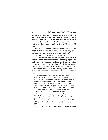White's books, since Davis' work on *Desire of Ages* stopped abruptly in 1899, due to overwork. Yet that which was done beforehand and afterward on the book was all alike. So Marian could not have done any actual writing *(ibid., pp. 945- 946).*

So those were the thirteen discoveries, which Fred Veltman nailed down. Are there any other factors we should take into consideration?

We should also keep this in mind:

1 - Ellen White received frequent visions during the time she was writing *Desire of Ages*. Not only were her earlier writings used, and possibly some consultation with other life-of-Christ books, but she also received direct counsel from the angel. It is known that she wrote many fresh, new sections—in addition to rewriting her earlier materials.

"As the reader has observed the frequency of the visions given to Ellen White in Australia dealing with the various features of the work and the experience of individuals, it is reasonable to assume that as she wrote, views on the life and work of Jesus were frequently given to her also. In 1889 she told of how 'the betrayal, trial, and crucifixion of Jesus' had passed before her, point by point' *(Letter 14, 1889).* In 1900 she wrote:

" 'Heavenly scenes were presented to me in the life of Christ, pleasant to contemplate, and again painful scenes which were not always pleasant for Him to bear which pained my heart' *(MS 93, 1900)."*—*A.L. White, The Australian Years, pp. 382-383.*

2 - *Desire of Ages* contains a very special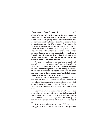class of material, which would be far easier to interpret as "dependent on sources" than most other Spirit of Prophecy books. This is because it is so heavily narrative; that is, it contains descriptions of stories and events. Why was not *Testimonies to Ministers, Messages to Young People,* and other Spirit of Prophecy books selected by Rea, for his attacks, and Veltman for his research? The answer is that *Desire of Age*s especially requires a knowledge of geographical, historical, and cultural data which Ellen White would normally need to turn to outside writers for.

3 - The very nature of the content of *Desire of Ages* lends itself to imagining literary dependency when little or none actually exists. This is because she was describing stories which many other authors had described. It would therefore be easy for someone to later come along and find many imagined parallels in description.

Take the story of Jesus healing the sick man by the pool of Bethesda. There are only a few ways of describing that narrowly circumscribed scene. Out of 500 books, it should be easy to find some author which had described that scene in a similar manner!

How would you describe the event? There are only a limited number of ways a partially described Bible story can be told; for it is a specific, shortterm incident. The facts, as given in the Bible, place within very narrow limits what can be said about it.

If you wrote a book on the life of Christ, everything you wrote would be "similar to" and "parallel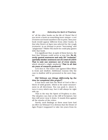to" all the other books on the life of Christ! But if you wrote a book on something more unique—a set of stories not found anywhere else in print, then your book would appear different from other books. Is that why *Desire of Ages* was selected for the rough treatment, in an attempt to prove "borrowing" and "plagiarism"? Walter Rea knew he could play games with that book.

It is significant that, in spite of these factors, the best that Veltman could arrive at was this: No directly quoted sentences and only 29 "verbatim" (partially similar) sentences out of a total of 2,624! That is only one sentence out of every ninety, which showed a slight similarity! That is all that six years of research produced!

Let's face it: The entire case against Ellen White is weak and shallow. Additional reasons why the case is shallow will be presented in the next chapter.

#### *Did Veltman see things differently by the time he completed this project?*

It has been said that the Word of God is like a block of solid granite, which is the same measurement in all directions. You can push it, shove it, turn it every which way; but it will always be right side up.

That is the way the Spirit of Prophecy is also. The skeptics can claw at the cliff of Scripture; but they will never wear it down. It stands firm against all the attacks of the critics.

Surely, such findings as these must have had an effect on Veltman! It is obvious that the Desire of Ages Project (supposed to take two years from its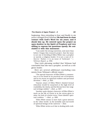beginning, then extending to four and finally to six years) changed Fred Veltman! He had been in close contact with God's Word for six years; and it shook him up. He entered upon the project an open doubter in the Spirit of Prophecy and very willing to express his questions openly. He concluded it with this statement:

"I am under the strong conviction, now more than before I began this research project, that the issue is not one of deciding if Ellen White was a prophet or merely a religious leader. It is not a case of 'either/or.' Rather, it is an issue of 'both/and.' "— *Veltman Report. p. 956.*

That trick phrasing verified that Veltman had concluded that she was a prophet, as well as a religious leader.

Here are several additional concluding comments from Veltman's official report:

"The special character of Ellen White's commentary is to be found in its practical use of Scripture and in its stress on spiritual realities and personal devotion."*—Ibid., p. 925.*

"Anyone aware of Ellen White's limited formal education would be surprised at the high level of readability, the clarity, and the literary force her original writings exhibit."*—Ibid., p. 927.*

"Another quite distinct character of Ellen White's work on the life of Christ is in the stress given to what, for lack of a better term, I have labeled 'spiritual realities.' "*—Ibid., p. 928.*

"Ellen White seems to have had a great interest in the 'other world,' in the invisible and real world of spiritual beings of the universe."*—Ibid.*

"Ellen White writes as if she is dealing with reali-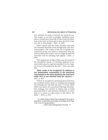ties, whether on earth or beyond the world we see. The reader is not left to imagine anything except what it would have been like to have been in Palestine in the time of Jesus and to have faced the realities she is describing."*—Ibid., p. 929.*

"[She] stayed with the main storyline and with the essential elements of the background and characterizations. The reader of the DA is hardly ever conscious of the text itself or impressed with the literary skill of the author. One is caught up with the narrative and its meaning and appeal."*—Ibid., p*. *930.*

"The fingerprint of Ellen White may be found in the devotional, moral, or Christian appeals or lessons which may be expected anywhere in the chapter, but are often placed at the end."*—Ibid., pp. 930- 931.*

"What needs to be recognized in addition to her independent commentary is the selectivity represented in the many decisions she must have made NOT to use material from her sources."*— Ibid., p. 937.*

"If there is one general conclusion generated from my countless hours spent in reading and studying her writings over the past six years, it is this: Ellen White was above all a practical believing Christian. Her writings were written to inform and to build personal faith in and personal obedience to God's will as it comes to expression in His Word, the Bible."*—Ibid., p. 957.*

"In redemption God has revealed His love in sacrifice, a sacrifice so broad and deep and high that it is immeasurable."

— Sons and Daughters of God, 11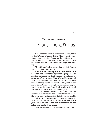# How a Prophet Writes

In the previous chapter we mentioned that, while writing *Desire of Ages,* Ellen White would sometimes look at another book on the subject, to see the pattern which that author had followed. Then she would set the book down and begin her writing.

Why did she bother with other books? Surely, the Lord could have told her!

It is our misconception of the work of a prophet, and the means by which a prophet is to receive information, that causes our misunderstanding of the work of Ellen White. Keep in mind that, prior to December 1844, we had not had writings of a true prophet for about 1,750 years. In the life of Ellen White we are given an unusual opportunity to understand how God works with, and through, one of His inspired messengers.

Yes, she received visions; but only a limited amount of information was received through them. Early on, she was instructed that she would be able to read in other books—and be able to recognize truth when she found it. In addition, the Lord guided her as she sorted out information in her mind and wrote it on paper.

"She was told that in the reading of religious books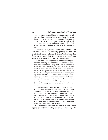and journals, she would find precious gems of truth expressed in acceptable language, and that she would be given help from heaven to recognize these and to separate them from the rubbish of error with which she would sometimes find them associated."—*W.C. White, quoted in Robert Olson, 101 Questions, p. 72.*

The result was perfectly accurate, fully inspired writings. One of her working principles was that truth itself comes ultimately from God rather than from men,—and that, in presenting it, we should seek to lead people to God, not praise men.

"Christ was the originator of all the ancient gems of truth. Through the work of the enemy these truths had been displaced. They had been disconnected from their true position, and placed in the framework of error. Christ's work was to readjust and establish the precious gems in the framework of truth. The principles of truth which had been given by Himself to bless the world had, through Satan's agency, been buried and had apparently become extinct. Christ rescued them from the rubbish of error, gave them a new, vital force, and commanded them to shine as precious jewels, and stand fast forever.

"Christ Himself could use any of these old truths without borrowing the smallest particle, for He had originated them all. He had cast them into the minds and thoughts of each generation, and when He came to our world, He rearranged and vitalized the truths, which had become dead, making them more forcible for the benefit of future generations."—*13 Manuscript Releases, 241-242 (Manuscript 25, 1890; compare Desire of Ages, pp. 464-465).*

She correctly saw that the writer of truth is an agent, or instrumentality, which God is using. But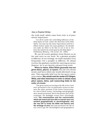the truth itself, which came from God, is of paramount importance.

"Let all be under the controlling influence of the Holy Spirit of God. Under the direction of the Holy Spirit, one may use the same expressions used by a fellow worker under the same guidance. He should not make an effort to do this or not to do it, but leave the mind to be acted upon by the Holy Spirit."— *Publishing Ministry, 102 (Letter 53, 1900).*

We can all receive guidance from Heaven as we live and carry on our work. Yet a genuine prophet is different. In our writings, we make mistakes (very frequently); but a prophet is different. He always receives the guidance needed for unerring accuracy. However, he is not thereby released from work.

When in vision, Ellen White generally was not given dates, places, or names. But she was shown scenes and faces which she would afterward recognize. This especially held true for her great controversy visions. She would read the works of D'Abigné, Wiley, and other historians in order to obtain many place names, dates, and connecting links in the order of events.

"The great events occurring in the life of our Lord were presented to her in panoramic scenes as also were the other portions of the *Great Controversy*. In a few of these scenes, chronology and geography were clearly presented. But in the greater part of the revelation, the flashlight scenes were exceedingly vivid. The conversations and the controversies which she heard and was able to narrate were not marked geographically or chronologically; and she was left to study the Bible and history and the writings of men who had presented the life of our Lord to get the chronological and geographical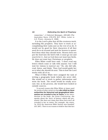connection."—*3 Selected Messages, 459-460 (The Australian Years, 378-379; W.C. White, Letter to L.E. Froom, January 8, 1928).*

It is the Lord's plan that all His creatures work, including His prophets. They have to work at accomplishing their tasks just as the rest of us do. It would not be good for their characters if all they need do is sit around and wait for heaven to spoonfeed them what they should write. Heaven does not put the food into the bird's bill; it must go out and search for it. Just as God does not want lazy birds, He does not want lazy Christians or prophets.

Ellen White could have said, "I won't read any letters which come or talk with anyone; but I will wait for visions to instruct me." No, she did talk, read, listen, and think. Then God would guide her as to what she should do next. This is how the Lord works with all of us.

What if Ellen White were assigned the task of writing a geography book (which she never did). She would set to work to gather information and write the book. The result would be totally accurate; but, in the process, she would have looked at outside sources.

"A second reason why Ellen White at times used the works of other writers is that **she relied on these** authorities for historical and geographical information not revealed to her in vision. In her introduction to the book, the *Great Controversy*, she speaks about the 'facts' of history, which she presented. She does not claim that these facts were all revealed to her in vision. For example, she states, 'In 1816 the American Bible Society was founded' *(GC 287)*. There is no reason to believe that this fact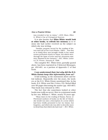was revealed to her in vision."—*R.W. Olson, Ellen G. White's Use of Uninspired Sources.*

It is also known that **Ellen White would look** at other books, to refresh her memory as to visions she had earlier received on the subject on which she was writing.

"Another purpose served by the reading of history and *Life of Our Lord* [Hanna, 1863) . . was that in so doing there was brought vividly to her mind scenes presented clearly in vision, but which were, through the lapse of years and her strenuous ministry, dimmed in her memory."—*W.C. White, Letter to L.E. Froom, January 8, 1928.*

The complete W.C. White letter, partially quoted above, has been reprinted in *3 Selected Messages, pp. 453-461,* as a portion of *Appendix C* of that book.

#### *I can understand that; but why did the E.G. White Estate keep this information from us?*

It hid nothing, as the statements above and below indicate. Repeatedly over the years, the workers at the E.G. White Estate mentioned this. In his book, *E.G. White and Her Critics,* F.D. Nichol filled over 60 pages discussing the matter *(pp. 403-467)*. That book was released in 1951.

The fact that she sometimes looked at other books was really no secret. Here is a statement made by her son, William C. White, nearly 70 years ago:

"Many times in the reading of Hanna, Farrar, or Fleetwood [authors of books on the life of Christ], she would run onto a description of a scene which had been vividly presented to her [in vision], but forgotten, and which she was able to describe more in detail than that which she had read."—*W.C. White,*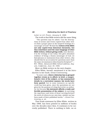*Letter to L.E. Froom, January 8, 1928.*

The truth is that Bible writers did the same thing.

"The question may be asked, 'Can the descriptions of scenes and events copied from other writers find a proper place in the inspired writings of a messenger of God?' We find that writers of the Bible not only copied from historical chronicles, but they sometimes used the exact language of other Bible writers, without giving credit. And, likewise, if in the writings of one today, who gives abundant evidence of being a chosen messenger of God, we find phrases or statements from other writers, why should this be an occasion for questions more than the same circumstances when found in Scripture?"*— W.C. White, Advanced Bible School address, Angwin, California, June 18, 1935.*

More on Bible writers in the next chapter.

Ellen White, herself, mentioned it in the *Introduction* to her book, *Great Controversy*.

"In some cases, where a historian has so grouped together events as to afford, in brief, a comprehensive view of the subject, or has summarized details in a convenient manner, his words have been quoted; but in some instances no specific credit has been given, since the quotations are not given for the purpose of citing that writer as authority, but because his statement affords a ready and forcible presentation of the subject. In narrating the experience and views of those carrying forward the work of reform in our own time, similar use has been made of their published works."*—Great Controversy, p. xii.*

That frank statement by Ellen White, written in May 1888, has been printed in millions of books over the decades since then. It continues to be currently published. There is nothing to hide, no at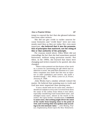tempt to conceal the fact that she gleaned information from other writers.

She did not give credit to earlier sources because footnotes and "credit lines" were not commonly used then as they are today. But, even more important, she believed that it was the presentation of principles that mattered, not the citing of this or that authority of the principle.

For reasons stated above, Ellen White did not camouflage the fact that she had sometimes quoted historians, without using quotation marks. But when, in the 1890s, she learned that times were changing and writers wanted to be quoted, she also changed.

"When critics pointed out this feature of her work as a reason for questioning the gift which had enabled her to write, she paid little attention to it. Later when complaint was made that this was an injustice to other publishers and writers, she made a decided change."—*W.C. White, Letter to L.E. Froom, January 8, 1928.*

John Wesley had a similar attitude toward the matter. He believed that pointing men to truth and God was more important than quoting men.

"It was a doubt with me for some time, whether I should not subjoin to every note I received from them the name of the author from whom it was taken; especially considering I had transcribed some, and abridged many more, almost in the words of the author. But upon further consideration, I resolved to name none, that nothing might divert the mind of the reader from keeping close to the point of view, and receiving what was spoken only according to its own intrinsic value."*—John Wesley, Preface, Explanatory Notes Upon the New Testament.*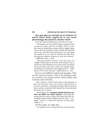### *Can you give an example of an instance in which Ellen White appeared to use some phraseology she found in another book?*

It is not easy to find them, but here is one:

"He [Satan] cast his hellish shadow right between us and our hope, and our strength, and our comfort, that we should not see him, that he might eclipse Jesus, that we should not discern Him and what He was to us, and what He would do for us, and what He would be to us—that he should cast this dark and gloomy shadow between us and our Saviour." —*1888 Materials, p. 552.*

"Planting himself between God and man, he sought to intercept every beam from heaven, and to throw his awful shadow across the earth; the gloom of his presence fell, like a pall over human hope, involving us in darkness that might be felt."—*John Harris, The Great Teacher, 1836 edition, p. 134.*

But it is very difficult to find such passages. They are few and far between. This is the finding of others as well as the present writer. Arthur White said it clearly and correctly:

"One reads in vain for more than a few phrases or parts of sentences, and, very rarely, a full sentence or two here and there, showing that Ellen White found in these authors materials that helped her describe what she had seen in vision.

"But beyond this, she gives details found in neither the Bible nor other authors, indicating she primarily has seen in vision that which she was describing. Innumerable exhibits could be cited."—*A.L. White, article in Adventist Review of November 1980, p. 8.*

Further down, he adds this:

"It is difficult even to find that she used the same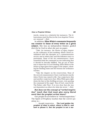words, except in a relatively few instances. The illustrations used [by Rea] in the *[Los Angeles] Times* are unusual."*—Ibid.*

In addition, **Ellen White's comments frequently** ran counter to those of every writer on a given subject. She was an independent thinker, guided directly by God in what she put on paper.

"Take, for instance, the *Desire of Ages* chapter on the ordinance of foot washing, which Christ established with His disciples as a commemorative service and in which they and His followers were to participate. None of the six commentators I have examined hold the command as one indicating that it should be literally fulfilled. Two go out of their way to show that it is not binding. Ellen White in the *Desire of Ages* gives three pages to the subject, showing the binding claim and the lessons the ordinance teaches.

"Take the chapter on the resurrection. None of the several commentators I have read knows exactly when Christ was raised to life. One conjectures this and another conjectures that. Ellen White goes right down the line in this thrilling account, even quoting the command of the angel. 'Son of God, come forth; Thy Father calls Thee': It is very clear that she was not dependent on others for what she wrote."*—Ibid.*

#### *But does not the concept of "verbal inspiration" teach that God must give every literal word that the prophet writes down?*

Our people do not believe in "verbal inspiration." The Spirit of Prophecy teaches that the correct position is—

". . thought inspiration . . The Lord guides the prophet in what to select, where to find it, and how to phrase it. But the prophet is not a ma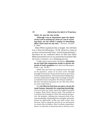chine; he uses his own words.

"Although I am as dependent upon the Spirit of the Lord in writing my views as I am in receiving them, yet the words I employ in describing what I have seen are my own."—*Review, October 8, 1867.*

Ellen White explained this at length. You will find it in *1 Selected Messages, 19-39*. However, many of us have unconsciously been "verbal inspirationists"; therefore we are confused when we find that Ellen White functioned (not as an automated machine) like all God's creatures, as a thinking person.

"Unlike many conservative Christians, Adventists do not hold that inspiration works to dictate the words of God's prophets *(see Selected Messages, Book 1, pp. 19-39).*

"While this has been our position from the days of the pioneers, many of us have never thought through the doctrine. In practical terms we have been verbal inspirationists, subconsciously holding that, because inspiration brings God's message to people, it somehow must overpower the human medium . . We have devalued humanity by our idea that divinity must supersede it.

"But the Word of God does not short-circuit the usual human channels for acquiring knowledge, even as it does not confer upon the inspired prophet a unique 'Holy Ghost' literary style. The prophet as a total person is inspired. From the human perspective, the prophet, utilizing the common fund of human knowledge, displaying both strengths and weaknesses of expression, is like any other writer. But, because God is using the person as an instrument to convey His revelation, there is divine superintendence in selection of material and in literary activ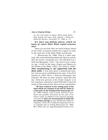ity. The end result is always 'Word made flesh' fully human but more than human."—*Editorial, Adventist Review, November 27, 1980, p. 13.*

#### *Are there any definite places, which we know of, where Ellen White copied someone else?*

There are very few. Here are most of them, listed in the order of amount which was copied, in ratio to the total size of the Ellen White production:

1 - *Manuscript 24, 1886:* This is a short passage. She read something (which she liked so much) that she wrote a summary of it. You will find it in *1 Selected Messages, 19-21.* The source was a chapter *(pp. 13-20)* in the book, *Origin and History of the Books of the Bible* (1867), by Calvin E. Stowe. After summarizing it, she apparently laid the sheet aside. It was later given a manuscript number, but was never published in her time. It was first printed in 1958, when *1 Selected Messages* was released. We have no other instance quite like this one. Forty-two percent of the Stowe chapter is in her summary statement. David Neff did a research study on this manuscript. Here are his conclusions:

"We have evidence of her writing most of the ideas which are common to her and Dr. Stowe at a time prior to the writing of this manuscript *[MS 24, 1886]*. Indeed, some of these references antedated any possible awareness on her part of Dr. Stowe's book. In addition to the common theological material, there are several points at which the two authors diverge or have distinctively different emphases. These are of sufficient importance for us to conclude that in writing *Manuscript 24, 1886,* Mrs. White was not 'appropriating the ideas of an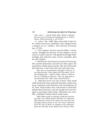other man.' "—*David Neff, Ellen White's Alleged Literary and Theological Indebtedness to Calvin Stowe, SDA Seminary, p. 25 (1973).*

2 - *Letter 19e, 1892:* More than half of this letter, which was never published, was adapted from a chapter in J.C. Geikie's, *The Precious Promises (pp. 47-52).*

3 - *The chapter, Science and the Bible, in Education:* Roughly 20 percent of this chapter can be traced to prior sources. She gleaned through other writings and selected some correct scientific data for this chapter.

4 - *Historians' statements in Great Controversy:* She quoted historians and did not often place the quotations within quote marks. But she said in her Introduction to the book that she had done this.

"She also recommended d'Aubigné's *History of the Reformation,* from which she borrowed, as an ideal holiday gift."—*Robert Olson, Ellen G. White's Use of Uninspired Sources.* [The ad appeared in the December 26, 1882, issue of the *Review*.]

5 - *Sketches from the Life of Paul:* This small 1883 book had some material included, which was from Conybeare and Howson's *Life and Epistles of St. Paul.* Both books were advertised in Adventist publications that year; and our people were encouraged to purchase both books. *Sketches* was actually a Sabbath School lesson helps book.

"Ellen White made no attempt to hide her borrowing. She even called special attention to Conybeare and Howson's work in the same year that she was drawing extracts from it [for her book, *Sketches from the Life of Paul*]. In support of an advertisement for the book in the *Signs of the Times* of Feb-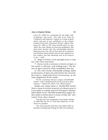ruary 22, 1883 [as a premium for the *Signs* subscriptions], she wrote, '*The Life of St. Paul* by Conybeare and Howson I regard as a book of great merit, and one of rare usefulness to the earnest student of the New Testament history' *(Signs,* February 22, 1883, p. 96). Four months later, in June 1883, her own volume on Paul was published. She must have known that the relationship between *Sketches from the Life of Paul* and the Conybeare and Howson book would soon become apparent to her readers, but this obviously was of no concern to her."—*Ibid.*

6 - *Steps to Christ:* A few passages may, or may not, have been borrowed.

7 - *Some words or phrases in Desire of Ages*: A few words or phrases, and nothing more. The *Desire of Ages* research study established that fact.

8 - *The other books:* Essentially nothing, which is why *Desire of Ages* was selected for the research: Rea cited it, along with *Great Controversy,* as the most plagiarized of her books.

"Of her enormous literary output—25,000,000 words—only a small fraction can be traced to other authors."—*Robert W. Olson, E.G. White Estate.*

Really now, think about it: 25,000,000 words! Such a mass of written material; yet almost none of it traceable to outside sources! During her lifetime, Ellen White wrote 100,000 handwritten pages! Yet, that which is listed above is most of what she "borrowed" from other writers!

"The girl that was supposed to die before spring of 1845 did not do so. God had called her to the work of a prophet.

"The years passed and they were filled with exhaustive traveling and writing. In 1881 her husband,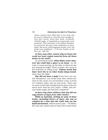James, passed away. Ellen kept at her work and the years continued on. And the years brought article after article, book after book. Gradually, 100,000 pages of handwritten manuscripts were produced. This amounted to 25 million handwritten words (for she never used a typewriter or shorthand). She wrote 4,500 magazine articles. Over 100 books were published."*—V. Ferrell, Prophet of the End, pp. 193-194.*

## *Is there any other reason why we know she could not have copied material from all those books on her desk?*

As mentioned earlier, Ellen White wrote wherever she could find a place to sit down—on the train, at camp meeting, on the ship, or wherever she was staying overnight. When at home, she wrote in her bedroom or sitting room. Visitors noted that there were few or no other books lying around, other than the Bible.

She did not have a desk! If you have ever visited Elmshaven, you would have been shown her chair in the corner of a second-floor room, in front of a window, where she sat and wrote. There was no room on the little writing board in front of her for much more than her pen, paper, a Bible, and several earlier pages she had just completed!

# *Is there any other evidence that she did not copy Desire of Ages from other books?*

While in Australia, writing on some of these books—including *Desire of Ages*—she was so crippled for a time that she could only use her hand and forearm, without severe pain. - Yet Walter Rea says she copied most of what was in that book!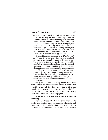This is but another evidence of his false statements.

"It was during her ten-month-long illness in 1892 that Ellen White actually began to do much writing on the ministry of Christ. In her diary, she noted . . 'Thursday, July 14: After arranging my position so as not to bring any strain on arms or shoulders, I go to work at my writing, asking the Lord to bless that which I write. I know that He helps me . . I am now writing on the life of Christ.' "—*A.L. White, The Australian Years, pp. 381-382.*

"Some of the choicest passages in *'Th*e *Desire of Ages'* came from her pen when she was confined not only to her room, but much of the time to her bed or to her writing chair fitted with an adjustable rest for her pain-racked arm. Soon after she reached Australia, she began to suffer with inflammatory rheumatism, and for eleven months was in constant pain. Of this experience she wrote: 'I have been passing through great trial in pain and suffering and helplessness, but through it all I have obtained a precious experience more valuable to me than gold.' "— *A.L. White, Ellen G. White: Messenger to the Remnant, p. 59.*

Nearly the first year of writing on *Desire of Ages* was done in an almost totally crippled, pain-filled condition. Yet, all the while, according to Rea, she was busy copying material out of other books! The truth was she could hardly pick up a book during that time, much less turn its pages!

### *I have heard that she wrote everything from memory.*

There are those who believe that Ellen White had a near photographic memory for things she had read in the Bible and elsewhere. There is no doubt that she always seemed to know exactly what Bible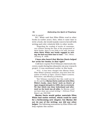text to quote!

W.C. White said that Ellen White read in other books in earlier years; then, when it came time to write a book, she would mainly concern herself with writing and refer relatively little to other works.

"Regarding the reading of works of contemporary authors during the time of the preparation of these books, there is very little to be said, because when Sister White was busily engaged in writing, she had very little time to read."—*W.C. White, January 8, 1928.*

### *I have also heard that Marian Davis helped her write her books; is that right?*

I will here reprint Fred Veltman's thirteenth discovery, made during his exhaustive six-year research project. It was mentioned earlier in this book:

"#13 - It has been charged that Marian Davis, Ellen White's primary assistant, may have been the author of *Desire of Ages, Christ's Object Lessons, Education,* and *Ministry of Healing.*

"But Veltman concluded that this could not be so. He said that Marian Davis could not write Ellen White's books, since Davis' work on *Desire of Ages* stopped abruptly in 1899, due to overwork. Yet that which was done beforehand and afterward on the book was all alike. So Marian could not have done any actual writing."—*Veltman Final Report, pp. 945-946.*

Marian Davis would gather materials Ellen White had earlier written, which could be used for a forthcoming new chapter; but Marian did not do any of the writing, nor did any other helper. The following statements by Ellen White will help explain this matter: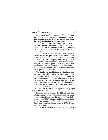"I feel very thankful for the help of Sister Marian Davis in getting out my books. She gathers materials from my diaries, from my letters, and from the articles published in the papers. I greatly prize her faithful service. She has been with me for twentyfive years, and has constantly been gaining increasing ability for the work of classifying and grouping my writings."—*3 Selected Messages, p. 93 (cf. Letter 9, 1903).*

"She does her work in this way: She takes my articles which are published in the papers, and pastes them in blank books. She also has a copy of all the letters I write. In preparing a chapter for a book, Marian remembers that I have written something on that special point, which may make the matter more forcible. She begins to search for this, and if when she finds it, she sees that it will make the chapter more clear, she adds it.

"The books are not Marian's productions, but my own, gathered from all my writings. Marian has a large field from which to draw, and her ability to arrange the matter is of great value to me. It saves my poring over a mass of matter, which I have no time to do . . Marian is a most valuable help to me in bringing out my books."—*3 Selected Messages, pp. 91 (cf. Letter 61a, 1900).*

About a year into the writing of *Desire of Ages,* Marian wrote this:

"Perhaps you can imagine the difficulty of trying to bring together points relating to any subject, when these must be gleaned from thirty scrapbooks, a halfdozen bound [EGW] volumes, and fifty manuscripts, all covering thousands of pages."—*The Austrailian Years, 383 (Marian Davis, letter to W.C. White, March 29, 1893).*

Ellen White would take the material, bridge some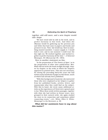together, add still more, and a new chapter would take shape.

"We have stood side by side in the work, and in perfect harmony in that work. And when she [Marian] would be gathering up the precious jots and tittles that had come in papers and books and present it to me, 'Now,' she would say, 'there is something wanted [needed]. I cannot supply it: I would look it over, and in one moment I could trace the line right out. We worked together, just worked together in perfect harmony all the time."—*3 Selected Messages, 93 (Manuscript 95, 1904).*

Here is another statement on this:

"In the preparation of *'The Desire of Ages,'* as in the preparation of other later publications, Mrs. White did not write the book straight through, chapter by chapter, in the order in which the chapters appeared in printed form. This was not necessary, for during the preceding thirty-five years she had written many hundreds of pages on this theme, much of which had already been published.

"With this background of material, she instructed those who were employed as her helpers to gather from her published books, articles, letters, and manuscripts what they could find on the subject. With this in hand, she wrote many additional articles as the experiences of Christ were opened anew to her. When these newly written passages, together with what she had written in former years, were grouped in their natural order, she again studied the story in its connection and sometimes added connecting events."—*A.L. White, Ellen G. White: Messenger to the Remnant, p. 59.*

### *What did her assistants have to say about this matter?*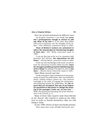Here are several statements by different ones:

"In all good conscience I can testify that **never** was I presumptuous enough to venture to add any ideas of my own or to do other than follow with most scrupulous care the thoughts of the author."—*D.E. Robinson, statement made in 1933.*

"None of Mother's workers are authorized to add to the manuscripts by introducing thoughts of their own."—*W.C. White, statement made in 1900.*

"I can say that just as far as it is consistent with grammar and rhetoric, her expressions are left intact."—*Fannie Bolton, statement made in 1894.*

"From my own knowledge of the work, as well as from the statements of Sister White herself, I have the strongest possible ground for disbelieving that such a thing [the adding of thoughts by others] was done."—*Marian Davis, statement made in 1900.*

Ellen White herself said this:

"As the work grew, others assisted me in the preparation of matter for publication. After my husband's death, faithful helpers joined me, who labored untiringly in the work of copying the testimonies, and preparing articles for publication. But the reports that are circulated, that any of my helpers are permitted to add matter or change the meaning of the messages I write out, are not true."— *EGW, The Writing and Sending Out of the Testimonies to the Church, p. 4.*

Many of those false reports came from liberals in the church, who wanted to undercut her influence in order to benefit themselves. Men are still doing it today.

In late 1898, *Desire of Ages* was finally printed. "How many have read carefully *Patriarchs and*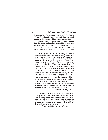*Prophets, The Great Controversy,* and *The Desire of Ages*? I wish all to understand that my confidence in the light God has given stands firm, because I know that the Holy Spirit's power magnified the truth, and made it honorable, saying: 'this is the way, walk ye in it.' In my books, the truth is stated, barricaded by a 'Thus saith the Lord.' "— *EGW, Colporteur Ministry, 126 (Letter 90, 1906).*

"Through faith in the atoning sacrifice of Christ the sons of Adam may become the sons of God . . Such love is without a parallel. Children of the heavenly King! Precious promise! Theme for the most profound meditation! The matchless love of God for a world that did not love Him! The thought has a subduing power upon the soul and brings the mind into captivity to the will of God. The more we study the divine character in the light of the cross, the more we see mercy, tenderness, and forgiveness blended with equity and justice, and the more clearly we discern innumerable evidences of a love that is infinite and a tender pity surpassing a mother's yearning sympathy for her wayward child."

— Steps to Christ, 15

"The gift of God to man is beyond all computation. Nothing was withheld. God would not permit it to be said that He could have done more or revealed to humanity a greater measure of love. In the gift of Christ He gave all heaven."

— Sons and Daughters of God, 11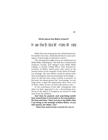### **What about the Bible writers?**

# How the Bible Writers Wrote

Walter Rea was on his great tour of North America. Everywhere he went, Adventists flocked to his meetings in rented halls in Adventist centers.

The meeting this night was in an auditorium in Walla Walla, Washington. The hall was crowded with students, faculty, and villagers from Walla Walla College, at nearby College Place. They listened attentively as Walter listed point after point in his steady attack on the integrity of the Spirit of Prophecy writings. (He was always careful to spend more time attacking her than in presenting "borrowings" since he did not have many of them to present. In his book, he always placed the "borrowings" in very large print, to give the impression there were a lot of them; when, in fact, he had only found a few.)

At the conclusion of his talk, triumphant with what (to him) appeared to be a devastating overthrow of the Spirit of Prophecy, he turned to walk away from the podium.

And then he paused; and something inside him caused him to turn back to the microphone. He then said this: "Don't you do to the Bible what I am doing to the writings of Ellen White, or you will destroy the Bible, too!"

"Walter Rea inadvertently revealed the crux of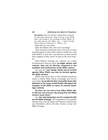the matter when he told his College Place audience on Saturday afternoon: 'Don't you do to the Bible what I am doing to the writings of Ellen White, or you will destroy the Bible, too.' "—*North Pacific Union Gleaner, February 1, 1982, p. 10.*

With that he sat down.

Why did Walter Rea utter that warning?

That ominous statement was a forecast of what would happen to those who chose to walk that road with Walter. It was also a prediction of what would later happen to him; more on that in the next chapter.

Ellen White's writings are—almost—in a class by themselves. But not quite. In origin, nature, and content, they can be directly compared to the methods and productions of the Bible writers.

For, you see, any charge which can be leveled against Ellen White can also be leveled against the Bible writers!

Walter Rea knew that, in that doleful statement made in Walla Walla which seemingly was forced out of him, he predicted that eventually those who followed in his steps would finally disregard the integrity of the Bible or reject its various teachings entirely.

*So then we can learn how Ellen White did, or did not, use sources, by seeing how the Bible writers used them?*

Yes, the only thing they can be compared with are the Bible writings. The complainers can quibble all they want; but the Spirit of Prophecy stands head and shoulders above all other books, except the Bible writings.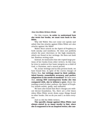For this reason, in order to understand how she wrote her books, we must turn back to the Bible.

Why did Walter Rea not come out openly and admit that his attacks against Ellen White are also attacks against the Bible!

Walter Rea's attack on the Spirit of Prophecy is both sneaky and insidious. He does not publicly attack the pure doctrines or the high standards, which are found in her writings. He does not fault her flawless writing style.

Instead, he insinuates that she copied large portions of her books from other writers. In this way, he tries to undercut her basic integrity as a child of God, a Christian, and a moral person.

Yet, in her writings and in this present book, we have found that, in spite of the craven charges of Walter Rea, her writings stand in their unblemished beauty, remarkable accuracy, and perfect adaptation to the needs of mankind. We have seen that, among 500 contemporary books she was compared with, she is without a peer. Above the jostling crowd of other authors, the Spirit of Prophecy stands sedate, godly, and unflawed.

We have also found that Rea's charges are without decent foundation. Yes, there are a few times when Ellen White wrote down some things found in other books. But so do you and I; so does everyone.

And so did the Bible writers.

The specific charge against Ellen White (not always stated in so many words) is that, since she is supposed to be an inspired writer, she can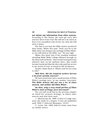not obtain any information from other sources. According to this theory, she must get every idea and fact direct from God: She will see it in vision or hear it in a soundless voice in her ear; then she will write it down.

But that is not how the Bible writers produced their books. Walter Rea said: "Don't you do to the Bible what I am doing to the writings of Ellen White, or you will destroy the Bible, too." He was right.

Walter Rea knew that if the youthful students attending Walla Walla College followed through on his ideas and methods—they would erelong become atheists! And, on the pathway there, they would become hardened liberals who only paid lip service to the words of God, as found in His Scriptures.

Reader, think about it. Which road do you want to take?

# *Well then, did the inspired writers borrow a lot from outside sources?*

We have found that only a small portion of Ellen White's writings were, in any manner, borrowed. The Bible writers did not use a lot of other sources, and neither did Ellen White.

# *So then, only a very small portion of Ellen White's total writings were borrowed?*

Yes; you will recall that in the previous chapter we listed her primary writings, in which other sources may have been used:

1 - *Manuscript 24, 1886:* A short 2½ page summary she made of a chapter. It was not published until 1958 *(1 Selected Messages, 19-21).*

2 - *Letter 19e, 1892:* Half of a letter came from an outside source.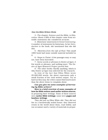3 - *The chapter, Science and the Bible, in Education:* About a fifth of this chapter came from scientific statements she considered accurate.

4 - *Historians' statements in Great Controversy:* A number of statements by historians. In her *Introduction* to the book, she mentioned that she did this.

5 - *Sketches from the Life of Paul:* This small 1883 book had some outside material included in it.

6 - Steps to Chri*st:* A few passages may, or may not, have been borrowed.

7 - *Some words or phrases in Desire of Ages:* A few words or phrases, and nothing more. The *Desire of Ages Research Project* proved that.

8 - *The other books:* Hardly anything, which is why *Desire of Ages* was selected for the research.

In view of the fact that Ellen White wrote 25,000,000 words, the above represents only a small fraction of her total written output. Try as hard as they may, the critics cannot find much more than the above items to complain about.

### *Can you give me some examples of borrowing by Bible writers?*

Here is a brief overview of some examples of how the Bible writers used earlier written sources, in preparing their writings. Some of these sources were earlier Bible writings; some were pagan and heathen writings.

They did just as Ellen White did: They did not live in a hermetically sealed house; they observed events in the world about them, read widely, and (on occasion) used a variety of materials in prepar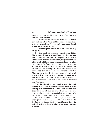ing their scriptures. Here are a few of the borrowings by Bible writers:

1 - Material was borrowed from earlier Scripture writers. Ellen White did this and so did the Bible writers themselves. For example, compare Isaiah 2:2-4 with Micah 4:1-3.

2 - Also compare Isaiah 36 to 39 with 2 Kings 18 to 20.

3 - The book of Mark is remarkable. Either Mark copied Matthew and Luke or they copied Mark. Matthew and Mark's Gospels are similar in the extreme. Several decades ago, the present writer did a study of Mark, in an attempt to locate original events in it. He found only a couple; both were insignificant. Every occurrence in Mark you will find in Matthew (and many in Luke). But, when Mark writes about an event, he frequently says more than Matthew provides; this is why we quote Mark at all. A full 95 percent of the content of Mark is in Matthew and / or Luke. Mark 14:51 is one of the few incidents in Mark not to be found in Matthew and / or Luke.

The likelihood is that Mark wrote his small gospel first. Then Matthew heavily used it while adding still more events. Then Luke placed Matthew in front of him and used much of it, plus adding a large section (especially from chapters 10 to 19) which has many parables and miracles.

Luke's introduction to his Gospel (called "Luke's prologue," Luke 1:1-4) reads like Ellen White's *Introduction* to *Great Controversy*. Both of these inspired writers declare that they used outside sources.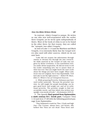In contrast, John's Gospel is unique. He writes as one who was well-acquainted with the earlier three Gospels; yet he wrote quite independently of theirs. Most of the book of John is not to be found in the other three; for that reason, they are called the "synoptic (see-alike) Gospels."

In view of Luke 1:1-4 and the Matthew and Mark Gospels, it is extremely likely that the Gospel writers also used still other sources, which we do not now have.

"Luke did not acquire his information through visions or dreams but through his own research. Yet while material in the Gospel of Luke was not given by divine revelation, it was nonetheless written under divine inspiration. He did not write to tell his reader something new, but to assure them of what was true 'that you might know the exact truth about the things you have been taught: What Luke wrote was not original, but it was dependable. God led Luke to use the right sources."—*Robert W. Olson, Ellen G. White's Use of Uninspired Sources.*

4 - While preparing Proverbs, Solomon may have used earlier materials: "Because the preacher was wise, he still taught the people knowledge; yea he gave good heed, and sought out, and set in order many proverbs. The preacher sought to find out acceptable words: and that which was written was upright, even words of truth."—*Ecclesiastes 12:9-10.*

5 - The Apostle Paul quoted from Epimenides, a sixth century B.C. Greek poet. Compare Titus 1:12 and Acts 17:28 with the following poetical passage from Epimenides:

"They fashioned a tomb for Thee, O holy and high One—The Cretans, always liars, evil beasts, idle bellies! But Thou are not dead: Thou livest and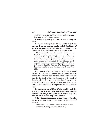abidest forever; for in Thee we live and move and have our being."—*Epimenides.*

Clearly, originality was not a test of Inspiration.

6 - When writing Jude 14-15, Jude may have quoted from an earlier work, called the Book of Enoch, a pseudepigraphal [false-named] book, written about 100 years before the time of Christ.

"And behold! He cometh with ten thousands of His holy ones to execute judgment upon all, and to destroy all the ungodly: and to convict all flesh of all the works of their ungodliness which they have ungodly committed, and of all the hard things which ungodly sinners have spoken against Him."—*Enoch 1:9, quoted in R.H. Charles, The Apocrypha and Pseudepigrapha of the Old Testament, Vol. 2, p. 189.*

It is likely that this statement by Enoch (quoted in Jude 14-15) may have been handed down by word of mouth and then was written by an unknown author in the Book of Enoch. A reading of the book of Enoch, which the present writer has done, discovered little of worth. But Jude was guided to know that this one statement from pseudo-Enoch, was correct.

In the same way, Ellen White could read the writings of historians and know which facts were correct, although one historian would say this and another would say the opposite.

7-12 - Several passages in the book of Revelation are similar to other sentences in the Book of Enoch:

"And I saw . . and behold a star fell from heaven." *—Enoch 86:1 (compare Revelation 9:1).*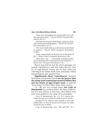"They were all judged and found guilty and cast into this fiery abyss."—*Enoch 90:26 (compare Revelation 20:15).*

"And the first heaven shall depart and pass away, and a new heaven shall appear."—*Enoch 91:16 (compare Revelation 21:1).*

"The horse shall walk up to the breast in the blood of sinners."—*Enoch 100:3 (compare Revelation 14:20).*

"Their names shall be blotted out of the book of life."—*Enoch 108:3 (compare Revelation 3:5).*

"After that I saw . . a multitude beyond number and reckoning, who stood by the Lord of Spirits."— *Enoch 40:1 (compare Revelation 7:9).*

Now it may well be that the above passages are merely coincidences, and that John did not refer to, or copy, Enoch. It may also be that John was referring to an earlier book (now unknown), which pseudo-Enoch also quoted from.

Significantly, these "coincidences" between Revelation and pseudo-Enoch are far greater than the trivial word connections found by Walter Rea and the Desire of Ages Project team, to indicate "borrowing" by Ellen White from other writers.

13 - We are not certain when the Code of Hammurabi was written before the time of Moses; but if it was written at that time, then Moses may have been guided to use some of its principles.

Code of Hammurabi, No. 14: "If a citizen has stolen the son of a citizen he shall be put to death."

Exodus 21:16: "And he that stealeth a man and selleth him, or if he be found in his hand, he shall surely be put to death."

Code of Hammurabi, Nos. 196 and 200: "If a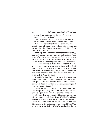citizen destroys the eye of the son of a citizen, his eye shall be knocked out."

Deuteronomy 19:21: "Life shall go for life, eye for eye, tooth for tooth, hand for hand, foot for foot."

But there were other laws in Hammurabi's Code which were inhumane and vicious. These were not included in the Mosaic writings *(see 1 Bible Commentary, 616-619).*

Frankly, the above two examples of "copying" are just common sense and do not indicate "borrowing" to the present writer. Yet the critics present us with similar common-sense word structures which Ellen White is supposed to have "borrowed."

14 - Then there is Jude and 2 Peter 2-3. This will provide you, in your spare time, with a fascinating evening of study. Read the book of Jude; and find where it is essentially repeated in the second and third chapters of 2 Peter. Especially note Jude 4-18 with 2 Peter 2:1-3:18.

It is likely that, first, Jude wrote his book; and later Peter, referring to it, changed it around a little and put it into his second epistle. But it may be that Jude took a portion of 2 Peter, rearranged it, and produced his epistle.

Someone will say, "Well, both 2 Peter and Jude are Scripture." They are. The borrower here was just using another Christian's written materials,

15 - Another borrowing, which may have a simple explanation, is 2 Chronicles 36:22-23 and Ezra 1:1-3a. It is likely that Ezra wrote 1 Chronicles, 2 Chronicles, and Ezra. So he repeated the last of 2 Chronicles at the beginning of his book of Ezra. That recalls to mind Ellen White's method of incor-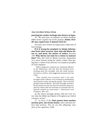### porating her earlier writings into *Desire of Ages*.

16 - We also have an instance in which another Bible writer copied one of the psalms. Psalm 18:2- 50 was copied into 2 Samuel 22:2-51.

You have just viewed an impressive collection of borrowings.

If it is wrong for prophets to obtain information from other sources, then why did Moses listen to, and heed, the advice of Jethro *(Exodus 18)*? Why did he not wait for a vision to instruct him? Why did God let Moses become dependent on a mere human being for advice rather than giving him a vision from heaven? An inspired prophet of God explains:

"When Zipporah rejoined her husband [Moses] in the wilderness, she saw that his burdens were wearing away his strength, and she made known her fears to Jethro, who suggested measures for his relief . .

"This counsel was accepted, and it not only brought relief to Moses, but resulted in establishing more perfect order among the people. The Lord had greatly honored Moses, and had wrought wonders by His hand; but the fact that he had been chosen to instruct others did not lead him to conclude that he himself needed no instruction."—*Patriarchs and Prophets, 384, 301.*

As the above passage shows, did you ever notice that the Bible and Spirit of Prophecy are full of common sense?

17 - In Acts 17:28, Paul quotes from another ancient poet, the Greek Aratus, who centuries before had written: "For we are His offspring" *(see Acts of the Apostles, 239).*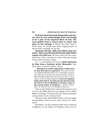Paul borrowed from both Epimenides and Aratus; and we now acknowledge these borrowings to be a part of the Inspired Word of God. The Lord guided Paul to know what to select and place in his writings. If Walter Rea had lived in Paul's time, he would have been urging people to throw Paul's writings in the fire.

Someone will say, "Well, Paul didn't copy very much. "Well, out of 25,000,000 words, Ellen White copied very little too. We have listed all the essential items; and it amounts to only a tiny percentage of her entire literary output.

18 - 1 Corinthians 15:33 is a third quotation by Paul from a heathen writer, Menander, who lived three centuries before Christ.

"Paul gives no credit to Menander; neither does he hint that this is a quotation. The proverb was not original with Paul and it is a reasonable assumption that the Lord did not supernaturally reveal to Paul what Menander had said, yet we accept 1 Corinthians 15:33 as fully Inspired. It was not Inspired before Paul said it, but when he put that line into his letter to the Corinthians it became a part of the sacred canon of Scripture."—*Robert Olson, Ellen G. White's Use of Uninspired Sources.*

This is why Walter Rea warned his listeners not to do to the Bible what he was trying to do to Ellen White's writings. He knew that the same principles and practices were used by both.

Did this issue about Bible writers come up again during Walter Rea's lecture tour across the continent?

Elsewhere, on his continent-wide tour to destroy confidence in the Spirit of Prophecy, Rea went to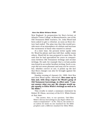### **How the Bible Writers Wrote**

New England. In preparation for Rea's lecture at Atlantic Union College, in Massachusetts, one of the Old Testament Bible teachers, Dr. John Wood had been asked to give a rebuttal, as soon as Rea's lecture had ended. The plan was that this would provide more of an atmosphere of a debate and increase the excitement of those who wanted to attend.

At a later time, the present writer spoke with Dr. Wood by phone and was told that, unlike many others, Wood felt he was prepared to meet Rea. He said that he had specialized for years in comparisons between Old Testament writings and secular writings. He said, for example that a certain psalm was found in an earlier heathen writing. Such a concept did not seem pleasant and may not be correct; but, whether correct or not, it points up the fact that Rea's charges can also be brought against the Bible writers.

Sunday evening of January 24, 1982, first Rea and then Wood spoke. Afterward, Rea came up to him and, with deep respect for Wood's grasp of Old Testament borrowings, in effect said, "I cannot answer what you say. My charges would apply equally to Ellen White's writings as well as to the Bible."

This recalls to mind a summary statement by Robert W. Olson, secretary of the E.G. White Estate at that time:

"The answer, then, to our question, 'Did Ellen White's literary borrowings in any degree dilute her claim to inspiration?'—is No. That is, the answer is no unless we insist on one standard for the Bible prophets and a different standard for Ellen White.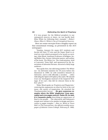If it was proper for the Biblical prophets to use uninspired sources at times, we can hardly fault Ellen White for following their example."—*Robert Olson, Ellen G. White's Use of Uninspired Sources.*

Here are some excerpts from a lengthy report on that sensational evening, as presented in the AUC newspaper:

"Sunday, January 24, many AUC students and faculty left their TV sets and the Super Bowl to attend an event which promised to be nearly as exciting: John Wood, Assistant Professor of Religion, facing Walter Rea, former Adventist pastor, and author of the book, *The White Lie.* The confrontation, held at Lancaster Town Hall, and sponsored by the Association of Adventist Forums, attracted a fairly large audience . .

"Rea spoke first, his talk being entitled *'The White Lie.'* An Adventist minister for 35 years before his dismissal in 1980, he still considers himself an Adventist, and is still officially a member . . [After ridiculing the Spirit of Prophecy, Rea said:] 'We should trust our theologians [instead of the Inspired Writings]. If we can't, why did we educate them in the first place?'

"Elder Wood spoke on *'Prophets and Plagiarists,'* centering his arguments on what he feels is the real issue—the nature of inspiration. He attacked the 'Fundamentalist heresy' . . He gave numerous examples where the Bible 'plagiarizes' from apocryphal and even pagan sources. Psalm 29, he said, is a Canaanite psalm describing an appearance of Baal to his people . . The tabernacle and Solomon's temple were shown to be similar in design and decoration to pagan temples."—*Rea vs. Wood at Town Hall, in The Lancastrian, the official weekly newspaper of Atlantic Union College, February 9, 1982,*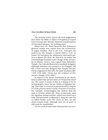*p. 1.*

The present writer rejects all such suggestions that either the Bible or Spirit of Prophecy is copied from everyone else. We have observed a small amount of borrowed phrases, but nothing more.

[*Brief note:* Dr. Wood theorizes that Solomon's glorious temple was copied from the architecture of pagan temples. This is not true. God gave the pattern for the Temple to David *(4SG-a 113),* as earlier He had given the wilderness tabernacle pattern to Moses *(Ex 25:8, 40; Heb 8:5).* In reality, the outstandingly beautiful outer design of the Acropolis in Athens, Greece, was copied from Solomon's Temple. Our Lincoln Memorial is similarly designed. Although Solomon was praised as its designer *(PK 66),* it was God who designed that Temple *(PK 66).* Christ originated it *(DA 193),* He made its plans *(3BC 1129, COL 349).* Christ was the architect of Solomon's Temple *(COL 349).*]

In regard to the above statements by Dr. Wood, keep in mind that ancient dates are frequently mixed up. The cause of much of this is a dating error by archaeologists, since the late 1930s, in Egyptian dating. This topic is covered in partial detail in chapter 21 of the present writer's book, *Evolution Cruncher.* For example, archaeologists did, indeed, find the wall of Jericho which fell. They erroneously used the Egyptian dating method, which was based on a false interpretation of Manetho's king list and the so-called Sothic cycle. For more on this, see the above-named book. Although now out of print, it will soon be republished.

It is for such reasons that Hammurabi can erro-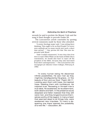neously be said to predate the Mosaic Code and the song to Baal thought to precede Psalm 29.

The *Lancastrian* article concludes by quoting several comments made by those who attended:

"A senior theology major said, 'I was sitting there thinking, This ought to be on Real People! I've never seen anybody get so many words into such a short time period' . . One person felt that 'Rea was impressed with Wood.'

"Dale Cradall commented, 'It was clear that if we were to reject Ellen White on the basis of Elder Rea's conclusions, we would also have to reject all the prophets of the Bible, because they also borrowed from their contemporaries."—*The Lancastrian (the newspaper for Altantic Union College), February 9, 1982.*

"In every human being He discerned infinite possibilities. He saw men as they might be, transfigured by His grace,—in 'the beauty of the Lord our God.' Psalm 90:17. Looking upon them with hope, He inspired hope. Meeting them with confidence, He inspired trust. Revealing in Himself man's true ideal, He awakened, for its attainment, both desire and faith. In His presence souls despised and fallen realized that they still were men, and they longed to prove themselves worthy of His regard. In many a heart that seemed dead to all things holy, were awakened new impulses. To many a despairing one there opened the possibility of a new life."—Education, 80.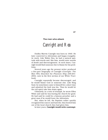# Canright and Rea

Dudley Marvin Canright was born in 1840. He later converted to Adventism and began evangelistic work. Like Walter Rea, he had a natural aptitude with words and, like him, would enter moods of doubt and discouragement. At such times, Canright would find someone else to blame for his problems.

Several years ago the present writer produced a five-part biography of Canright *(Canright: The Man Who Boarded the Phantom Ship [DH-201- 205]),* now in the first section of our *White Tractbook.*

Canright repeatedly became discouraged; and he would blame God or someone else. Like King Saul, he sometimes came to himself for a short time and admitted the fault was his. Then he would let the evil spirit take him down again.

Ultimately, in a note of triumph, he wrote Ellen White and said he was leaving the church for good. He had said he could be a famous preacher and a great man if he would leave the Adventists.

But, when he left, the Baptists rather quickly recognized his rancor and hatreds; they booted him out of the local church they had given him.

In later years, Canright would write contempt-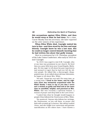ible accusations against Ellen White; and then he would weep at what he had done. For a time, Carrie Shasky was his secretary; she later reported on the utter misery of his experience.

When Ellen White died, Canright waited his turn in line—and then stood by the bier and wept bitterly. Canright knew he was a lost man. But he could no longer control himself, knowing that he had written lies about that godly woman.

Here is a statement by L.H. Christian, president of the Lake Union Conference, who early in 1915 visited Canright:

"In 1915 I was urged to visit D.M. Canright, who at one time was prominent in our church. He lived then on a poor little farm near Grand Rapids, Michigan. He was eager to tell about his past experiences and seemed to regret that he had ever left the Advent people. He talked like a discouraged, disappointed man. As we talked about old-time Adventists, he began to tell about Mrs. White.

"He said, 'I knew her very well. For some time, as a young man, I lived in her home, and for eighteen years was intimately acquainted with the White family. I want to say to you that I never met a woman so godly and kind and at the same time so unselfish, helpful, and practical as Mrs. White. She was certainly a spiritual woman, a woman of prayer and deep faith in the Lord Jesus.'

"I asked him what he thought would happen to people if they followed the *Testimonies* of Mrs. White.

"He answered, 'Anyone who follows her writings, the *Testimonies*, as you call them, in prayer and faith will certainly get to heaven. She always exalted Jesus, and she taught true conversion and genuine sanctification as few others have. I have known a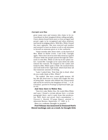#### **Canright and Rea**

great many men and women who claim to be extraordinary in their imagined divine calling and gifts. I have always found them more or less arrogant and proud, eager to be recognized and often arbitrary and harsh in judging others. With Mrs. White I found the exact opposite. She was reserved and modest and seemed to have no desire at all to call attention to herself as someone great or to her authority.'

"Some months after these visits, at the funeral of Mrs. White in Battle Creek, I met D.M. Canright again. There were six of us men who stood as a guard of honor while the people passed through the tabernacle to view Mrs. White as she lay in her plain casket. I noted Mr. Canright as he came down the aisle toward the rostrum. He stopped at the casket and looked at Mrs. White quite a while. He reached down and took hold of her right hand, which had done all that immense amount of writing.

"Later I asked him, 'Now that she is dead, what do you really think of Mrs. White?'

"He replied, 'She was a most godly woman. All her life she lived near to Jesus and taught the way of living faith. Anyone who follows her instructions will surely be saved in the kingdom of God.' "—*L.H. Christian, quoted in Fruitage of Spiritual Gifts, pp. 51-53.*

### And then there is Walter Rea.

"Now let's take Walter Rea. He reads Ellen White and says: I found a certain phrase here, a certain paragraph there, and it came from this predecessor. Well, that's not proof; that's assumption."*— Vincent L. Ramik, 27-page Report, quoted in Adventist Review, September 17, 1981, p. 5.*

Here is a solemn thought to ponder:

Fred Veltman was immersed in Desmond Ford's liberal teachings; and, as a result, he thought little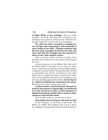of Ellen White or her writings ("She is a dead prophet," he said). Afterward he accepted an opportunity to be paid for several years—while he unearthed evidence to prove she was uninspired.

Yet, after six years, occupied in reading *Desire of Ages* and comparing it with hundreds of other books in her time,—Veltman declared that she was truly a prophet of God for her time and ours; and that her writings were far superior to those of any other modern writer!

After a six-year study of *Desire of Ages,* Fred Veltman was converted. It may well be the saving of his soul.

In sorry contrast, we see Walter Rea, who studied Ellen White's writings for as many or more years—with the sole purpose of destroying people's confidence in those books. During that time, he had to repeatedly beat off the convictions of the Holy Spirit, as he sought for ways to destroy the influence of the inspired words he was reading. It was not easy, kicking against the pricks; but he kept at it—until he hardened his conscience into stone. May God have mercy on his poor soul.

Lucifer became a devil in heaven. Because he stood in the presence of great light, he attributed it to evil. He did so in order to draw attention to himself as the great scholar able to uncover wickedness in God and His works.

That is what makes a person into a devil.

*Does Walter Rea tell why he did what he did?* In the *Prologue*, at the front of his book, *The*

*White Lie,* Walter Rea explains that it was a thirst for vengeance that got him started on his mission to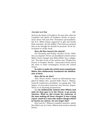### **Canright and Rea**

destroy the Spirit of Prophecy. He says that, after he compiled two Spirit of Prophecy books of quotations about Old and New Testament personalities, the E.G. White Estate appeared to give his books little attention. He felt miffed. They had not praised him as he thought he should be praised. So he determined to strike back.

### *How did Rea launch his attack?*

On Thursday and Friday, October 23-24, 1980, the *Los Angeles Times* ran headlined articles about Walter Rea's charges that Ellen White was a plagiarist. The title of one of the articles was *"Plagiarism Found in Prophet Books."* Associated Press wired the story to other newspapers across the United States.

In order to make the article more sensational, Walter Rea deliberately broadened his falsification of facts.

### *How did he do that?*

That *Times* article, based on information supplied by Walter Rea, quoted Elder Neal C. Wilson, General Conference president, as saying that "The degree of borrowed material and literary dependence is of alarming proportions."

But he deliberately twisted what Wilson had said; he then gave it to the *Times,* to go across America. What he did reveals the character of the man making all these charges! It was a lying report, made by a man who makes charges which he knows are untrue. Do not forget that!

Here was N.C. Wilson's complete sentence, which Rea lifted out of a letter Wilson had written shortly before: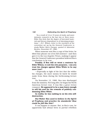"As a result of 14 or 15 years of study, and more intensive research in the last two or three years, Elder Rea feels that the degree of borrowed material and literary dependence is of alarming proportions."—*N.C. Wilson, letter to the members of the committee set up by the General Conference to study Walter Rea's charges, quoted in Adventist Review, November 27, 1980.*

When someone sent Rea a copy of that letter, he lifted that phrase out of its full sentence—and then gave it to the *Los Angeles Times,* making it appear that the General Conference president believed Rea's conclusions to be true.

Frankly, if Rea will so wrest a sentence by Elder Wilson, to suit his own purposes,—can you trust his charges against Ellen White to be any more true?

—Especially in light of the fact that the wilder his charges, the more money he knew he would make from them during the forthcoming lecture tour.

On November 13, 1980, Rea was discharged from the ministry. Not long after, he began his North American lecture tour. It was like a great victory conquest. He appeared to be a man brave enough to sell his soul for the rewards of publicly condemning Ellen White.

In reality, he was cashing in on his own selfdestruction.

# *But Walter Rea used to believe in the Spirit of Prophecy and practice its standards! How could he fall like this?*

It can happen to anyone. But, in Rea's case, he apparently had always been in partial rebellion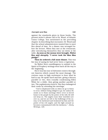against the standards given in those books. The present writer's phone call to Dr. Wood, of Atlantic Union College, was mentioned in the preceding chapter. In describing that encounter, Dr. Wood said that the school administrators wanted him to meet Rea ahead of time. So a dinner was arranged before the lecture. When they met at the restaurant, after introducing themselves they sat down at the table. As soon as the menus were brought, Walter Rea said abruptly, "I never took the Mau Mau pledge!"

Then he ordered a full meat dinner. This was his way of saying he had never been a vegetarian.

So Walter Rea's unwillingness to submit to the Spirit of Prophecy writings went back all the way to the beginning.

But it was his tour of Adventist centers throughout America which caused the most damage. The curious came in high excitement to hear what he had to say. He spoke hard and fast, giving a literary parallel or two, then roundly condemning Ellen White for a while, then giving another parallel or two. The sophisticates loved it. But they endangered their souls by attending his meetings.

"God is displeased with us when we go to listen to error, without being obliged to go; for unless He sends us to those meetings where error is forced home to the people by the power of the will, He will not keep us. The angels cease their watchful care over us, and we are left to the buffetings of the enemy, to be darkened and weakened by him and the power of his evil angels; and the light around us becomes contaminated with the darkness."—*Early Writings, 125.*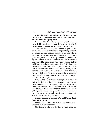## *How did Walter Rea arrange for such a systematic tour of Adventist centers? He must have had someone helping him.*

He did. The Association of Adventist Forums provided him with a complete lecture circuit schedule of meetings—across America and Canada.

The AAF is a loosely connected organization which holds local monthly meetings in large Adventist churches and college campuses all over North America. In advertising their meetings, they often give the appearance of being "officially sponsored" by the church. Indeed, their meetings are frequently announced in union-wide church papers, and often held on our college campuses. The AAF also publishes *Spectrum*, a quarterly publication of liberal and skeptical sentiments. The use of jewelry is approved, homosexuality is excused, Ellen White is downgraded, and Creation is said to have occurred millions of years ago. Such are the sentiments you will find in its pages.

But, as the above Spirit of Prophecy statement indicates, there is danger in attending such meetings. Speakers are frequently selected who introduce subtle doubts about our historic doctrines and standards, as well as the trustworthiness of the Spirit of Prophecy. The above quotation should be posted over the entrance to such meetings or handed outside to those entering its doors.

# *Can you give me an idea of what Walter Rea's book is all about?*

Walter Rea's book, *The White Lie,* can be summarized in four sentences:

(1) Repeated statements that he had been hu-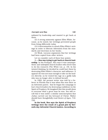### **Canright and Rea**

miliated by leadership and wanted to get back at them.

(2) A strong animosity against Ellen White, because, as he stated, her writings prevented people from living differently today.

(3) A determination to attack Ellen White's writings in order to liberate Adventists from the standards and doctrines in her books.

(4) Weak, vacuous arguments that her writings had been copied from other writers.

Let us consider each of these four points:

1 — Rea was trying to get back at church leadership. In his *Prologue*, Rea says it was unsympathetic and unhelpful church leaders who drove him to do his research *(The White Lie, p. 19)*. In his twisted thinking, he decided he could hurt them by destroying Ellen White's character and influence. It appears he was not man enough to take on the leaders directly; so he vented his rage on a godly lady who was no longer alive to defend herself.

In 1982, the present writer was told by a believer in Florida that it was when Rea was there as an Adventist pastor, that he began his campaign to hurt church leaders by destroying confidence in the Spirit of Prophecy. He imagined that this would show to everyone what a great man he was. You will recall that it was under a similar misconception that Judas carried out his betrayal of Christ. Walter should have thoughtfully read *Desire of Ages, 716- 722.*

In his book, Rea says the Spirit of Prophecy writings were the result of a grand plot by Seventh-day Adventist Church leaders. According to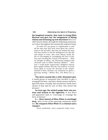his imagined scenario, they went to young Ellen Harmon and gave her the assignment of faking visions and dreaming up new doctrines! Rea's terrible hatred shines through the following statement, as it does throughout his satanically inspired book:

"In order for any group or organization to pull off the idea that they have been given the concessions to the hereafter, that they are indeed the ones God has chosen to sell the indulgences for this life and utopia to come, they must always tackle the job of rearranging or reassigning the facts of history and rewriting the Canon [of Scripture] . . With no thought of failure, the Adventists assigned this awesome task to [Ellen Harmon (White)] . . Here was a ready-made opportunity. Religious history gives ample evidence that the 'true believer' is much more likely to accept the dictums of the simpleminded if these dictums can somehow be given a heavenly setting."—*Walter Rea, The White Lie, p. 31.*

The above sounds like a wild, illuminati plot. A small group of unnamed men decided to give a young girl dreams, and then obtain money and prestige from them. Actually, they would have made more money if they had let one of their own invent the dreams!

In every age, the wicked assign their own motives and actions to the righteous. It was Rea's self-appointed task to "rearrange or reassign the facts of history."

2 — Rea's hatred of Ellen White is startlingly deep. Here is one of his sneering comments about her. He compares Ellen White to a criminal and a vampire:

"Every institution, every corporate entity, every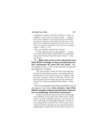established system—whether political, social, or religious—must have its patron saint . . Regardless of the category or the time period of existence, the patron [saint] is venerated even if he was a vampire; he is canonized [sainted] even if he was a con artist; he is given sainthood even if he was a known sinner."*—Ibid., p. 23.*

Rea can hardly contain his hatred.

"In this odyssey that we take together . . the patron saint will be Ellen Gould White, the canonized leader of the Seventh-day Adventist Church."—*Ibid., pp. 25-26.*

3 — Walter Rea wants to free Adventists from Ellen White's writings, so they can think and conduct themselves far more like the world. This, according to Rea, is one of his special reasons for attacking her writings.

"Her account also closed the door that had been opened for Adventism to make a markedly different contribution to the world concept of religion. And the door remains closed to this day, because the church of the advent cannot get past the interpretations of the Canon according to Sister White."—*Ibid., p. 34.*

Here is an example of the bantering ridicule, found throughout his book. Rea declares that Ellen White's mentally confused mind devised a wild mixture of conflicting, disoriented statements.

"It takes a dexterous mind to work its way through two problems at the same time. Often such a mind comes up with worthless answers, but it's lots of fun. In theology it's downright enjoyable. To learn to say nothing well is the first rule. The second rule is to say it in such a way that no one can question your philosophical conclusions (if you arrive at any). It's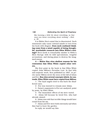like learning a little bit about everything, so that soon you know everything about nothing."—*Ibid, p. 38.*

It is Walter Rea's mind that is disoriented. Such statements only cause rational minds to turn from his book with disgust. Does such confused thinking come from a mind capable of doing thoughtful, worthwhile research into Ellen White's writings? Rea's book is remarkably similar to Hitler's *Mein Kampf,* with its wild speculations, vengeful accusations, and daring plans to destroy the imagined enemy.

### 4 — Walter Rea cites shallow reasons for his contention that Ellen White copied other writers.

His first point in the book is that Ellen White copied John Milton's *Paradise Lost.* In that lofty and majestic work, first published in 1667, in poetic meter Milton wrote the story of the fall of Adam and Eve. Rea cites several concepts which, he contends, Ellen White must have copied from Milton:

1 - The loyal angels tried to win back the disaffected ones.

2 - Eve was warned to remain near Adam.

3 - Satan's arguments to Eve are analyzed, point by point, by Ellen White.

4 - The immediate effects of sin were varied.

5 - Adam fell because he loved Eve, who had already sinned.

6 - Adam was told that terrible things would later result from his sin.

7 - Adam and Eve were both extremely sad when they had to leave the garden.

In reply, we would say this: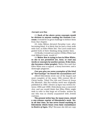(1) Each of the above seven concepts would be obvious to anyone reading the Genesis 3 account. It would be no great challenge to deduce them from that chapter.

(2) John Milton dictated *Paradise Lost*, after becoming blind. It is likely that he had a close walk with God, as Ellen White did. The Lord could have guided both of their thinking along similar lines.

(3) Really, it would not matter if Ellen White had read Milton's book, would it?

(4) Walter Rea is trying to box in Ellen White, so she is not permitted see, hear, or read any words or concepts by another person. If she does, she becomes a false prophet. Walter Rea said that Ellen White was a copycat, a heavy borrower, and a downright plagiarist.

# *Can you give me some examples of the kind of "borrowings" he based his accusations on?*

Alfred Edersheim wrote one of the largest and most complete of the many 19th century life-of-Christ books. Titled *The Life and Times of Jesus the Messiah,* this five-volume work was originally published in 1883. (*Desire of Ages* was written between 1892 and 1898.) Edersheim was a converted Jew; and one would think that Ellen White might wish to refer to this large set of books, written by one who was so closely acquainted with Jewish customs.

The present writer has, for many years, owned a one-volume reprint of Edersheim's work. Yet, in all that time, he has never found anything in Edersheim which bears even faint resemblance to *Desire of Ages*. Why? Because she did not copy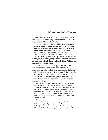it.

On page 86 of his book, *The White Lie,* Rea quotes part of a letter by Robert Olson, at that time head of the E.G. White Estate:

"About eight months ago, Elder Rea sent me a copy of some of his research which in his opinion showed that Ellen White was highly dependent upon Edersheim for some of the things she had written in *Desire of Ages*."—*R.W. Olson, Letter to E.G.W. Estate Trustees, November 29, 1978.*

After reading Rea's pre-publication research, Olson, in that letter, singled out Edersheim's book as the one which Rea claimed Ellen White apparently used the most.

Three times in his book *(pp. 309, 314, and 321),* Rea compares Edersheim with *Desire of Ages,* to show to what a terrible extent she copied that man's book. You can know that Rea selected the most flagrant examples. Here are all three. As is always the case, in the following examples Ellen White writes more clearly and majestically than the author she is compared to:

*Edersheim:* "When human nature, that of Adam before his fall, was created sinless and impeccable . . Jesus voluntarily took upon Himself human nature with all its infirmities and weaknesses . . It was human nature, in itself capable of sinning, but not having sinned . . The position of the first Adam was that of being capable of not sinning."—*Life and Times, p. 298.*

*White:* "When Adam was assailed by the tempter, none of the effects of sin were upon Him. He stood in the strength of perfect manhood, possessing the full vigor of mind and body . . Christ took upon him the infirmities of degenerate humanity . . He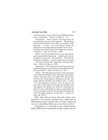#### **Canright and Rea**

took the nature of man, with the possibility of yielding to temptation."—*Desire of Ages, p. 117.*

*Edersheim:* "Their knavery and hypocrisy he immediately perceived and exposed . . We disclaim the idea that Christ's was rather an evasion of the question . . It was a very real answer, when [he pointed] to the image and inscription on the coin . . it did far more than rebuke their hypocrisy and presumption."—*Life and Times, p. 386.*

*White:* "Jesus read their hearts as an open book, and sounded their hypocrisy . . [pointing] to the inscription on the coin . . He would be . . arrested for inciting to rebellion . . Christ's reply was no evasion . . He had rebuked their hypocrisy and presumption."—*Desire of Ages, p. 602.*

*Edersheim:* "The child must be free from all such bodily blemishes as would have disqualified him for the priesthood."*—Life and Times, p. 194.*

*White:* "The offerings presented to the Lord were to be without blemish. These offerings represented Christ, and from this it is evident that Jesus Himself was free from physical deformity. He was 'the lamb without blemish and without spot': 1 Peter 1:19. His physical structure was not marred by any defect; His body was strong and healthy. And throughout His lifetime He lived in conformity to nature's laws. Physically as well as spiritually, He was an example of what God designed all humanity to be through obedience to His laws."*—Desire of Ages, pp. 50-51.*

Well, what did we learn from the above comparisons—the closest parallels Rea could find in Edersheim's three-volume life of Christ? About all we see is that Ellen White was a far better writer!

*Comparison 1:* As many of our readers know, Ellen White wrote hundreds of times about the hu-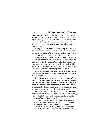man nature of Christ. We would expect to find her statement of Christ's human nature in *Desire of Ages.* It is given on pp. 49 and 117. A clear statement on this requires a comparison with Adam which she also repeatedly made in other writings, many earlier.

*Comparison 2:* That Christ's reply was not evasive, was only an opinion to Edersheim; but it was a certainty to Ellen White. The potential charge was rebellion, which Edersheim did not mention.

*Comparison 3:* The "without blemish" factor would be expected in a statement on the child being offered to the Lord. But while Edersheim says this was necessary for priestly duties, Ellen White says it was necessary for the lamb to be offered up for the people and later for priestly duties.

# *Just as Vincent Ramik, the attorney, said: "There is no case." What else do we learn in Rea's book?*

Significantly enough, we learn a lot about Walter Rea; for he spends an inordinate amount of time talking about how wonderful he is. In the process, he reveals the darkness in his own life. He is obsessed with fears and hatreds, a desperate man willing to go to any length to destroy good people whom he thinks may stand in his way. In one such paragraph of hoped-for self-exaltation, intending (through his book) for the conquest of his imagined enemies, Walter Rea wrote this:

"If Ford's studies were disturbing, Rea's research was downright frightening. Word of it sent administrators racing to the computers with sweaty palms . . the true believer is being sold the interpretation of the truth of Scripture through the supersales-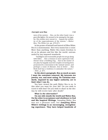#### **Canright and Rea**

men of his system . . Rea, on the other hand, was a guerrilla fighter. He seemed to be aiming for the jugular. His studies were meant to . . bypass the authority of the supersalesmen of the system."—*Walter Rea, The White Lie, pp. 270-271.*

In his praise of himself and hatred of Ellen White, Rea is a monomaniac. But every mania has a cause. More than anything, Walter Rea wants freedom to do as he pleases and live like the world, untrammeled by any imposed standards.

"Intelligent and reasonable people do not go along with Ellen . . that a woman is more spiritual if she doesn't wear a wedding ring . . that in the matter of sex play by happily married couples (it having been pronounced a concession to the 'animal' nature, and perhaps a cause of disease), less is better . . that flesh food has a tendency to animalize the nature." —*Ibid., p. 271.*

In the above paragraph, Rea as much as says: I want the restraints removed. My interests are jewelry, sex, and meat eating. No Christian standards, imposed by any higher authority, are to limit what I can do.

You have viewed the path Walter Rea is on. Is this what you want for your life? Do you wish to travel it with him? Do you wish to share in the destiny he will receive later after death?

## *What is the alternative?*

On one side stands the world and Walter Rea. On the other is acceptance and obedience to God and His Inspired Writings. Sampling Walter Rea was not a pleasant task; but sampling Ellen White's writings is an encouraging, strengthening experience. They have helped hundreds of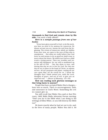thousands to find God and remain close by His side. Can such a faith offend?

# *Here is a sample passage from one of her books:*

"If you have given yourself to God, to do His work, you have no need to be anxious for tomorrow. He whose servant you are, knows the end from the beginning. The events of tomorrow, which are hidden from your view, are open to the eyes of Him who is omnipotent . . But when we really believe that God loves us and means to do us good we shall cease to worry about the future. We shall trust God as a child trusts a loving parent. Then our troubles and torments will disappear, for our will is swallowed up in the will of God . . One day alone is ours, and during this day we are to live for God. For this one day we are to place in the hand of Christ, in solemn service, all our purposes and plans, casting all our care upon Him, for He careth for us. 'I know the thoughts that I think toward you, saith the Lord, thoughts of peace, and not of evil, to give you an expected end.' "*—Mount of Blessing, 101-102.*

# How can reading such glorious messages as that bring harm to anyone?

People that have accepted Walter Rea's charges have lost so much. There is encouragement, faith, and assurance in God's Word. Something the critics cannot give us.

You will recall that Walter Rea said at that February 1982 Walla Walla Adventist Forum meeting: "Don't you do to the Bible what I am doing to the writings of Ellen White, or you will destroy the Bible too!"

He knew exactly what he had set out to do; and, in the lives of many people, Walter Rea did it. He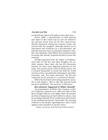eradicated the Spirit of Prophecy from their lives.

About 1986, a schoolteacher in Ohio phoned and asked if she could stop by and see whatever the present writer had on the Rea controversy. Shortly afterward, during the summer break, she arrived with her daughter. Although decked out in adornment and cosmetics as a non-Adventist, she said she had once been an Adventist minister's wife. But, she explained, when Walter Rea traveled around lecturing, she and her husband decided to leave the ministry.

Having separated from the Spirit of Prophecy, soon after he left her and their daughter for another woman. Since then, she has left Adventism entirely. Yet there were lingering questions in her mind. The present writer tried to clarify issues; but it seemed impossible to break the hold the world now has on her. I provided her with papers and other materials; and, that same afternoon, she left and continued on her journey to a vacation in Florida.

Walter Rea has been destroying people for years. He is still doing it. That is why this present book has been published. The need for it still exists.

# *But whatever happened to Walter himself?*

An acquaintance of Walter Rea, living in southern California, phoned us in 1995 and told us that Rea no longer believes in the Bible either! He handed the fruit of skepticism of God's Word to others; now he is eating it himself. He is a sullen man who broods in his smoldering hatreds. Remember the warning of Moses to the people regarding three other rebels against God's prophet in ancient times:

"Depart, I pray you, from the tents of these wicked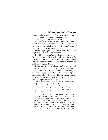men, and touch nothing of theirs, lest you be consumed in all their sins."—*Numbers 16:26.*

That is good counsel for us today.

At the third Advent, a horrible death, such as Korah and company received, will be the reward of those who have tried to destroy the confidence of others in God's Holy Word.

Depart, I pray you, from those tents. Touch nothing there, lest you be consumed!

In all his charges, Walter Rea did not touch the Spirit of Prophecy. He can do nothing to harm it; for it is fully under God's protection. But Rea did much to injure many individuals who trusted their future to Rea's braggart claims.

Determine that, in fullest confidence, you will cling to God's Holy Word and, in the strength of Christ, obey it fully. God will bless you for doing so; and one day soon you will join the saints in light, as they gather about the great white throne and praise Him who loved us enough to send His Son to die that we might have eternal life.

"This work is of God, or it is not. God does nothing in partnership with Satan. My work . . bears the stamp of God or the stamp of the enemy. There is no halfway work in the matter. The testimonies are of the Spirit of God, or of the devil."—*4 Testimonies, p. 230.*

"Satan is . . constantly pressing in the spurious—to lead away from the truth. The very last deception of Satan will be to make of none effect the testimony of the Spirit of God. 'Where there is no vision, the people perish' (Proverbs 29:18). Satan will work ingeniously, in different ways and through different agencies, to unsettle the confidence of God's remnant people in the true testi-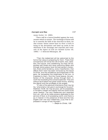#### **Canright and Rea**

mony (Letter 12, 1890).

"There will be a hatred kindled against the testimonies which is satanic. The workings of Satan will be to unsettle the faith of the churches in them, for this reason: Satan cannot have so clear a track to bring in his deceptions and bind up souls in his delusions if the warnings and reproofs and counsels of the Spirit of God are heeded (Letter 40, 1890)."*—1 Selected Messages, 48.*

"Then the redeemed will be welcomed to the home that Jesus is preparing for them. There their companions will not be the vile of earth, liars, idolaters, the impure, and unbelieving; but they will associate with those who have overcome Satan and through divine grace have formed perfect characters. Every sinful tendency, every imperfection, that afflicts them here has been removed by the blood of Christ, and the excellence and brightness of His glory, far exceeding the brightness of the sun, is imparted to them. And the moral beauty, the perfection of His character, shines through them, in worth far exceeding this outward splendor. They are without fault before the great white throne, sharing the dignity and the privileges of the angels.

"In view of the glorious inheritance that may be his, 'what shall a man give in exchange for his soul?' Matthew 16:26. He may be poor, yet he possesses in himself a wealth and dignity that the world could never bestow. The soul redeemed and cleansed from sin, with all its noble powers dedicated to the service of God, is of surpassing worth; and there is joy in heaven in the presence of God and the holy angels over one soul redeemed, a joy that is expressed in songs of holy triumph."

— Steps to Christ, 126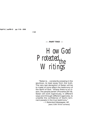How God Protected<br>Writings

"Satan is . . constantly pressing in the spurious—to lead away from the truth. The very last deception of Satan will be to make of none effect the testimony of the Spirit of God. 'Where there is no vision, the people perish' (Proverbs 29:18). Satan will work ingeniously, in different ways and through different agencies, to unsettle the confidence of God's remnant people in the true testimony." —1 Selected Messages, 48 [see 2 SM 78 for context]

**118**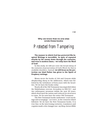## **Why we know that no one else wrote these books**

# Protected from Tampering

The manner in which God has protected His Inspired Writings is incredible. In spite of repeated attacks by the enemy down through the centuries, and even to modern times,—we today have the Word of God!

In this study, we will not cover the broad sweep of the centuries of preservation of God's Word; for that is available elsewhere. Instead, we will focus on the protection our kind Father has given to the Spirit of Prophecy writings.

Moses wrote the books of Job and Genesis while shepherding sheep in the wilderness, which was followed by the turbulence of forty years with the Israelites. Yet we have his books today.

Nearly all of the Old Testament was imperiled when the Babylonians overran Jerusalem in 606 B.C. and two subsequent invasions within the next 20 years, which destroyed the nation and reduced its structures to ruins. Yet we now have the entire Old Testament.

The New Testament books underwent "cruel mockings and scourgings," as it were, in the centuries which followed. Yet we have the New Testament books. It is true that, in the intervening centuries, translators and copyists made a few changes (see my *King James Bible*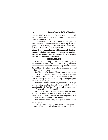*and the Modern Versions).* The essential points of salvation may be found in all of them—even in the Roman Catholic Rheims-Douai.

There exists today more ancient manuscripts of the Bible than of any other writing of antiquity. God has protected His Word, and He will continue to do so to the end. Why has He done this? Because it is His channel of communication with mankind. Contrary to popular belief, that channel is not through priests, rabbis, ministers, or church councils; it is through the Bible and Spirit of Prophecy!

#### **BEGINNINGS**

It was a chilly day in December 1844. Approximately seven weeks had elapsed since the great disappointment of October 22, when a slightly older friend, Mrs. Elizabeth Haines, asked Ellen Harmon, a young girl of 17, to visit her.

Frail Ellen had a damaged heart, was severely weakened by tuberculosis, could only speak in a whisper, and found it difficult to breathe while lying down. She was frequently awakened from sleep by coughing and bleeding in her lungs.

Yet it was at this very time, when the feeble girl was nearing death, that she was called to be a prophet of God. The King of heaven truly uses the weakest of the weak to do His work!

Mrs. Haines lived across the causeway, in South Portland. While at her home, three other young women joined Ellen and Mrs. Haines for morning family worship on the second floor of the house.

While they were kneeling in prayer, Ellen was taken off in vision.

"While I was praying, the power of God came upon me as I had never felt it before. I was wrapped in a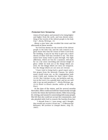vision of God's glory, and seemed to be rising higher and higher from the earth, and was shown something of the travels of the Advent people to the holy City."—*Early Writings, 13.*

About a year later, she recalled the event and the aftermath in these words:

"As God has shown me the travels of the Advent people to the holy City, and the rich reward to be given those who wait the return of their Lord from the wedding, it may be my duty to give you a short sketch of what God has revealed to me. The dear saints have many trials to pass through. Our light afflictions, which are but for a moment, will work for us a far more exceeding and eternal weight of glory—while we look not at the things which are seen; for the things which are seen are temporal, but the things which are not seen are eternal.

"I have tried to bring back a good report and a few grapes from the heavenly Canaan, for which many would stone me, as the congregation bade stone Caleb and Joshua for their report (Num. 14:10). But I declare to you, my brethren and sisters in the Lord, it is a goodly land, and we are well able to go up and possess it."—*Early Writings, pp. 13-14 (letter to Enoch Jacobs, editor of the Day Star).*

At the time of the vision, and for several months thereafter, Ellen could not hold her hand steady enough to write the vision she had been shown. Ellen was young, ill, retiring, and unused to associating with many people. She felt that she could not accept the commission, and she pleaded with God to remove the burden from her.

 "I shrank from it. I was young, and I thought they would not receive it from me."—*5 Manuscript Releases, 96 (written to Joseph Bates, July 13, 1847).*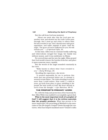But the call from God was insistent.

 "About one week after this the Lord gave me another view, and showed me the trials I must pass through; that I must go and relate to others what He had revealed to me; that I should meet with great opposition, and suffer anguish of spirit. Said the angel, 'The grace of God is sufficient for you; He will sustain you.' "—*2 Spiritual Gifts, 35.*

At this time, Ellen was in constant bodily suffering and tuberculosis ravaged her lungs; her family was without money, and it was midwinter in Maine.

For several days and far into the night, Ellen prayed that God would remove the burden from her and place it upon someone more capable.

But the words of the angel sounded constantly in her ears:

"Make known to others what I have revealed to you."—*Early Writings, 20.*

Recalling the experience, she wrote:

"It seemed impossible for me to perform this work that was presented before me; to attempt it seemed certain failure. The trials attending it seemed more than I could endure. How could I, a child in years, go forth from place to place unfolding to the people the holy truths of God? My heart shrank in terror from the thought."—*Life Sketches, 69-70.*

#### **THE PROPHET'S PRIMARY WORK**

Yet, with the help and protection of her heavenly Father, Ellen White was enabled to accomplish a great deal.

What is the most important work of a prophet of God? I will suggest that it is the written materials that the prophet produces. What has proven to be more important? the preaching of Matthew to his associates or his 28-chapter Gospel? Down through the centuries, what has helped mankind more? Daniel's talks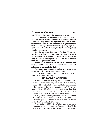#### **Protected from Tampering**

with Nebuchadnezzar or the book that he wrote?

God's messages to all mankind are contained in the holy Scriptures. Those messages are of urgent importance—for they constitute a primary channel of communication between God and man! It is quite obvious that equally important to the writings of a prophet is the protection God must give to the writings that prophet produces.

But, let us take this a step further. There are two items of faith that we must exercise in regard to the Inspired Writings: (1) We must believe that they are God's messages to us. (2) We must believe that He has protected them.

If we believe the first but reject the second, the writings will be unread or not obeyed. Either type of rejection is an insult to God.

There are men among us today who want us to believe the first but reject the second.

Let us now examine how God has protected the Spirit of Prophecy writings:

# **HER EARLIER WRITINGS**

We will now advance to the year, 1848, when a number of believers (including Ellen and her husband, James White) attended several Sabbath Conferences in the Northeast. In the sixth conference, held in November 1848, Ellen had a vision, instructing her that her husband must begin "to print a little paper." Articles by Ellen began appearing in those papers.

In July 1851, James published her first pamphlet of 64 pages, titled *A Sketch of the Christian Experience and Views of Ellen G. White*. Years later, it was included as Section One in *Early Writings*.

From 1852 to 1855, the Whites carried on their publishing work in a building in Rochester, New York, Then, in 1855, they moved to Battle Creek, Michigan.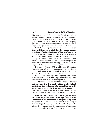The move was not difficult to make; for all they had was a handpress and a small amount of other printing equipment, together with a small stock of books and pamphlets. Soon afterward, in obedience to a vision, the group printed the first *Testimony for the Church*. It was 16 pages in length (now in *1 Testimonies, 113-126*).

With the passing of years, more and more publications by Ellen were printed. But they almost entirely consisted of printed editions of her *testimonies* or letters to individuals and groups. By 1864, ten of these small collections of *Testimonies* had been printed.

*Spiritual Gifts, Vols. 1-4,* were released in 1858, 1860, and the last two in 1864. That same year, another small book was printed: *Appeal to the Youth* (95 pages, 40 of which were written by Ellen).

Between 1865 and 1876, in addition to 27 thin *Testimonies*, two other small books were printed: *How to Live* (1865; about a third of which was written by Ellen) and *Spirit of Prophecy, Vol. 1* (1870).

In 1877 and 1878, *Spirit of Prophecy, Vols. 2 and 3* were issued; and, in 1880, *Life Sketches*. By 1882, *Testimonies, Nos. 1-31,* had been printed.

And that was about it. By 1878, Ellen had barely gotten started in her book-writing work. Indeed, aside from the collection of personal letters in 31 *Testimonies*, she had written almost no books. (The first four volumes of our present *Testimonies for the Church,* issued in 1885, contains *Testimonies 1 to 30.*)

How did God protect Ellen's writings from 1848 to 1878? He primarily did it through her husband, James White. As head of the entire publishing work, he proofed her work and oversaw the printing of her writings. However, due to the difficulties under which they worked and the limitations of the times, some typographical errors had crept in; just as, down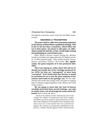through the centuries, some crept into the Bible manuscripts.

# **NEARING A TRANSITION**

The years 1878 to 1884 were extremely important in the history of Ellen White's published writings. This is due to the fact that a transition, which Ellen was not at first aware, was about to take place. In 1881, James would die and she, at last, would begin writing and publishing at a much faster pace.

Ellen White's literary output during her lifetime would eventually total approximately 25 million words or 10,000 printed pages. This would include letters, diaries, periodical articles, and books. Yet, significantly, the great majority of it was produced after 1881.

There are among us, today, those who tell us we should use hardly any of her writings produced after 1878; for they are "uninspired" or have been "corrupted." If we would obey that dictum, it would be necessary for us to toss the great majority of her articles and books in the garbage can. Yet the individuals who make this charge seem only able to vaguely hint at evidence supporting their claim. What is the truth of the matter?

We are going to learn that the God of heaven carefully protected these sacred writings—not only in earlier years, but all through the years which followed! Here is how He did it:

"Both in the [Battle Creek] Tabernacle and in the college the subject of inspiration has been taught, and finite men have taken it upon themselves to say that some things in the Scriptures were inspired and some were not. I was shown that the Lord did not inspire the articles on inspiration published in the *Review*, neither did He approve their endorsement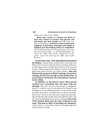before our youth in the college.

"When men venture to criticize the Word of God, they venture on sacred, holy ground, and had better fear and tremble and hide their wisdom as foolishness. God sets no man to pronounce judgment on His Word, selecting some things as inspired and discrediting others as uninspired. The testimonies have been treated in the same way; but God is not in this."—*1 Selected Messages, 23; Letter 22, 1889. [The article, "Differences in Degrees," was in the January 15, 1884, issue of the Review.]*

On New Year's Day, 1878, Miss Marian Davis joined the Whites to assist them in their work; at the time, the Whites were in Texas. Marian had an unusual ability for proofreading, plus a remarkable memory. Over a period of time, Marian gained the ability to locate everything Ellen had earlier written on a given subject. She also followed the progress of Ellen's writings, from proofreading, all the way through to final publication. If any problems developed, she immediately reported back to Ellen.

In addition, as she had for years, Ellen herself checked over everything that was done with her writings. After she wrote a manuscript in longhand, before it could be sent to the person for whom it was intended or to the publishing house, a copy had be made by hand (there were no typewriters or xerox machines back then). Ellen would check the copied manuscript. She would also personally check the galley proofs, sent her by the publishing house, prior to printing. But, from 1878 onward, Ellen had the help of Marian in her work. This had an effect of doubling the safeguard. And it came at a time when James was beginning to be rather feeble in health.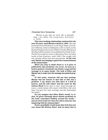#### **Protected from Tampering**

"Marian is just what we need. She is splendid help."—*A.L. White, The Lonely Years, 104 (Letter 4, 1879).*

This close working relationship continued for the next 25 years, until Marian's death in 1904. She had journeyed from Elmshaven, in the Napa Valley of northern California, down to Oakland in order to check on the final printing proofs of one of Ellen's books *(Ministry of Healing)* which needed to be published by Pacific Press. (Pacific Press did not move to Mountain View, 38 miles south of San Francisco, until 1904.) She caught cold one evening, which went into pneumonia. To the very end, Marian was helping to guard the trustworthiness of the manuscripts.

When you stop to think about it, it is prior to publication that problems can occur. As soon as a book is printed, everybody can obtain a copy and the message is in many hands. The task of Ellen and Marian was to make sure the message was printed properly.

At this point, someone will say that perhaps Marian was not honest or that this or that was a problem. I can assure you that there is a God in heaven, and He still exists! And He cares for His written Word! From time to time, down through the years, a faulty helper did connect with Ellen. But each time God gave her clear warning, and she discharged the helper.

Do you imagine that Ellen White would, in vision, be given warnings about distant problems in the work, sometimes halfway around the world, and yet God would not warn her when someone was tampering with her manuscripts?

Such a possibility would mean that God does not care about His Written Word. And we know that is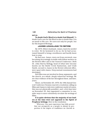## not so.

To doubt God's Word is to doubt God Himself. To doubt God's care for His Word is also to doubt Him. It is an insult to His care. He cares not only for people, but for His Inspired Writings.

# **JAMES UNWILLING TO RETIRE**

By 1879, Ellen's husband, James, knew he needed to retire. Yet he hesitated to do so; for he had accustomed himself to being a workhorse and hardly knew how to stop.

By that year, James, worn out from overwork, was becoming increasingly irritable with fellow workers in the Review office and at the General Conference. Both Dr. John Harvey Kellogg, head of (what later become known as) the Battle Creek Sanitarium, and Uriah Smith, second to James in the Review editorial office, were upset with James. Deep mutual resentments had developed.

But Ellen was not involved in those arguments; and the church, as a whole, deeply valued her writings. We see clear evidence of the fact throughout these, and later, years.

Hence, on November 20, 1879, the 18th Annual General Conference Session enacted a resolution calling on Ellen and James to visit every conference yearly (of course, this was not physically possible); and, a few days later on November 25, they appointed a committee to consider ways to more extensively circulate the writings of Ellen.

It is quite obvious that the majority of our leaders at the time were not opposed to the Spirit of Prophecy writings. Here is the resolution:

"*Whereas,* Our past experience has fully proved that our prosperity as a people is always in proportion to the degree of confidence we cherish in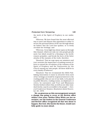#### **Protected from Tampering**

the work of the Spirit of Prophecy in our midst; and . .

"*Whereas,* We have found that the most effectual way to meet and disarm this opposition is either to secure the personal labors of the one through whom we believe that the Lord has spoken, or to freely circulate her writings, and

"*Whereas,* Great light has shone upon us through this channel, which not only our own people greatly need, but which would be a blessing to the world, remove prejudice, and break the force of the bitter attacks of the enemies of the truth, therefore

"*Resolved,* That we urge upon our ministers and tract societies the importance of making earnest efforts to extend the circulation of the volumes of the Spirit of Prophecy and the *Testimonies for the Church* among our own people, till these shall be in every family of believers.

"*Resolved,* That we recommend the [SDA] Publishing Association to issue in attractive form such of her writings as would be of general interest to the reading public who are not of our faith, to be placed in public libraries, reading rooms, on shipboard, et cetera, by canvassers and Tract and Missionary Society workers where they, as well as our other standard works, may be accessible to the people."—*General Conference Session, Resolution dated November 25, 1879.*

Yet, as generous as this encouragement seemed, a change was going to occur at the Review office within a few years. Neither Ellen White nor her associates, nor the leaders in the General Conference and Review office recognized all that was about to happen. But God, who knows the future, would carefully guide in years ahead.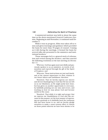A ministerial institute was held at about the same time as the above-mentioned General Conference Session. Beginning in mid-November, it continued until December 3.

While it was in progress, Ellen was taken off in vision and given warnings and guidance which provided the basis for more than 70 pages of counsel. Coming as it did during the meetings, it formed the basis for several talks she presented to the ministers and institutional workers.

Those messages led to a general work of reformation and revival among the workers, and they enacted the following resolution at the last meeting on December 11:

"*Whereas*, God has again most mercifully and graciously spoken to us as ministers, in words of admonition and reproof through the gift of the Spirit of Prophecy; and

"*Whereas*, These instructions are just and timely, and of the utmost importance in their relation to our future labors and usefulness; therefore

"*Resolved*, That we hereby express our sincere and devout thanksgiving to God that He has not left us in our blindness, as He might justly have done, but has given us another opportunity to overcome, by faithfully pointing out our sins and errors, and teaching us how we may please God and become useful in His cause.

"Resolved, That while it is right and proper that we express our thankfulness to God and His servants in this manner, yet the best manner of expressing our gratitude is to faithfully heed the testimony that has been borne to us; and we hereby pledge ourselves to make a most earnest effort to reform on those points wherein we have been shown to be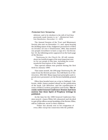deficient, and to be obedient to the will of God thus graciously made known to us."—*Ministerial Institute Resolution, December 11, 1879.*

The Annual Session of the Tract and Missionary Society also met on November 11; and, upon hearing the thrilling vision of the Judgment presented to Ellen on October 23 (see *4 Testimonies, 384*), they wanted our people everywhere to have a copy of it. On December 18, the following notice appeared on the back page of the *Review:*

"*Testimony for the Church No. 29* will contain about two hundred pages of the most important matter for our people at this time, including the recent wonderful description of the Judgment."

That special edition was printed during the first week in January 1880.

That same month, the 200-page *Testimony No. 29* came from the Review presses. You will find it in *4 Testimonies, 384-522*. Many important principles and reproofs were presented, yet the Review faithfully printed it.

Ellen then headed west on a trip to Oakland, California, while James pushed ahead on the publication of the book, *Life Sketches,* and the republication of some of Ellen's earliest pamphlets and books. The recently ended General Conference Session had been anxious that these Spirit of Prophecy writings be published.

As the time for the 1880 General Conference Session neared, James White felt exhausted and decided to quit all his offices except headship of the Review. Ellen, still in California, wrote to their children:

 "Father has already sent in his resignation of every office except his connection with the publish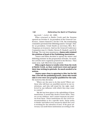ing work."*—Letter 42, 1880.*

Ellen returned to Battle Creek and the Session opened on October 6. As president of the General Conference, James chaired it. On the 11th, the nominating committee presented the following names: George I. Butler as president, Uriah Smith as secretary, Mrs. M.J. Chapman as treasurer. And on the General Conference Committee was G.I. Butler, Steven N. Haskell, and H.W. Kellogg. The vote was unanimous. **James only retained** the position of head of the Publishing Association.

James and Ellen decided to spend the winter and following summer in the preparation of books. As usual, her articles were regularly printed in the *Review*. That same year, *Life Sketches* was printed.

Ellen urged James to totally retire from the work at Battle Creek, so they could move west and spend their time writing in quietude. So much needed to be written.

James came close to agreeing to this; but he felt that, if he left the publishing house, those who would take it over were not properly qualified for the task. He stated in this decision:

"Where are the men to do this work? Where are those who will have an unselfish interest in our institutions, and who will stand for the right, unaffected by any influence with which they may come in contact?

"My life has been given to the upbuilding of these institutions. It seems like death to leave them. They are as my children, and I cannot separate my interest from them. These institutions are the Lord's instrumentalities to do a specific work. Satan seeks to hinder and defeat every means by which the Lord is working for the salvation of men. If the great adversary can mold these institutions according to the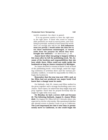#### **Protected from Tampering**

world's standard, his object is gained.

"It is my greatest anxiety to have the right men in the right place. If those who stand in responsible positions are weak in moral power, and vacillating in principle, inclined to lead toward the world, there are enough who will be led. Evil influences must not prevail. I would rather die than live to see these institutions mismanaged, or turned aside from the purpose for which they were brought into existence."—*In Memoriam, p. 45.*

James knew what was going to happen within a few years after he left the publishing work. Yet, because of the burdens and responsibilities that she bore while there, Ellen could not really tackle the bookwork as long as James remained in Michigan.

So James decided to remain in Battle Creek as head of the publishing work—even though, amid the ongoing confusion of activities there and the various personality conflicts, it would be impossible for Ellen to begin the bookwork.

## Remember that the year was now 1881; and, so far, Ellen had not produced one major book! God knew that a change must be made.

On Sabbath, July 30, James and Ellen walked in the grove together and a strange foreboding came over James. Three times, he asked that they might stop and pray together. Each time he prayed fervently that he might be right with every man.

On Monday, he had a severe chill and became ill. The following Sabbath, August 6, James White died. On August 22, Ellen left for Colorado where she expected to rest for a few weeks. She questioned whether she should return to Battle Creek or go to California. The Lord impressed her that it was time to permanently move to California, so she could begin the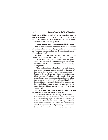bookwork. This was to lead to the turning point in her writing career. Prior to this time, she had written very little, other than personal letters to people. Only a few small books had been printed.

## **THE BRETHREN MAKE A DISCOVERY**

In Boulder, Colorado, on the weekend of September 24 and 25, Ellen wrote a 13-page testimony to be read at the Michigan camp meeting, which would be attended by all the church leaders.

In this letter, she gave warning that Battle Creek College would fail if it did not fulfill God's plan for it.

"Much that has no part in Christ is allowed a place among us. Unconsecrated ministers, professors, and teachers assist Satan to plant his banner in our very strongholds.

"The design of our college has been stated again and again, yet many are so blinded by the god of this world that its real object is not understood . . Some of the teachers have been scattering from Christ instead of gathering with Him. By their own example they lead those under their charge to adopt the customs and habits of worldlings. They link the hands of the students with fashionable, amusementloving unbelievers, and carry them an advance step toward the world and away from Christ."—*5 Testimonies, 12.*

# She also said that her testimonies would be just as pointed in the future as in the past.

 "Let none entertain the thought that I regret or take back any plain testimony I have borne to individuals or to the people. If I have erred anywhere, it is in not rebuking sin more decidedly and firmly. Some of the brethren have taken the responsibility of criticizing my work and proposing an easier way to correct wrongs. To these persons I would say: I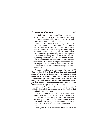take God's way and not yours. What I have said or written in testimony or reproof has not been too plainly expressed. God has given me my work, and I must meet it at the Judgment . .

"Within a few weeks past, standing face to face with death, I have had a near look into eternity. If the Lord is pleased to raise me from my present state of feebleness, I hope, in the grace and strength that comes from above, to speak with fidelity the words which He gives me to speak. All through my life it has been terribly hard for me to hurt the feelings of any, or disturb their self-deception, as I deliver the testimonies given me of God. It is contrary to my nature. It costs me great pain and many sleepless nights . . I will walk in humility before God, doing my work for time and for eternity."—*5 Testimonies, 19-20.*

You can read the entire testimony for yourself *(5 Testimonies, 9-21).* Ellen White had not changed! Some of the leading brethren made a discovery. All this time, they had imagined that her pointed testimonies were prompted by James. But now that he was gone,—the pointed testimonies were even stronger than before! The terrible truth was before them: Ellen was writing her own testimonies!

A year later George I. Butler, chairman of the board of Battle Creek College, announced in the *Review* that the school was being closed.

"When the matter of opening the college the present year came before the board for consideration, we were thrown into great perplexity. We could see little ground of hope for such a school as the Lord had shown we ought to have, while the present state of things existed."—*Review, September 12, 1882.*

Once again, Ellen's statements were found to be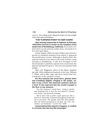correct. The college had collapsed under its own weight of frivolity and worldliness.

## **THE TURNING POINT IN HER WORK**

After staying temporarily in Oakland, in February 1882 Ellen moved to a home on the outskirts of the small town of Healdsburg, California. If you have ever been there (as the present author has), you know it to be a very quiet place.

In late August, Ellen became chilled and entered a period of extended sickness from which it appeared she would never recover. Although at death's door, she said she wanted to be taken to the early October camp meeting in Healdsburg. A sofa was arranged on the broad speaker's platform and she was carried into the big tent and placed upon it. The tent was jammed with people.

After J.H. Waggoner, editor of the *Signs*, finished his talk, Ellen whispered hoarsely to her son, William C. White, and to Mrs. Ings, who were seated near her, to help her to the speaker's stand.

For five minutes she stood there, ghastly white and trembling slightly, clinging to the pulpit, unable to say a word. The immense audience said not a word. It was expected that she would crumple to the floor at any moment.

"For five minutes I stood there, trying to speak, and thinking that it was the last speech I should ever make—my farewell message.

"All at once I felt a power come upon me, like a shock of electricity. It passed through my body and up to my head. The people said that they plainly saw the blood mounting to my lips, my ears, my cheeks, my forehead."*—Letter 82, 1906.*

God permitted this miracle to happen, to confirm to everyone that this was His messenger!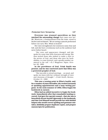Everyone was stunned speechless as they watched the astounding change that came over her. Mr. Montrose, a businessman from the town, stood to his feet and exclaimed, "We are seeing a miracle performed before our eyes; Mrs. White is healed!"

Her voice strengthened, her sentences came clear and full, and she bore a testimony such as the audience had never before heard.

"Her voice and appearance changed, and she spoke for some time with clearness and energy. She then invited those who wished to make a start in the service of God, and those who were far backslidden, to come forward, and a goodly number answered to the call."—*E.J. Waggoner, Signs, October 26, 1882.*

In the providence of God, Uriah Smith was present; and he was convicted anew that Ellen was a protected prophet of God.

"She was able to attend meetings . . as usual, and spoke six times with her ordinary strength of voice and clearness of thought."—*Uriah Smith, Review, October 31, 1882.*

This was a turning point in Ellen's health; and, for a number of years thereafter, she worked intensely at speaking appointments and a busy writing program. In the early summer of 1882, Ellen began the bookwork in earnest.

Ellen had an added incentive to begin the bookwork. Immediately after that remarkable healing occurred, God gave her special counsel—that she was to henceforth devote herself vigorously to the bookwork; and that God Himself would provide her with faithful helpers who would correct spelling and grammar mistakes, faithfully prepare duplicate copies, and prepare manuscripts for publication.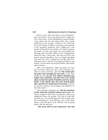"About a year after the death of my husband, I was very feeble, and it was feared that I might live but a short time. At the Healdsburg camp meeting, I was taken into the tent where there was a large gathering of our people. I asked to be raised up from the lounge on which I was lying, and assisted to the speaker's platform, that I might say a few words of farewell to the people. As I tried to speak, the power of God came upon me, and thrilled me through and through. Many in the congregation observed that I was weak, and that my face and hands seemed bloodless; but as I began speaking they saw the color coming into my lips and face, and knew that a miracle was being wrought in my behalf. I stood before the people healed, and spoke with freedom.

"After this experience, light was given me that the Lord had raised me up to bear testimony for Him in many countries, and that He would give me grace and strength for the work. It was also shown me that my son, W.C. White, should be my helper and counselor, and that the Lord would place on him the spirit of wisdom and of a sound mind. I was shown that the Lord would guide him, and that he would not be led away, because he would recognize the leadings and guidance of the Holy Spirit.

"The assurance was given me: 'You are not alone in the work the Lord has chosen you to do. You will be taught of God how to bring the truth in its simplicity before the people. The God of truth will sustain you, and convincing proof will be given that He is leading you. God will give you of His Holy Spirit, and His grace and wisdom and keeping power will be with you . .

" 'The Lord will be your instructor. You will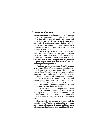meet with deceptive influences; they will come in many forms, in pantheism and other forms of infidelity; but follow where I shall guide you, and you will be safe. I will put My Spirit upon your son, and will strengthen him to do his work. He has the grace of humility. The Lord has selected him to act an important part in His work. For this purpose was he born.'

"This word was given me in 1882, and since that time I have been assured that the grace of wisdom was given to him. More recently, in a time of perplexity, the Lord said: 'I have given you My servant, W.C. White, and I will give him judgment to be your helper. I will give him skill and understanding to manage wisely.'

"The Lord has given me other faithful helpers in my work. Many of my discourses have been reported, and have been put before the people in printed form. Through nearly the whole of my long experience I have endeavored, day by day, to write out that which was revealed to me in visions of the night. Many messages of counsel and reproof and encouragement have been sent out to individuals, and much of the instruction that I have received for the church has been published in periodicals and books, and circulated in many lands . .

"The work is constantly moving forward. We are making earnest efforts to place my writings before the people. We hope that several new books will go to press shortly. If I am incapacitated for labor, my faithful workers are prepared to carry forward the work.

"Abundant light has been given to our people in these last days. Whether or not my life is spared, my writings will constantly speak, and their work will go forward as long as time shall last. My writ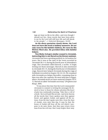ings are kept on file in the office, and even though I should not live, these words that have been given to me by the Lord will still have life and will speak to the people."—*1 Selected Messages, 54-55.*

As the above quotation clearly shows, the Lord does not leave His work to halfway measures. He not only cares for His faithful children, He cares for His Written Word also. He provided Ellen with faithful helpers.

Very likely, God gave similar counsel to Jeremiah, instructing him to use Baruch as his literary assistant. Jeremiah had been speaking publicly in Jerusalem for years. But it was at the time of the event recorded in Jeremiah 36:1-4, during the fourth year of Jehoiakim's reign, that Jeremiah called Baruch, a scribe, to begin writing out those messages. Baruch is also mentioned in Jeremiah 45:1-5, during the fourth year of Jehoiakim's reign. Baruch later helped Jeremiah during the reign of Zedekiah (recorded in chapter 32:12-13). He remained with Jeremiah as a helper thereafter, remaining close to him even after the captivity. He went with him to Egypt, where Jeremiah wrote yet more material (chapter 43:3- 7). Baruch is called "Jeremiah's secretary" (*Prophets and Kings, 469*).

"It was about this time that the Lord commanded Jeremiah to commit to writing the messages He desired to bear to those for whose salvation His heart of pity was continually yearning. 'Take thee a roll of a book,' the Lord bade His servant, 'and write therein all the words that I have spoken unto thee against Israel, and against Judah, and against all the nations, from the day I spake unto thee, from the days of Josiah, even unto this day. It may be that the house of Judah will hear all the evil which I purpose to do unto them; that they may return every man from his evil way; that I may forgive their iniq-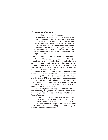#### **Protected from Tampering**

uity and their sin.' Jeremiah 36:2-3.

"In obedience to this command, Jeremiah called to his aid a faithful friend, Baruch the scribe, and dictated 'all the words of the Lord, which He had spoken unto him.' Verse 4. These were carefully written out on a roll of parchment and constituted a solemn reproof for sin, a warning of the sure result of continual apostasy, and an earnest appeal for the renunciation of all evil."—*Prophets and Kings, 432-433.*

## **TESTIMONY 31 AND EARLY WRITINGS**

Some of Ellen's most dynamic and hard-hitting testimonies were sent to the Review for publication as a small *Testimony* book. Severe rebukes were in the letters it contained. Yet the brethren printed it. This was *Testimony 31*. Read it for yourself; it is powerful (now in *5 Testimonies 9-248*).

It is charged that a name was omitted from one of the testimonies, and that the title of one testimony was later changed from *"Testimonies Rejected"* to *"Testimonies Slighted."* But two facts should be kept in mind:

First, Ellen generally did not write the titles for the testimonies she sent out. That was generally done at the press. So the press changed the title it had earlier assigned to that printed letter.

Second, "slighted" and "rejected" mean essentially the same thing. If I give you a message and you slight it, you have ignored and rejected it. That is what the word, "slight," means.

"Slight, *verb,* 1. To treat with disrespect or indifference or with a marked lack of consideration. 2. To treat as unimportant."—*Macmillan Dictionary.*

If they had wanted to change the meaning, they would have titled it, *"Another Testimony," "An Interesting Testimony,"* or something similar.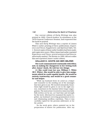Our current edition of *Early Writings* was also printed in 1882. Church leaders, in attendance at the 1879 General Conference Session, had requested that the book be printed.

This new *Early Writings* was a reprint of James White's earlier printing of three publications: *Experience and Views; Supplement;* and *Spiritual Gifts, Vol. 1.* Several copies of those earlier booklets had been made; and copies were scarce. When James had earlier reprinted *Experience and Views,* several sentences had been inadvertently omitted. The Review, in 1882, did not realize this and reprinted James' earlier edition.

# **WILLIAM C. WHITE AS HER HELPER**

The Lord communicated continually with Ellen; and, in making the changeover in her writing work after James' death, He told her two things:

(1) She could trust her son, William C. White (W.C. White). She would be able to give him assignments which he could capably handle. He would be entirely trustworthy, and would be a good counselor and helper.

"While my husband lived, he acted as a helper and counselor in the sending out of the messages that were given to me. We traveled extensively. Sometimes light would be given to me in the night season, sometimes in the daytime before large congregations. The instruction I received in vision was faithfully written out by me, as I had time and strength for the work. Afterward we examined the matter together, my husband correcting grammatical errors and eliminating needless repetition. Then it was carefully copied for the persons addressed, or for the printer.

"As the work grew, others assisted me in the preparation of matter for publication. After my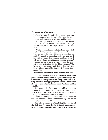husband's death, faithful helpers joined me, who labored untiringly in the work of copying the testimonies and preparing articles for publication.

"But the reports that are circulated, that any of my helpers are permitted to add matter or change the meaning of the messages I write out, are not true.

"While we were in Australia the Lord instructed me that W.C. White should be relieved from the many burdens his brethren would lay upon him, that he might be more free to assist me in the work the Lord has laid upon me. The promise had been given, 'I will put My Spirit upon him, and give him wisdom.' Since my return to America I have several times received instruction that the Lord has given me W.C. White to be my helper, and that in this work the Lord will give him of His Spirit."—*1 Selected Messages, 50.*

# **NEED TO REPRINT THE TESTIMONIES**

(2) The Lord also revealed to Ellen that she should get all her earlier testimonies reprinted in larger volumes; and, before publication, they should be carefully checked for typographical errors. This work should be entrusted to Marian Davis, William, and his wife Mary.

By this date, 31 Testimony pamphlets had been published, each totaling 16 to 240 pages. In the latter part of 1881, the three helpers set to work reading through that material and correcting it.

The critics charge that it was terrible that they did this. Yet if they had done anything wrong, God would immediately have told Ellen.

This whole business of doubting the veracity of the Spirit of Prophecy books is based on an underlying contempt for God's protecting care of His Word.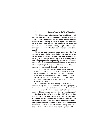The false assumption is that God would surely tell Ellen about something being done wrong across the ocean, but He would not tell her about something others were doing wrong to her writings! That charge is an insult to God! Indeed, not only did He warn her when needed, but she had the gumption to demand that certain church leaders be removed—and it was done!

When corrections were made on part of the *Testimonies*, one of the three helpers would go down to the Pacific Press, in Oakland, and oversee the setting of it in type, checking of the galley proofs, and the preparation of printing plates. (It is for this reason that Pacific Press now prints most of her books; Ellen was living in California, at that time, and had her helpers see each book through to printing.)

"In late 1881 Marian Davis and Willie and Mary White began giving attention to what might be needed in the way of revising the wording, correcting imperfect grammar, or making clear the meaning intended by Ellen White. As the work was done, type was set and printing plates were made."—*A.L. White, 3 E.G. White Biography, 217.*

Ellen's helpers were extremely careful not to make a mistake. By May 1883, Mary was carefully preparing an index to Volume 1 of *Testimonies for the Church.*

The critics will tell you not to use the indexes at the back of Ellen's books, because they are not inspired!

Earlier, at James' request, the 1878 General Conference Session had voted that the *Testimonies* should be reprinted in larger volumes. Likewise, now in November 1883, while he and Ellen were attending that year's session, William White asked the leaders to issue a resolution which would clearly explain to the believers what Ellen and her helpers had been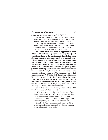doing for two years (since the fall of 1881).

"When W.C. White and his mother went to the General Conference session in Battle Creek in November 1883, he took with him a report of the work in preparing the *Testimonies* for publication in convenient permanent form. He called for a resolution of explanation and General Conference support."— *A.L. White, 3 E.G. White Biography, 218.*

The action taken was done in approval of what Ellen and her three helpers were already doing, and would continue to do until completion. It has been charged that the men appointed to a special committee changed the *Testimonies*. That is not true. Ellen's own helpers (Marian Davis and William and Mary White) made all the corrections under her direction, in California, and checked the galley proofs prior to printing. Most of the men on that committee were at Battle Creek, busy with other activities. It was just a figurehead committee. The five members of that committee were: W.C. White, S.N. Haskell, J.H. Waggoner, Uriah Smith, and G.I. Butler. Three of the five committee members (W.C. White, Haskell, and Waggoner) were solid defenders of the Spirit of Prophecy. Smith and Butler, in later years (especially as a result of the Minneapolis crisis), become more tepid.

Here is the official resolution, made by the 1883 Session, at W.C. White's request:

 *"Whereas,* Some of the bound volumes of the *Testimonies for the Church* are out of print, so that full sets cannot be obtained at the office; and,

*"Whereas,* There is a constant and urgent call for the reprinting of these volumes; therefore,

*"Resolved,* That we recommend their republication in such a form as to make four volumes of seven or eight hundred pages each.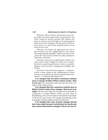*"Whereas,* Many of these testimonies were written under the most unfavorable circumstances, the writer being too heavily pressed with anxiety and labor to devote critical thought to the grammatical perfection of the writings, and they were printed in such haste as to allow these imperfections to pass  $uncorrected$  and

*"Whereas,* We believe the light given by God to His servants is by the enlightenment of the mind, thus imparting the thoughts, and not (except in rare cases) the very words in which the ideas should be expressed; therefore,

*"Resolved,* That in the republication of these volumes such verbal changes be made as to remove the above-named imperfections, as far as possible, without in any measure changing the thought; and further,

*"Resolved,* That this body appoint a committee of five to take charge of the republication of these volumes according to the above preambles and resolutions."—*3 Selected Messages, 96.*

It is charged that the above resolution entitled men to change all Ellen White's future books. That is not true: the resolution only lists the first four volumes of the *Testimonies.*

It is charged that the resolution entitled men in Battle Creek to make those changes. That is not true either. We have seen that the changes were all made in California, at Ellen White's home (at that time in Healdsburg). One of the workers would then take them to the press and oversee the proper typesetting of the new larger-volume editions of the *Testimonies*.

It is charged that none of those changes should have been made because God dictates the words and they cannot afterward be changed. That is not true ei-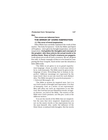### ther.

#### Two errors are inherent here:

## **THE ERROR OF WORD INSPIRATION**

## (1) The error of word inspiration:

Ellen White has carefully explained the truth of this matter. The holy Scriptures—both the Bible and Spirit of Prophecy—were given by thought inspiration, not word inspiration. God guides the thoughts and concepts of the prophet, who then selects the actual words to be written down. None of God's creatures are puppets. Look about you at all of God's creatures. We are all given free will. A classic example of this is to be found in comparing the four Gospels. Each writer saw the situation a little differently.

"The Bible is not given to us in grand superhuman language. Jesus, in order to reach man where he is, took humanity. The Bible must be given in the language of men. Everything that is human is imperfect. Different meanings are expressed by the same word; there is not one word for each distinct idea. The Bible was given for practical purposes."— *1 Selected Messages, 20.*

"The Bible is written by inspired men, but it is not God's mode of thought and expression. It is that of humanity. God, as a writer, is not represented. Men will often say such an expression is not like God. But God has not put Himself in words, in logic, in rhetoric, on trial in the Bible. The writers of the Bible were God's penmen, not His pen. Look at the different writers.

"It is not the words of the Bible that are inspired, but the men that were inspired. Inspiration acts not on the man's words or his expressions but on the man himself, who, under the influence of the Holy Ghost, is imbued with thoughts. But the words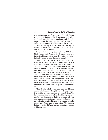receive the impress of the individual mind. The divine mind is diffused. The divine mind and will is combined with the human mind and will; thus the utterances of the man are the Word of God."—*1 Selected Messages, 21 (Manuscript 24, 1886).*

"There is variety in a tree, there are scarcely two leaves just alike. Yet this variety adds to the perfection of the tree as a whole.

"In our Bible, we might ask, Why need Matthew, Mark, Luke, and John in the Gospels, why need the Acts of the Apostles, and the variety of writers in the Epistles, go over the same thing?

"The Lord gave His Word in just the way He wanted it to come. He gave it through different writers, each having his own individuality, though going over the same history. Their testimonies are brought together in one Book, and are like the testimonies in a social meeting. They do not represent things in just the same style. Each has an experience of his own, and this diversity broadens and deepens the knowledge that is brought out to meet the necessities of varied minds. The thoughts expressed have not a set uniformity, as if cast in an iron mold, making the very hearing monotonous. In such uniformity there would be a loss of grace and distinctive beauty . .

"The Creator of all ideas may impress different minds with the same thought, but each may express it in a different way, yet without contradiction. The fact that this difference exists should not perplex or confuse us. It is seldom that two persons will view and express truth in the very same way. Each dwells on particular points which his constitution and education have fitted him to appreciate. The sunlight falling upon the different objects gives those objects a different hue.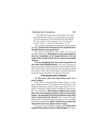### **Protected from Tampering**

"Through the inspiration of His Spirit the Lord gave His apostles truth, to be expressed according to the development of their minds by the Holy Spirit. But the mind is not cramped, as if forced into a certain mold."—*1 Selected Messages, 21-22.*

There is poor grammar in portions of her earliest writings. If they were dictated by God, would He have dictated them in poor grammar?

See *Great Controversy, pp. vi-viii,* for more on thought inspiration. If Scripture is only word inspired, then no translation of an inspired book is of any value! That would render all our copies of the Bible useless!

It is an intriguing fact that word inspiration is the basis of the Muslim Koran. The story, devised by Satan, goes that God dictated each word to Mohammed, who wrote each word as spoken, even though he could not read or write. We would expect coercion and force from the devil. God does not operate that way.

## **THE ONCE-ONLY ERROR**

## (2) The error that God only writes once on a given subject:

Vern Bates, a leading Ellen White skeptic at this time, claims that once a prophet writes on a topic, anything he may later write on that topic will not be inspired. Therefore, Ellen's later writings on a given subject are worthless. This theory involves two errors: first, the error mentioned above, that of word inspiration—the idea that God directly dictates each word and it cannot later be altered. (The truth is thought inspiration; God guides the thoughts and the prophet provides the phrasing.) Bates' second error is that God only writes once on a given event or topic.

But we are told, in *Desire of Ages*, that Christ later repeated His earlier lessons to His disciples. We know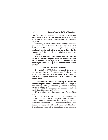that Paul told his conversion story several times, and Luke wrote it several times in the book of Acts. Yet, according to Bates' theory, only the first narration was inspired.

According to Bates, Ellen wrote a smidgen about the great controversy story in 1858; therefore the 1884, 1888, and 1911 editions are uninspired and not worth reading. I would not wish to be Vern Bates in the Judgment. He has turned so many believers against her later books.

Not only is there an immense amount of duplication in the four Gospels, there is a massive amount in 1-2 Samuel, 1-2 Kings, and 1-2 Chronicles! According to Bates' theory, a lot of that must be discarded.

## **GREAT CONTROVERSY**

By the fall of 1882, Ellen was deeply involved in her work on *Spirit of Prophecy, Vol. 4,* which is our 1884 *Great Controversy.* It is of highest significance that this, the great controversy story, was her first major book.

The complete story of the writing of *Great Controversy* spans several decades, and is told in great detail in my 504-page *Editions of Great Controversy (\$8.00 + \$3.00),* the most complete analysis of the book in all its editions ever published.

Here is a brief (very brief) overview of part of that story:

Ellen had received a small portion of the great controversy vision in 1848. Ten years later, at Lovett's Grove, Michigan, she received the more complete vision. Immediately afterward, as she was headed home to Battle Creek, she was struck with paralysis on part of her body. It was later revealed to her that Satan wanted to kill her,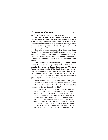so *Great Controversy* could not be written.

Why did the Lord permit Satan to attack her? Obviously, so we would all realize the importance of *Great Controversy*! However, Satan afterward resorted to other means in order to keep her from writing out the full story. Years passed and troubles piled on top of troubles for poor Ellen.

But, after James' death and her departure from Battle Creek, she was finally able to complete the first edition of the book. It was *Spirit of Prophecy, Vol. 4.* We refer to it as the 1884 *Great Controversy.* This is the first real edition of that book, the fruition of her 1858 vision.

The 1858 book *(Spiritual Gifts, Vol. 1)* was little more than a brief story of the Old and New Testaments; it was not a *Great Controversy.* Yet Vern Bates claims that the 1858 book is the only genuine *Great Controversy,* and we should discard the later ones! May God have mercy on his soul, for the many folk he has misled into rejecting that book and a great majority of her other writings.

Bates claims that only certain Spirit of Prophecy books are inspired (primarily those written before 1878) while the rest are almost useless. What does the prophet of the Lord say about this?

"Those who think to make the supposed difficulties of Scripture plain, in measuring by their finite rule that which is inspired and that which is not inspired, had better cover their faces, as Elijah when the still small voice spoke to him; for they are in the presence of God and holy angels, who for ages have communicated to men light and knowledge, telling them what to do and what not to do, unfolding before them scenes of thrilling interest, waymark by waymark in symbols and signs and illustrations.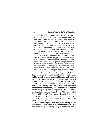"And He [God] has not, while presenting the perils clustering about the last days, qualified any finite man to unravel hidden mysteries or inspired one man or any class of men to pronounce judgment as to that which is inspired or is not. When men, in their finite judgment, find it necessary to go into an examination of Scriptures to define that which is inspired and that which is not, they have stepped before Jesus to show Him a better way than He has led us."—*1 Selected Messages, 17.*

"When men venture to criticize the Word of God, they venture on sacred, holy ground, and had better fear and tremble and hide their wisdom as foolishness. God sets no man to pronounce judgment on His Word, selecting some things as inspired and discrediting others as uninspired. The testimonies have been treated in the same way; but God is not in this."—*1 Selected Messages, 23 (Letter 22, 1889).*

As mentioned earlier, *Spirit of Prophecy, Vol. 4* (our 1884 *Great Controversy*), was Ellen's first major book. Aside from her many personal letters (collected in the *Testimonies*), prior to 1884, she had not written much else. Ellen planned to next work on the other books in, what would eventually be called, the *Conflict Series*. But, during the 1880s, the Lord instructed her that she must enlarge that initial book! The great controversy story was so important, it needed to be said again in an even larger book. With this in mind, from 1885 to 1887, Ellen toured through Europe, encouraging our believers there, counseling the brethren, and visiting key Waldensian and German and Swiss Reformation locations.

But something else also happened during the decade of the 1880s. Some of the leaders in Battle Creek had previously been very antagonist toward James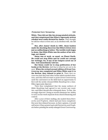White. They did not like his strong-minded attitude, and they suspicioned that Ellen's vigorously written rebukes were really dictated by James. They thought he told her what to write and, as an obedient wife, she did so.

But, after James' death in 1881, those leaders made the shocking discovery that Ellen's letters were just as unflinching as before. The terrible truth began to dawn: that Ellen White was the author of her writings, not James!

Satan was at work, as usual, on Planet Earth. He could not stop Ellen and he could not corrupt her writings; for, if any of her helpers acted out of line, God immediately told her.

But Satan could try to stop publication of her books at the Review. And that is what he set out to do next. When the revised second edition of *Great Controversy* was completed and Ellen White sent it to the Review, they refused to print it. Their first excuse was that they had other books which needed attention; and they did not want to print *Great Controversy* until the canvassers in the field had an opportunity to first sell the newly released *Bible Readings* for a time. Ellen vigorously objected.

Then they complained that the many authors of *Bible Readings* had agreed to not receive any royalties, and Ellen should also relinquish them. To this, she strongly objected. Doing so would eliminate her ability to carry on her work separate from church financing and control.

After a year of their stalling, she mailed them *Patriarchs and Prophets*, which had just been completed. But now they whined because, in their opinion, it would sell better if they printed and sold *Patriarchs and Prophets* before printing the newly enlarged *Great Controversy.*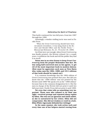This battle continued for two full years, from late 1987 through late 1990.

Amazingly, a similar stalling tactic was used at Pacific Press.

"When the *Great Controversy* should have been circulated everywhere, it was lying dead in the Review and Herald Office and the Pacific Press."*— Manuscript Releases, No. 21, 75 (Letter 35, 1899).*

As if that were not enough, when *Great Controversy* was finally printed—the Review refused, for a couple years, to publicize the book and tell the public they had it in stock!

Satan was in an utter frenzy to keep *Great Controversy* from the people! Remember that fact. He was using half-converted men as his agents, to get rid of the most important book in modern history. (How must he appreciate such men as Vern Bates who, today, says the 1884, 1888, and 1911 editions of that book should be tossed out!)

It is common knowledge that the 1884 edition of *Great Controversy* was printed that year. But did you know that the "1888 edition" was not printed by the Review until 1890? We speak of it as the "1888 edition" because that is the common designation for it. But the men in charge of the Review did not print it until two full years later. Pacific Press did not print it until 1899.

Yet even that crisis tells us something very important: Those men who refused to do what was right—received prompt and repeated sharp replies by Ellen. She was not an ignorant and timid rabbit, as she is caricatured by her critics. Ellen did not compromise. She did not weaken or crawl in a hole. Ellen White vigorously defended her writings!

In the same manner, she took action each and every time one of her helpers started veering from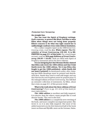the straight line.

You can trust the Spirit of Prophecy writings. God's concern, to protect His Word, led Him to warn Ellen when things were not being done properly. Ellen's concern to do what was right caused her to unflinchingly confront every crisis without hesitation.

For a rather complete report on the 1888 *Great Controversy* crisis, read the A.L. White exposé, *The Circulation of Great Controversy [CE–30].* It is RE-PRINTED on page 211 of this book. For a much larger account, read my 504-page *Editions of Great Controversy (\$8.00 + \$3.00).* Both are filled with Spirit of Prophecy statements about the three editions.

It is an intriguing fact that Herman Hoehn claimed that Ellen only wrote the 1884 edition and that Uriah Smith wrote the 1888 edition. Yet it was Ellen who fought to get the 1888 published—while Smith did not want it printed! As mentioned earlier, after claiming that *Bible Readings* must be printed and distributed first, Smith then tried to stall still longer and say that *Patriarchs and Prophets* must be printed prior to the enlarged edition of *Great Controversy*. You will find an extensive collection of statements, by Ellen, about that crisis on page 211 of this present study.

What is the truth about the three editions of *Great Controversy? (Turn to pp. 211-214 of this book for more information.)*

*The 1884 edition* is excellent and fully inspired. It is shorter than the others; many people like to read shorter books. The cost is also less.

*The 1888 edition* is a completely new rewriting of the book, and more complete (an important point). She wrote it; so it is also fully inspired. But most of the added material is in the first historical half of the book (more on Huss and Wycliffe; more on the German, Swiss,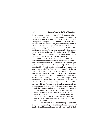French, Scandinavian, and English Reformation. All very helpful material). Second, the last-days section is almost identical in both. Chapter 29 in the 1888 is better than the equivalent chapter in the 1884 because there is more emphasis on the fact that the great controversy between Christ and Satan is fought over the law of God; read the two chapters together and see for yourself. The 1884 edition was written for our own people; God instructed her to write the enlarged edition for the world. Therefore, she omitted Satan's three-page monologue from it. (You will find it in the back of our 1888 edition.)

*The 1911 edition* is identical to the 1888, with the exception of the quotations from historians. In order to add source references, in some instances different quotations had to be used when the original statements could not be found. The largest number of quotations were from Merle D' Aubigné's *History of the Reformation*; and, in the interim between 1888 and 1911, D' Aubigné had authorized a different English translation of his book than had been quoted in the 1888 edition. So every one of those quotations had to be changed. Other than that, the 1888 and 1911 editions are essentially identical. The 1911 revision was done by Ellen's faithful helpers, with her full approval. She afterward gave it her endorsement. Indeed, the publishing houses made her pay all the expenses of having the new edition prepared!

"Recently it was necessary for this book to be reset because the electrotype plates were badly worn. It has cost me much to have this done, but I do not complain; for whatever the cost may be, I regard the edition with great satisfaction."—*3 Selected Messages, 123.*

There are a number of Spirit of Prophecy quotations recommending each of those three editions of the book. All three editions are fully inspired of God.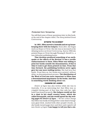You will find some of those quotations later in this book, at the end of the chapter titled, *The Story behind Great Controversy.*

# **STEPS TO CHRIST**

In 1891, Ellen moved to Australia and set up housekeeping there with her helpers. Soon after, she began work on *Steps to Christ*. But she was so incensed at the delaying tactics on *Great Controversy,* that in 1892 she printed *Steps to Christ* through Fleming H. Revell Co., a non-Adventist publishing house.

That decision produced something of an earthquake at the offices of the Review! It was a terrific embarrassment to them. Ellen White was willing to print her books outside the denomination, if that is what it took to get them printed on time. From that time forward, the publishing brethren never again gave her any more stalling tactics. She had won that battle. From then on, her books were printed, without delay, on denominational presses. The distribution of the Word of God was more important to Ellen than a denominational imprimatur on the books. And that is something worth thinking about too.

# **DESIRE OF AGES**

*Desire of Ages* was also written while she was in Australia. It is an interesting fact that Ellen was so crippled during part of that time that only her right hand functioned properly. Her helpers would set her in a chair in her small country home, which she called *Sunnyside,* and she would spend the day writing pages for *Desire of Ages*. —Yet her critics charge that Ellen was busily working before some kind of imaginary giant desk, stacked with other people's books, as she busily turned pages here and there and copied it all into *Desire of Ages*! I am happy to tell you that a six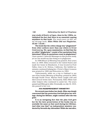year study of *Desire of Ages,* done in the 1980s, established the fact that there is no essential copying anywhere in that book. (For much more on this, see my 84-page book, *Ellen White Did not Plagiarize, \$5.00 + \$3.00.*)

The book that the critics charge was "plagiarized" from other authors more than any others is *Great Controversy*. Yet, upon examination, we find that the so-called "plagiarisms" consist of her quotations from historians! When do quotations count as plagiarisms? I have quoted *1 Selected Messages* in this present study, yet no one would say that doing so is plagiarism.

In 1896 *Mount of Blessing* was printed. Four years later, in 1900, Ellen returned to the United States and made her home in Elmshaven. It was located in Pratt Valley, close to St. Helena, California. Her faithful assistants continued helping her. *Christ's Object Lessons* was printed in 1900 and *Education* in 1903.

Unfortunately, while on a trip to Oakland to see one of her books *(Ministry of Healing*; printed in 1905) through Pacific Press, Marian Davis caught cold and died several weeks later. Fortunately, Ellen White had other helpers who continued to assist her. The years passed and Ellen grew older. Eventually, on July 16, 1915, she passed to her rest.

## **AN INDEPENDENT MINISTRY**

For several years before her death, Ellen was deeply concerned that the protection God had given her writings, during her lifetime, might continue after she was gone.

It is an intriguing fact that the plan God gave her for the later preservation of the books was essentially the same as that used during her lifetime. And what was that? an independent ministry conducted by Seventh-day Adventists! While she was alive,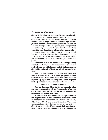she carried on her work separately from the church, in the sense that no congregation, conference, union, or other church entity had control over her work. Only in that way could the production of her writings be safeguarded from undue influence by outside sources. In order to strengthen this safeguard, she arranged that her office expenses and the salaries of her workers would be paid from the royalties of her bookwork.

(At one point, the brethren tried to get her to cancel her reception of royalties, as the authors of *Bible Readings* had agreed to; but she resolutely refused to yield. Not once in her life did Ellen ever compromise on any point!)

So we see that Ellen operated a self-supporting institution. It was not in subservience to church authority. As an added factor in this independence, she held no church office from which she could be fired.

Yet this is quite understandable when we recall that this is exactly the way the Bible prophets carried on their work. Not one of them was submissive to any earthly organization. They wrote their inspired writings independent of church and civil leaders.

# **THE E.G. WHITE ESTATE**

The Lord guided Ellen to devise a special plan for the safeguarding of her bookwork, after her death, which was parallel to that which had been so successful while she was alive.

In her last will and testament, she provided for the appointment of five seasoned workers to form an independent committee: W.C. White, F.M. Wilcox, C.H. Jones, C.C. Crisler, and A.G. Daniells. They were to manage the work, with their expenses paid with royalties from her books. When one of their number retired or died, the remaining members would appoint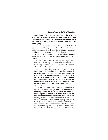a new member. You can see that this is the best possible way to manage an organization! At no time could denominational leaders fire any of the members, transfer them to other positions, or vote its own men into their group.

The result is known as the Ellen G. White Estate. It continues to this day as an independent body, theoretically within the church structure. Church leaders do not have a majority control of their board.

It was for this reason that Ellen could die in peace, knowing that her books would be safeguarded in the future.

"I am to trace this testimony on paper, that should I fall asleep in Jesus, the witness to the truth might still be borne."—*3 Selected Messages, 76 (Letter 116, 1905).*

"Abundant light has been given to our people in these last days. Whether or not my life is spared, my writings will constantly speak, and their work will go forward as long as time shall last. My writings are kept on file in the office; and, even though I should not live, these words that have been given to me by the Lord will still have life and will speak to the people."—*1 Selected Messages, 55 (Letter 371, 1907).*

"Physically, I have always been as a broken vessel; and yet, in my old age, the Lord continues to move upon me by His Holy Spirit to write the most important books that have ever come before the churches and the world. The Lord is evidencing what He can do through weak vessels. The life that He spares I will use to His glory. And, when He may see fit to let me rest, His messages shall be of even more vital force than when the frail instrumentality through whom they were delivered was living."—*3 Selected Messages, 76-77 (Manuscript*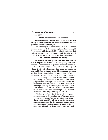*122, 1903).*

### **GOD PROTECTS HIS WORD**

# As we overview all that we have learned in this study, it is with awe that we have beheld how God has protected His holy writings!

I would urge you to share copies of this book with friends who need their faith strengthened or who might be in danger of being misled by radicals claiming that Ellen White was little more than a dumb dog who feared to bark at the terrible things being done to her books.

# **ELLEN WHITE'S HELPERS**

Here are additional quotations on Ellen White's use of helpers, the friends who made spelling and grammatical corrections and prepared her materials for publication. Please remember that Ellen White only had three grades of education. God uses us where we are and helps us in our work. Ellen needed helpers, and the Lord provided them. She, at first, had James as a helper. In later years, God sent her other helpers.

"This morning I take into candid consideration my writings. My husband is too feeble to help me prepare them for the printer, therefore I shall do no more with them at present. I am not a scholar. I cannot prepare my own writings for the press. Until I can do this I shall write no more. It is not my duty to tax others with my manuscript."—*3 Selected Messages, 90 (Diary January 10, 1873).*

"While my husband lived, he acted as a helper and counselor in the sending out of the messages that were given to me. We traveled extensively. Sometimes light would be given to me in the night season, sometimes in the daytime before large congregations. The instruction I received in vision was faithfully written out by me, as I had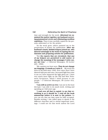time and strength for the work. Afterward we examined the matter together, my husband correcting grammatical errors and eliminating needless repetition. Then it was carefully copied for the persons addressed or for the printer.

"As the work grew, others assisted me in the preparation of matter for publication. After my husband's death, faithful helpers joined me, who labored untiringly in the work of copying the testimonies and preparing articles for publication.

"But the reports that are circulated, that any of my helpers are permitted to add matter or change the meaning of the messages I write out, are not true."—*1 Selected Messages, 50 (Letter 225, 1906).*

"My copyists you have seen. They do not change my language. It stands as I write it . . My work has been in the field since 1845. Ever since then I have labored with pen and voice. Increased light has come to me as I have imparted the light given me. I have very much more light on the Old and New Testament Scriptures, which I shall present to our people."—*3 Selected Messages, 90 (Letter 61a, 1900).*

"I am still as active as ever. I am not in the least decrepit. I am able to do much work, writing and speaking as I did years ago.

"I read over all that is copied, to see that everything is as it should be. I read all the book manuscript before it is sent to the printer. So you can see that my time must be fully occupied. Besides writing, I am called upon to speak to the different churches and to attend important meetings. I could not do this work unless the Lord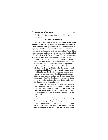helped me."—*3 Selected Messages, 90-91 (Letter 133, 1902).*

## **MARIAN DAVIS**

 Marian Davis, who untiringly helped Ellen from December 31, 1878, until her death in October 25, 1904, carried on a special work. She would locate everything Ellen had earlier written on a subject and prepare small notebooks with the material. Then Ellen would use that material in writing her later books. That is how PP, DA, MH, COL, AA, and PK were produced. Here are several statements about Marian's work:

"Marian's work is of a different order altogether. She is my bookmaker . . How are my books made? Marian does not put in her claim for recognition.

"She does her work in this way: She takes my articles which are published in the papers, and pastes them in blank books. She also has a copy of all the letters I write. In preparing a chapter for a book, Marian remembers that I have written something on that special point, which may make the matter more forcible. She begins to search for this, and if when she finds it, she sees that it will make the chapter more clear, she adds it.

"The books are not Marian's productions, but my own, gathered from all my writings. Marian has a large field from which to draw, and her ability to arrange the matter is of great value to me. It saves my poring over a mass of matter, which I have no time to do.

"So you understand that Marian is a most valuable help to me in bringing out my books."—*3 Selected Messages, 91 (Letter 61a, 1900).*

"I feel very thankful for the help of Sister Marian Davis in getting out my books. She gathers materials from my diaries, from my letters, and from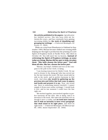the articles published in the papers. I greatly prize her faithful service. She has been with me for twenty-five years, and has constantly been gaining increasing ability for the work of classifying and grouping my writings."*—3 Selected Messages, 93 (Letter 9, 1903).*

While on a trip from Elmshaven to Oakland in September 1904, Marian became chilled one evening while helping see through to production the printing of a new Spirit of Prophecy book at Pacific Press. She died on October 25. You will meet her in heaven. Instead of criticizing the Spirit of Prophecy writings, as some today are doing, Marian did her part to help circulate them. "She hath chosen the better part." God will bless all who, like her, choose the better part.

"Marian, my helper, faithful and true as the compass to the pole in her work, is dying . .

"I am leaving tomorrow for Battle Creek. Yet my soul is drawn to the dying girl who has served me for the last twenty-five years. We have stood side by side in the work, and in perfect harmony in that work. And when she would be gathering up the precious jots and tittles that had come in papers and books and present it to me, 'Now,' she would say, 'there is something wanted [needed]. I cannot supply it [from your earlier writings].' I would look it over, and in one moment I could trace the line right out.

"We worked together, just worked together in perfect harmony all the time. She is dying. And it is devotion to the work. She takes the intensity of it as though it were a reality, and we both have entered into it with an intensity to have every paragraph that shall stand in its right place, and show its right work."—*3 Selected Messages, 93 (Manuscript 95, 1904, dated September 24, 1904).*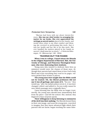### **Protected from Tampering**

"Marian had been with me about twenty-five years. She was my chief worker in arranging the matter for my books. She ever appreciated the writings as sacred matter placed in her hands, and would often relate to me what comfort and blessing she received in performing this work, that it was her health and her life to do this work. She ever handled the matters placed in her hands as sacred. I shall miss her so much."—*3 Selected Messages, 91 (Manuscript 146, 1904).*

## **TEARING OUT THE PAGES**

When I was in college, I heard about the liberals in the religion departments of Harvard, Yale, the University of Chicago, and Princeton Theological Seminary, who were destroying their students.

Young men who wanted to dedicate their lives as ministers would enter the classes of those men. Although their parents had raised them to love God's holy Word and trust everything they read in its pages, vultures picked their brains to pieces.

The young men were taught that the Bible could not be trusted. Oh, the liberal professors did not say it was all garbage, just some of it. "You see," they would say, "after the initial authors wrote it, it was later changed, edited, and added to. So you really cannot be sure which passages were originally there."

Upon learning that the Bible was no longer trustworthy, the young men should have immediately fled from the place—and left the school. But, instead, they lingered to hear serpents speak.

Their willingness to keep listening to emissaries of the devil was their undoing. The liberals formed them in their own image; and soon the young men, conceited to imagine that they knew advanced light which their parents did not know, began teaching the same false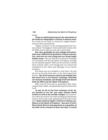hoods.

Those so-called learned men in the universities of the world are using *higher criticism* to destroy souls. You surely do not want to attend the religion departments in those institutions!

*"Higher criticism"* is the teaching initiated by German atheist "theologians" in the nineteenth century, that the Bible writers did not write their own books!

But, then, gradually our own colleges and universities were infiltrated by graduates of those universities. And now our own young men are being taught similar errors. They are told that our historic teachings are unreliable and that the Spirit of Prophecy writings are not divinely inspired. Well, you do not want to attend those schools either, even though they are owned and subsidized by the tithes and offerings of our church members.

But Satan was not satisfied to stop there. He had his eye on the little flock who, so far, had resisted his devices. The devil wanted to destroy the faithful who had stood true to our historic teachings, defended our virtuous standards, and deeply loved and obeyed both the Bible and the Spirit of Prophecy.

What was the best way to undermine their faith, confuse their minds, and gradually separate them from God?

At last, he hit on the best technique of all: Satan decided to use the very same method which worked so well in the worldly colleges and universities under his control, the same teaching preached from week to week in the most sophisticated churches of the land. Satan would use *higher criticism* to destroy confidence in the Spirit of Prophecy—that part of God's Word which Heaven had appointed as a guardian of the faith of the remnant in these last days. It would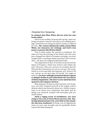# be claimed that Ellen White did not write her own books either!

And it is succeeding. In group after group, tapes are being circulated, itinerate preachers are holding meetings, newsletters are being circulated, books are offered for sale. The vicious falsehoods subtly attack Ellen White, her character, her writings, and God's very power to protect His Written Word!

That is what makes the attacks so insidious. For when you buy the package of lies which says that men have changed the Spirit of Prophecy writings, you have bought with it a package which says that God is unreliable,—He does not safeguard His holy books.

The implication is that, if God has not protected the Spirit of Prophecy, which was written only within the past 150 years, then you can have no certainty that the Old and New Testaments are not as corrupt. The temptation is to not stop with rejecting part of it; throw it all out, and go on out and enjoy the world. You might as well; for you have willingly permitted Satan's agents to whisper doubts in your mind about the very nature of divine Inspiration. The door to your mind has been opened to the tempter's devices.

Rejecting part of what you have known to be Scripture, you have stripped yourself of the angelic wall of defense which was formerly about you. Subtle temptations to let down your standards and think and do things you formerly avoided will inevitably pull you down further.

Amid a raging ocean of worldliness, you once clung to the rock of God's Word and were safe. But, having abandoned part of it, your hold on the remainder has been weakened. Erelong, you are fighting the waves in your own strength and are gradually drawn toward the final whirlpool.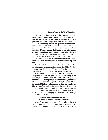What was it that destroyed the young men at the universities? They were taught that much of God's Scriptures are unreliable and that they must learn to pick and choose those parts which are still safe.

This reasoning, of course, placed their brains instead of God's Word—as the final authority. It may seem to be a subtle difference; yet it involved a bedrock decision: If the wisdom that leads to salvation rests with me, then I can sit in judgment on all Scripture.

Soon I start thinking I can sit in judgment on the very nature and existence of the Godhead! Nothing becomes sacred to me. Because I am my own authority, I am now a law unto myself. I have become my own god.

Get it settled in your mind: You dare not question certain things. You dare not question the Bible. You dare not question the Spirit of Prophecy. You dare not question whether obedience to God's law is necessary.

For, I assure you, when you soon stand before the Judgment, you will not question that. It is coming. What will be your life record? Will you, in that day, have to admit that you spent your time voicing the words of demons—that the Spirit of Prophecy could not be trusted? It is a serious matter. You have only one life to live. You had better pass through it with your hand in God's hand (which is done through implicit confidence in Christ and obedience through faith to His Word) rather than clinging to the hand of some vagabond inventer of lies.

# **UNUSUAL STATEMENTS IN THE SPIRIT OF PROPHECY**

One of the most remarkable things about the writings of Ellen White is that everything agrees and dovetails so well! A person has to read for years in order to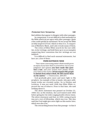### **Protected from Tampering**

find oddities that appear to disagree with other passages.

In comparison, it is not difficult to find anomalies in the Bible which do not agree with other passages. Quite a few could quickly be mentioned. Yet we accept the Bible as fully inspired of God, which is what it is. A comparison of Matthew, Mark, and Luke reveals many of them.

The critics of Ellen White search for the rare oddities, in her writings, and hold them up to us as examples supporting their contention that her writings are not inspired.

It is difficult to find such unusual statements, but here are a few of them:

### **PORK EATING IN 1858**

"Your views concerning swine's flesh would prove no injury if you have them to yourselves; but in your judgment and opinion you have made this question a test, and your actions have plainly shown your faith in this matter. If God requires His people to abstain from swine's flesh, He will convict them on the matter."—*1 Testimonies, 206-207.*

God gradually gives more and more light to His prophets. An example of this is Isaiah, who gave additional truths not revealed earlier. So is Exodus and Leviticus. It was not until 1848 that Ellen White reproved the use of tobacco. Prior to that time, she said nothing about it.

The above statement was penned on October 21, 1858; but, in His wisdom, the Lord waited until 1863 before giving her the wide-ranging health reform vision. The above statement said that, in 1858, eating of pork was not a test of fellowship, which was true. She also said that God might give more light on this matter later, which was also true.

The overarching lesson from this passage—is that it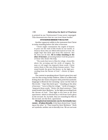is printed in our *Testimonies!* It was never expunged. This demonstrates that we can trust those books!

## **STANDING BESIDE THE ALTAR**

Another apparent oddity is the statement that Christ is today standing before the altar of incense.

"Christ might commission the angels of heaven to pour out the vials of His wrath on our world, to destroy those who are filled with hatred of God. He might wipe this dark spot from His universe. But He does not do this. He is today standing at the altar of incense, presenting before God the prayers of those who desire His help.

"The souls that turn to Him for refuge, Jesus lifts above the accusing and the strife of tongues. No man or evil angel can impeach these souls. Christ unites them to His own divine-human nature. They stand beside the great Sin Bearer, in the light proceeding from the throne of God."—*Desire of Ages, 568.*

The context is speaking about Christ's great love and care for His erring earthly children. Ellen is so filled with feeling that she waxes eloquent with powerful symbolic language to illustrate her meaning: "pour out the vials of His wrath," "wipe this dark spot," "standing at the altar of incense," "turn to Him for refuge," "strife of tongues," "impeach these souls." Notice the final sentence: They stand beside their Mediator, "in the light proceeding from the throne of God." That light is not now in the first apartment, which is blocked by a veil from God's glory in the second. So, by faith, they are standing by Him in the second, not the first, apartment.

Metaphorical statements can be doctrinally inaccurate—if taken literally. A few lines down from "standing at the altar" is "They stand by their Mediator." Both are symbols; neither one is literally true. We are not now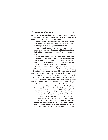standing by our Mediator in heaven. These are metaphors. Both are symbolically stated; neither one is *literally* true. Here is another metaphor:

"For as the new heavens and the new earth, which I will make, shall remain before Me, saith the Lord, so shall your seed and your name remain.

"And it shall come to pass, that from one new moon to another, and from one sabbath to another, shall all flesh come to worship before Me, saith the Lord.

"And they shall go forth, and look upon the carcases of the men that have transgressed against Me: for their worm shall not die, neither shall their fire be quenched; and they shall be an abhorring unto all flesh."—*Isaiah 66:22-24.*

Verse 24 is obviously metaphorical, and not a reality. After the wicked have been eliminated, the righteous will not go forth from the Holy City and look at dead corpses all over the ground. The wicked will have been totally burned up in the fire which purifies the earth. The metaphor means that the wicked are no longer able to trouble anyone. A fire which no creature can quench will have done its work thoroughly. The wicked are gone.

"While the earth was wrapped in the fire of destruction, the righteous abode safely in the Holy City. Upon those that had part in the first resurrection, the second death has no power. While God is to the wicked a consuming fire, He is to His people both a sun and a shield. Revelation 20:6; Psalm 84:11.

" 'I saw a new heaven and a new earth: for the first heaven and the first earth were passed away.' Revelation 21:1. The fire that consumes the wicked purifies the earth. Every trace of the curse is swept away. No eternally burning hell will keep before the ransomed the fearful consequences of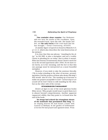sin.

"One reminder alone remains: Our Redeemer will ever bear the marks of His crucifixion. Upon His wounded head, upon His side, His hands and feet, are the only traces of the cruel work that sin has wrought."—*Great Controversy, 673-674.*

(A similar figure of speech is found in Malachi 4:3; *cf.* 4:1-3, which also describes the total destruction of the wicked.)

It is clear that this one phrase, "standing by the altar," in *DA 568,* is also a metaphor and not a reality. Christ is pleading for us today; that is what it means. Ellen has dozens of statements about Christ's work for us in the second apartment after 1844. So we have total clarity, as to her meaning; and the fact is that this one passage must be interpreted as a most beautiful metaphor.

However, if you wish to take the sentence literally, ("He is today standing at the altar of incense, presenting before God the prayers of those who desire His help") that would also be true. The sending up of incense to make our prayers acceptable to God—*cannot stop or we would all be lost!* Christ is still standing by the altar, but on the other side of the curtain.

## **STANDING ON THE SUMMIT**

*Desire of Ages* is one of the most glorious books Ellen wrote. Why people would want to pick flaws in it is almost beyond comprehension. Another apparent (apparent) oddity, that they point to, is found near the end of the book.

"Its steeps had echoed the triumphant shouts of the multitude that proclaimed Him king. On its sloping descent He had found a home with Lazarus at Bethany. In the garden of Gethsemane at its foot He had prayed and agonized alone. From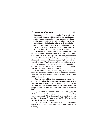this mountain He was to ascend to heaven. Upon its summit His feet will rest when He shall come again. Not as a man of sorrows, but as a glorious and triumphant king He will stand upon Olivet, while Hebrew hallelujahs mingle with Gentile hosannas, and the voices of the redeemed as a mighty host shall swell the acclamation, 'Crown Him Lord of all!' "—*Desire of Ages, 829-830.*

Frequently, in Bible prophecy, the prophet describes an incident and then skips entire centuries and mentions another. In other prophecies, missing portions are filled in. The Spirit of Prophecy does the same thing. Frequently an inspired source does not give the full picture all at once. Think about it. You do not have a complete chronological picture of the events in Daniel 2, 7, 8, 9, or 10-12. You do not find it anywhere in Revelation. You have to carefully fit them together.

In the above passage, Ellen is very briefly mentioning a future event. Be aware that, in doing so, she may skip over intermediate predicted events, just as the Bible writers do.

The purpose of the above passage is quite obvious: solely to list the times that the Mount of Olives is important in history, from Christ' time to the end of sin. The Second Advent was not listed in this paragraph, since Christ does not touch the earth at that time.

(1) His stay at Lazarus' home. (2) His agony in Gethsemane. (3) His ascension. (4) His return to the top of the mount. When does the fourth incident occur: at Christ's Second Coming or at His Third? Obviously, His third, for these reasons:

1 - Scripture explains Scripture; and she elsewhere says Christ will not touch down on Olivet till His Third Coming.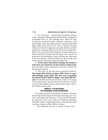2 - As "its steeps . . echoed the triumphant shouts of the multitude that proclaimed Him king" during His triumphal entry, so, the passage says, when He next touches the top of the mount, everyone—everyone—will praise Him, as He once again returns, and proclaim Him King. When does that occur? Not at Christ's Second Advent; for then the righteous are pale with fear and the wicked are crying out in horror (*Great Controversy, 641- 642*). It occurs at His Third Advent. He descends from heaven with His people and the Holy City; and He is praised by His redeemed, some of whom are Jews and some are Gentiles. Then the dead are raised to life; and Jesus and the redeemed enter the Holy City.

3 - At the above-described coming, the trump of God does not sound nor do the dead in Christ arise from the dead. That is because it is Christ's Third, not His Second, Advent.

4 - But now, for an even more powerful evidence: Two pages after *Desire of Ages, 830,* there is a parallel passage *(page 832).* But this one is speaking not about Christ's Third Coming,—but about His Second. He will descend from heaven in a cloud, the trump of God will sound, the dead in Christ will rise, and He receives His faithful ones to Himself that where He is, there they may be also.

# **REPLY TO BATES' CHARGES AND ERRORS**

Vern Bates, located in the Pacific Northwest, declares that nearly all the Spirit of Prophecy writings are "corrupt" and cannot be relied on. At the close of his booklet, *Revival of the True Spirit of Prophecy Writings* (RTSPW), Bates confidently declares of those who have read his attacks on Ellen White's books:

"The following reaction is typical of those who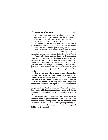are honestly searching for the truth, who have been confronted with . . this booklet, for the first time: 'What can I now really believe in? I feel like throwing my books away!' "—*RTSPW, p. 26.*

His solution is for you to discard all the later Spirit of Prophecy books and only read a few earlier, small booklets—which he will sell you at a high price.

Vern Bates wants to decide for you which Scriptures you can study and which you are forbidden to read. The *only other person* who dares do that is the pope of Rome.

People who have phoned Bates, with questions, find that he tends to evade them by changing the subject to one of his pet claims. So you would do well to read this, so you can learn the truth. If you reject nine-tenths of the Spirit of Prophecy, as Bates wants you to do, then you will be stripped of much of your latter-day protection against further deceptions by the devil.

How would you like to spend your life turning people away from the abundance of treasure, the precious words of God, which have been given us in the Spirit of Prophecy? I would not want to be in Vern Bates' shoes in the day when the Judgment meets and the books are opened. I have spoken with a number of people who, having accepted his ideas, no longer read the Spirit of Prophecy. They tell me they have been told there is something wrong with them; but, upon questioning, they are not really sure what it is.

What people do not realize is that **Bates' peculiar** theories have implications which he does not dare mention. His imaginings, if true, would place the Word of God in a strait jacket. As an English-speaking person, you would not even be able to find an inspired Bible worth reading!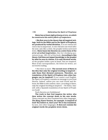*Bates has at least eight primary errors, on which he constructs his entire fabric of conjecture:*

• His first error is the theory that all inspired writings, both in the Bible and in the Spirit of Prophecy, are produced by verbal dictation. It is not visions but voices that is important. A voice dictates one word after the next; and, like a robot, the prophet writes each word down. Bates bases his theories on a strict form of *the error of verbal inspiration*. *(See her clarifying quotations on pp. 185-191 of this book.)* According to this theory, God does not impart knowledge to the prophet by what he sees in visions. It is only dictated words, as the prophet holds a pen in hand, that are inspired. Most of his correspondence, the letters he writes, are not worth reading.

• But there is more. The second error of Bates is his idea that only the original wording is inspired only those first dictated sentences. Therefore, no translation of the Spirit of Prophecy into other languages can be inspired! If you cannot read English, the Spirit of Prophecy contains no message to you from Heaven. Indeed, unless you can read Greek and Hebrew, the Bible is also useless; since, according to Bates, only the original wording is inspired. —Yet Bates, himself, sells a Spanish translation of one Spirit of Prophecy book!

Such theories are foolishness!

The truth is that God inspires the writer, who then writes the concept down in his own words. These concepts are then translated into other languages. The King James Version, for example, is inspired of God! You believe it, don't you? Yet it was translated, by men, into other languages. It does not contain the original words the prophets wrote down.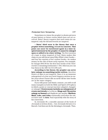### **Protected from Tampering**

Sometimes in vision the prophet is shown pictures of past history or future events which have not yet occurred. Bates' theory requires that such views are uninspired; only the dictated words are inspired.

• Bates' third error is the theory that once a prophet writes something, it is set in concrete. That point *can never be mentioned again* in a later inspired statement by the prophet. It cannot be enlarged upon or added to in a later writing. The first mention of a topic is alone inspired of God. Bates makes this claim so you will throw away Ellen White's later books and buy his reprints of her earliest books—he makes money on the sale of those early reprints. For example, he charges \$94.00 for the first four books of the *Testimonies* (containing testimonies 1-30); whereas you can buy them in the ABC for \$14.99 each.

According to his theory, the prophet can never later enlarge on something earlier written; therefore *Desire of Ages* is not inspired. Since it is an immense enlargement of a few very brief chapters written in earlier years about Christ's life on earth! All her later books are in the same category.

If you will pause and think a minute, you will recall many examples in both the Bible and Spirit of Prophecy in which a point or concept was later adapted, changed, or enlarged. Deuteronomy includes an enlargement of events and details in Leviticus. Kings and Chronicles enlarge on Samuel and duplicate one another. Matthew, Mark, Luke, and John continually retell what the others have said. In Acts, Paul repeatedly tells the story of his conversion.

In Jeremiah 36, a sizeable amount of the book of Jeremiah is written down,—but Jeremiah dictates it to Baruch; God does not do the dictating to Jeremiah. Then,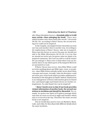after King Jehoiakim burns it, Jeremiah *adds to it* still more words—thus enlarging the book! "There were added besides unto them many like words" *(Jeremiah 36:32).* Yet, according to Bates' theory, the second writing of it could not be inspired.

In the Gospels, one inspired writer describes an event one way and another does it another way. According to the implications of Bates' theory, only one is inspired. Bates says his theory is correct because we should not add to the Bible *(Revelation 22:18-19).* It is true that we should not write into Scripture what we think to be inspired comments. But God can add to it all He wants! He can enlarge it. Bates tries to limit what God can do; and he dares to say which parts of the Inspired Word we are permitted to read.

If Bates' theory was correct, then Ellen White could not write anything about any Bible topic, event, or prophecy—since Bible writers already earlier wrote about those concepts and events. Actually, John the Revelator could not write part of his book which provides additional information to the data given in Daniel. Indeed, Daniel seven is an enlargement of future information given in Daniel two; and Daniel eight and Daniel eleven are further enlargements. So only Daniel two can be inspired!

• Bates' fourth error is that if one book provides variant information of another book, the second one written is worthless and should be discarded. For example, he quotes one Spirit of Prophecy passage which says that an event occurred at night and another which says it occurred in the day. Therefore the entire second book is not inspired.

But we would then need to toss out Matthew, Mark, Luke, and John; for they all provide different details about the same incidents.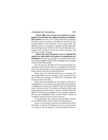• Bates' fifth error is that if a sentence or paragraph is moved from its original location, its inspiration ceases. He uses error to help defend his position, that later restructuring or rewriting of earlier material by Ellen White is not inspired. As you may know, she followed Jesus' command, to "gather up the fragments that nothing be lost" *(John 6:12).* She would take paragraphs, here and there from her earlier writings, and use them in later writings.

• Bates also uses the above error, to defend his sixth error, that Spirit of Prophecy compilations are worthless. Because paragraphs on similar topics have been placed together from earlier writings, they no longer contain valid information.

As you can see, strange errors lead to strange conclusions. All the *Testimonies* are compiled from letters! Part of the material in even her earliest books was drawn from articles and letters she had written.

Bates does not want his followers to recognize all the implications of his teachings. But if a person is going to buy the package, he should be consistent and accept all that it involves.

Bates says you should not read Spirit of Prophecy compilations; yet he prints and sells Spirit of Prophecy compilations he has put together! One example is his book, *Revival of the True Spirit of Prophecy Writings* (analyzed later in this study), which contains Bible and Spirit of Prophecy passages he has brought together. He has also published other books which consist of compiled materials from various sources.

If compilations are useless, then all Bible studies are worthless also! They consist of compilations!

In fact, if you adopt his theory, you should not quote the Bible or Spirit of Prophecy in your conversations or sermons; for, in doing so, you have lifted each pas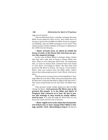sage out of context!

Liberal Adventists have a similar teaching. Because Bible verses disprove their errors, they claim that it is wrong to quote several different Bible verses in support of anything; only one Bible passage is to be used. That claim was part of their defense of women's ordination at the 1995 Utrecht Session.

• Bates' seventh error, on which he builds his house of cards, is the theory that God does not protect His inspired writings.

In the case of Ellen White's writings, Bates claims that they were only safe as long as James White was alive. Bates is very adamant about that. He maintains that, as soon as James died, enemies had a free hand to ruin them. According to Bates, the idea that God protects His Word is fiction. Of course, if you believe Bates, then you cannot trust the Bible either. Bates' idea is that only people protect God's Word; God never does.

Which person in Israel was protecting Moses' writings while he was alive? Who was protecting them after he died and "everyone did what is right in his own eyes"? The same would hold true for the other 45 Bible writers.

This present study totally disproves this terrible charge by Bates. God protects His Word, just as He protects His people. It is the Bible and Spirit of Prophecy that connects us to God. He has to protect His writings or they would be totally obliterated by men. It is only through the Word that we can learn the truth and the way to heaven.

• Bates' eighth error is the claim that God permitted wicked men to later change Ellen White's writings, and He—God—did nothing to stop it; He did not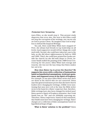warn Ellen, so she would stop it. This present study disproves that error also. His view is that Ellen could not stop the corruption of her writings, nor can we rely on God to protect them. He imagines that God is helpless to defend His Inspired Writings.

You ask, How could Ellen White have stopped it? First, she always had friends in top leadership on all levels; loyal supporters would tell her things she could work with. Second, she could have taken her case to the laity, as she did about righteousness by faith in 1889 and 1890. Third, she could have printed her books outside the church (as she did with *Steps to Christ,* because Smith stalled the printing of the *1888 Great Controversy* for two years). Ellen White had courage and tenacity; she was not the lazy wimp that Bates makes her out to be.

*How does Bates try to prove his theories?* He supports his errors with a collection of insinuations based on hypothetical assumptions, irrelevant quotations, and supposed errors in the Spirit of Prophecy. For example, in one place Ellen White writes that there are those in the church who are not converted. Bates says that general statement proves that she knew church leaders were changing her writings. A Bible verse mentioning that men were evil at the time the Bible writer wrote is the basis for a Bates' conjecture that, therefore, Bible writings have also been changed by wicked men! Bates quotes a Spirit of Prophecy statement, that Uriah Smith was an "Eli" and not faithfully reproving sin. Therefore, Bates conjectures, based on that statement, that Smith must have been changing her writings. Bates' charges are a collection of false assumptions based on hypothetical leaps of logic.

### What is Bates' solution to the problem? Bates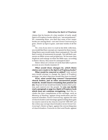claims that he knows of a tiny number of early, small Spirit of Prophecy books which are "uncontaminated." Yet, examining them, you find that none of her major books are among them—not one! *Great Controversy* is gone, *Desire of Ages* is gone, and nine-tenths of all the rest.

Yet, even if you were to read in his little collection, you would find that concepts are repeated in them (something Bates says would make them uninspired). You will find a variety of statements by people. You will find comments on Bible verses and prophecies. Yet because they duplicate and enlarge on what the Bible says, according to Bates' theory, they must be uninspired also!

Bates' ideas are a house of cards that falls to pieces as soon as you closely examine it!

### *What would these changes be, which Bates claims were made to the Spirit of Prophecy books?*

What would be removed or added? Only wicked men would attempt to change the Spirit of Prophecy writings, but what objectives would they have in mind?

*First, what would they remove?* Unconverted church leaders, just as other unconverted people would do, would remove everything that pointed out sin. Reproof of sin would inevitably weaken their position and control over the people. Yet you can hardly read a paragraph or page in a Spirit of Prophecy book which does not condemn wrongdoing. And this includes the later compilations of her writings, such as *Ministry of Healing:* against drug medication and for natural remedies; *Great Controversy:* against the sins of church leaders and warnings against letting them gain too much control in the church (*read GC 595-597;* yet the critics say corrupt church leaders wrote *Great Controversy*!); *Desire of Ages:* against the overarching sins of church leaders; *Councils on Diet and Foods:* against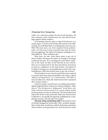coffee, tea, and meat eating. On and on the list goes. All nine volumes of the *Testimonies* are also full of warnings against sinful conduct.

In stunning contrast, open a copy of the *Review* or a union paper, or look at the books advertised in the ABC catalog. You will find little or nothing that reproves sin. Why? Because men, not God, inspired those publications. It is the way of man to praise men and not mention wrongdoing. The Spirit of Prophecy writings are totally different: They condemn sin!

Why then, we ask, does Bates want to get rid of those books? Perhaps the Spirit of Prophecy writings condemn his sins. It is a strange fact that Bates' objective is the same as that of the liberals in our church, who are so immersed in sin that they find it necessary to destroy confidence in the holy books. The Spirit of Prophecy writings are an amplification of the Ten Commandments. Why does Bates want to get rid of them?

Early leaders in our church would also have wanted to remove how they mistreated Ellen and James. (Read *"Sketch of Experience"* in *1 Testimonies, 570-585*. It was not taken out, when the *Testimonies* were reprinted after James' death.)

Church leaders would want everything discarded, which weakened their control over church members. Then why is *"The Scriptures a Safeguard"* in all three editions of *Great Controversy*? It is a most violent attack on the primacy of church authority. The first (historical) half of the book is also powerful. Why was *Testimonies to Ministers,* an equally strong book, published as a compilation nearly a decade after her death?

*Second, what would they add?* If the leaders wrote or heavily changed her books after 1881, as Bates charges, this is what they would have added: flattering comments about leaders, how good they are, how they never make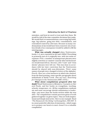mistakes, and how we need to trust and obey them. We would be told of the wise committee decisions they make. We would find recommendations concerning big buildings, big salaries, going into debt, consolidation, and centralized control by a few men. Because so many condemnations of sin would have been removed, lots of useless details of no consequence would be added to fill the missing pages.

What was actually changed when *Testimonies, books 1-4,* were reprinted in the mid-1880s? Everything is primarily just as it originally was, with two main exceptions: *First,* a number of unimportant phrases were slightly rewritten or omitted (exactly what wicked leaders would want left in). *Second,* a few "I saw" and "I was shown" phrases were left out. This was done in accordance with her later conviction that the *Testimonies* should be shared with non-Adventists. *Third,* some names of people were changed to letters of the alphabet. *Fourth,* there are a few instances in which she omitted, from the final printing, some specific paragraphs about individuals at Battle Creek. (See my tract, *Searching for Changes in the Testimonies [WM–1075].*)

What about compilations prepared after her death? Read *Testimonies to Ministers, Counsels on Diet and Foods,* and her books on evangelism, teaching, schools, temperance, etc. All the compilations condemn sin and none encourage slavish submission to leadership—any more than the books written while she was alive. The compilations contain precious gems of truth gathered together on given topics. They are both inspirational and deeply instructive. Here is one example: Read *"The Reason for the Delay"* in *Evangelism,* 694-697. It is a most powerful collection of statements—which urges us to prepare our hearts to meet Jesus! It is a valuable compilation!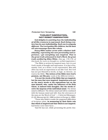#### **THOUGHT INSPIRATION, NOT ROBOT INSPIRATION**

*God delights in watching how the individuality of all His creatures is expressed. Each living creature has its own individuality. Each one is uniquely different. The Lord guides His children, but He does not micromanage them like robots.*

*Every Bible author wrote with a distinct individuality, expressing his own personality and experience,—yet everything was inspired. That is the great truth witnessed in God's Word, the great truth verified by Ellen White. (See pp. 176-178, of this book, for more on thought vs. verbal inspiration.)*

"The Bible is written by inspired men, but it is not God's mode of thought and expression. It is that of humanity. God, as a writer, is not represented. Men will often say such an expression is not like God. But God has not put Himself in words, in logic, in rhetoric, on trial in the Bible. The writers of the Bible were God's penmen, not His pen. Look at the different writers.

"It is not the words of the Bible that are inspired, but the men that were inspired. Inspiration acts not on the man's words or his expressions but on the man himself, who, under the influence of the Holy Ghost, is imbued with thoughts. But the words receive the impress of the individual mind. The divine mind is diffused. The divine mind and will is combined with the human mind and will; thus the utterances of the man are the Word of God."—*1 Selected Messages, 21-22; Manuscript 24, 1886 (written in Europe in 1886).*

"Those who think to make the supposed difficulties of Scripture plain, in measuring by their finite rule that which is inspired and that which is not inspired, had better cover their faces . .

"And He has not, while presenting the perils clus-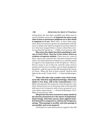tering about the last days, qualified any finite man to unravel hidden mysteries, or inspired one man or any class of men to pronounce judgment as to that which is inspired or is not. When men, in their finite judgment, find it necessary to go into an examination of Scriptures to define that which is inspired and that which is not, they have stepped before Jesus to show Him a better way than He has led us."—*7 Bible Commentary, 944.*

"Men arise who think they find something to criticize in God's Word. They lay it bare before others as evidence of superior wisdom. These men are, many of them, smart men, learned men, they have eloquence and talent, the whole lifework [of whom] is to unsettle minds in regard to the inspiration of the Scriptures. They influence many to see as they do. And the same work is passed on from one to another, just as Satan designed it should be, until we may see the full meaning of the words of Christ, 'When the Son of man cometh, shall he find faith on the earth?' (Luke 18:8)."—*1 Selected Messages, 17.*

"Those who take only a surface view of the Scriptures will, with their superficial knowledge, which they think is very deep, talk of the contradictions of the Bible and question the authority of the Scriptures. But those whose hearts are in harmony with truth and duty will search the Scriptures with a heart prepared to receive divine impressions."—*1 Selected Messages, 20 (7 Bible Commentary, 945).*

"Skepticism has been aroused in many minds by the theories presented as to the nature of inspiration. Finite beings, with their narrow, short-sighted views, feel themselves competent to criticize the Scriptures, saying: 'This passage is needful, and that passage is not needful, and is not inspired.'

"Christ gave no such instruction in regard to the Old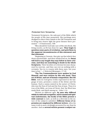#### **Protected from Tampering**

Testament Scriptures, the only part of the Bible which the people of His time possessed. His teachings were designed to direct their minds to the Old Testament and to bring into clearer light the great themes there presented."—*5 Testimonies, 709.*

"Men should let God take care of His own Book, His living oracles, as He has done for ages. They begin to question some parts of revelation, and pick flaws in the apparent inconsistencies of this statement and that statement.

"Beginning at Genesis, they give up that which they deem questionable, and their minds lead on, for Satan will lead to any length they may follow in their criticism, and they see something to doubt in the whole Scriptures. Their faculties of criticism become sharpened by exercise, and they can rest on nothing with a certainty. You try to reason with these men, but your time is lost."—*1 Selected Messages, 17-18.*

"The Ten Commandments were spoken by God Himself, and were written by His own hand. They are of divine, and not of human composition. But the Bible, with its God-given truths expressed in the language of men, presents a union of the divine and the human. Such a union existed in the nature of Christ, who was the Son of God and the Son of man. Thus it is true of the Bible, as it was of Christ, that 'the Word was made flesh, and dwelt among us.' John 1:14.

"Written in different ages, by men who differed widely in rank and occupation, and in mental and spiritual endowments, the books of the Bible present a wide contrast in style, as well as a diversity in the nature of the subjects unfolded. Different forms of expression are employed by different writers; often the same truth is more strikingly presented by one than by another. And as several writers present a subject un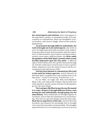der varied aspects and relations, there may appear, to the superficial, careless, or prejudiced reader, to be discrepancy or contradiction, where the thoughtful, reverent student, with clearer insight, discerns the underlying harmony.

"As presented through different individuals, the truth is brought out in its varied aspects. One writer is more strongly impressed with one phase of the subject; he grasps those points that harmonize with his experience or with his power of perception and appreciation; another seizes upon a different phase; and each, under the guidance of the Holy Spirit, presents what is most forcibly impressed upon his own mind—a different aspect of the truth in each, but a perfect harmony through all. And the truths thus revealed unite to form a perfect whole, adapted to meet the wants of men in all the circumstances and experiences of life.

"God has been pleased to communicate His truth to the world by human agencies, and He Himself, by His Holy Spirit, qualified men and enabled them to do this work."—*Great Controversy, Introduction, v-vi.*

"In our Bible, we might ask, Why need Matthew, Mark, Luke, and John in the Gospels, why need the Acts of the Apostles, and the variety of writers in the Epistles, go over the same thing?

"The Lord gave His Word in just the way He wanted it to come. He gave it through different writers, each having his own individuality, though going over the same history. Their testimonies are brought together in one Book, and are like the testimonies in a social meeting. They do not represent things in just the same style. Each has an experience of his own, and this diversity broadens and deepens the knowledge that is brought out to meet the necessities of varied minds. The thoughts expressed have not a set uniformity, as if cast in an iron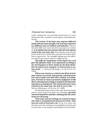mold, making the very hearing monotonous. In such uniformity there would be a loss of grace and distinctive beauty . .

"The Creator of all ideas may impress different minds with the same thought, but each may express it in a different way, yet without contradiction. The fact that this difference exists should not perplex or confuse us. It is seldom that two persons will view and express truth in the very same way. Each dwells on particular points which his constitution and education have fitted him to appreciate. The sunlight falling upon the different objects gives those objects a different hue.

"Through the inspiration of His Spirit the Lord gave His apostles truth, to be expressed according to the development of their minds by the Holy Spirit. But the mind is not cramped, as if forced into a certain mold."—*1 Selected Messages, 21-22 (Letter 53, 1900)*.

"When men venture to criticize the Word of God, they venture on sacred, holy ground, and had better fear and tremble and hide their wisdom as foolishness. God sets no man to pronounce judgment on His Word, selecting some things as inspired and discrediting others as uninspired. The testimonies have been treated in the same way; but God is not in this."—*1 Selected Messages, 23 (Letter 22, 1889).*

"He will misconstrue his words, play upon his imagination, wrest them from their true meaning, and then entrench himself in unbelief, claiming that the sentiments are all wrong.

"This is the way my writings are treated by those who wish to misunderstand and pervert them. They turn the truth of God into a lie. In the very same way that they treat the writings in my published articles and in my books, so do skeptics and infidels treat the Bible.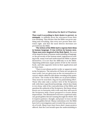They read it according to their desire to pervert, to misapply, to willfully wrest the utterances from their true meaning. They declare that the Bible can prove anything and everything, that every sect proves their doctrines right, and that the most diverse doctrines are proved from the Bible.

"The writers of the Bible had to express their ideas in human language. It was written by human men. These men were inspired of the Holy Spirit. Because of the imperfections of human understanding of language, or the perversity of the human mind, ingenious in evading truth, many read and understand the Bible to please themselves. It is not that the difficulty is in the Bible. Opposing politicians argue points of law in the statute book, and take opposite views in their application and in these laws . .

"There is not always perfect order or apparent unity in the Scriptures. The miracles of Christ are not given in exact order, but are given just as the circumstances occurred, which called for this divine revealing of the power of Christ. The truths of the Bible are as pearls hidden. They must be searched, dug out by painstaking effort. Those who take only a surface view of the Scriptures will, with their superficial knowledge, which they think is very deep, talk of the contradictions of the Bible and question the authority of the Scriptures. But those whose hearts are in harmony with truth and duty will search the Scriptures with a heart prepared to receive divine impressions. The illuminated soul sees a spiritual unity, one grand golden thread running through the whole; but it requires patience, thought, and prayer to trace out the precious golden thread. Sharp contentions over the Bible have led to investigation and revealed the precious jewels of truth. Many tears have been shed, many prayers offered, that the Lord would open the understanding to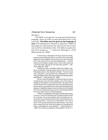His Word.

"The Bible is not given to us in grand superhuman language. Jesus, in order to reach man where he is, took humanity. The Bible must be given in the language of men. Everything that is human is imperfect. Different meanings are expressed by the same word; there is not one word for each distinct idea. The Bible was given for practical purposes."—*1 Selected Messages, 19-20 (Manuscript 24, 1886).*

"In the future, deception of every kind is to arise, and we want solid ground for our feet. We want solid pillars for the building. Not one pin is to be removed from that which the Lord has established . . Where shall we find fafety unless it be in the truths that the Lord has been giving for the last fifty years?"-Review, May 25, 1905.

"False theories, repeated again and again, appear as falsely inviting today as did the fruit of the forbidden tree in the Garden of Eden. The fruit was very beautiful, and apparently desirable for food. Through false doctrines many souls have already been destroyed."—Manuscript 37, 1906.

"As the natural eyesight of persons becomes so impaired as to be almost useless, so in the case of religious fanaticism and extremists, the eye of the soul through which good and evil may be discerned, becomes so perverted that nothing is distinguished clearly. A healthful discernment is ruined, so the spirit of truth and righteousness cannot be distinguished from the spirit of error and fanaticism.

"There is a disease of the spiritual faculties when a man or woman fancies that he sees things which do not exist. He is intoxicated with an illusion as verily as the liquor drinker becomes intoxicated by using strong drink. There is an inspiration, but not of God. The mental faculties are perverted. Let every soul make God his trust and obtain an experience that is wholesome and healthy."—Manuscript 41, 1900. All of these quotations: Evangelism, 610-611.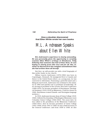#### **How a doubter discovered that Ellen White wrote her own books**

# M.L. Andreasen Speaks about Ellen White

*M.L Andreasen's experience is clearly astounding. He was personally given the opportunity to carefully examine Ellen White's writings at Elmshaven. Fully believing that someone else had written them, he was hoping to clearly prove this once and for all. But, instead, he discovered to his complete astonishment that she had written them all herself!*

But first, we will provide you with a brief biography of this earlier leader in our church:

Milian Lauritz Andreasen (1876-1962) was born in Copenhagen, Denmark. He immigrated first to Canada and thence to the United States where, as a young man, he was converted to Adventism. Possessing a powerful mind and a liking for hard work, Andreasen was ordained to the ministry in 1902 and quickly rose to positions of leadership. After serving as president of the Greater New York Conference (1909-1910), he became president of Hutchinson Theological Seminary (1910-1918) in Minnesota. (Until its closure in 1928, Hutchinson trained Danish- and Norwegian-language workers.)

In 1918, Andreasen became dean of Union College (1918- 1922), followed by deanship of Washington Missionary (now Columbia Union) College (1922-1924). Two years later, he was called to the presidency of the Minnesota Conference (1924-1931); then he became president of Union College (1931-1938). From 1941 to 1950, he was a field secretary of the General Conference; and from 1938 to 1949, he also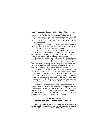#### **193 M.L. Andreasen Speaks about Ellen White**

taught at our Theological Seminary in Washington, D.C.

M.L. Andreasen wrote many articles and more than 13 books, including *The Sanctuary Service, The Epistle to the Hebrews, A Faith to Live By, What Can a Man Believe?* and *Saints and Sinners.*

Throughout the 1940s, Andreasen was considered our leading doctrinal expert. He was considered a special authority in the study of the Sanctuary message.

In the autumn of 1956, Elder Andreasen (by that time retired) read Donald Barnhouse's "bombshell" article in *Eternity* magazine. For the first time, he had learned of the doctrinal crisis which confronted our denomination.

He began protesting vigorously about the change in our doctrines which was taking place during the 1954-1956 Evangelical Conferences. Unfortunately, our leaders in the General Conference strongly desired to please Walter Martin, Donald Barnhouse, and Evangelical church leaders in order to gain acceptance by modern Protestantism.

Andreasen's protests were primarily made through a series of letters written to Elder Reuben Figuhr, president of the General Conference. These letters were later compiled in a book, *Letters to the Churches*. Andreasen's death, in 1962, was prematurely hastened by his sorrow over our doctrinal sellout. He died of a bleeding ulcer. Andreasen, our leading doctrinal writer, in the 1940s, well-understood the consequences of what had happened.

In response to his protests, Andreasen's ministerial credentials were taken, even his denominational pension! For the remainder of his life, he was banned from speaking in any of our churches or meetings. (For a rather complete account of that entire crisis, we refer you to our book, *The Evangelical Conferences and their Aftermath.*)

#### **— PART ONE —**

#### **EXCERPTS FROM ANDREASEN'S DIARY**

*Here are several excerpts from the private diary of M.L. Andreasen, about his varied contacts with the Spirit of Prophecy and Ellen White. The passages are*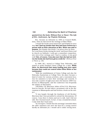#### *quoted from the book, Without Fear or Favor: The Life of M.L. Andreasen*, *by Virginia Steinweg.*

M.L. became an Adventist in 1894 at Council Bluffs, Iowa. Then he discovered the writings of Ellen White:

"I found the books most instructive and helpful in every way, but I had my doubts that they had been written by a person with as little education as Mrs. White was said to **possess**. But despite this doubt, I set great store by them . . As I read those books during the week, and heard them read in church on Sabbath, I early got a somewhat comprehensive view of her writings and, I had to confess, it was good stuff. But, of course, I was also sure that she had not written the books she had been given credit for" *(Without Fear or Favor, p. 35).*

In 1896, M.L. moved to College View, Nebraska, and stayed at newly founded Union College for a time. While there, he discovered that many leading men were upset because they could not control either Ellen White or her testimonies:

"With the establishment of Union College and also the Nebraska Sanitarium at College View, the place became a kind of center for various activities, and a convenient location for ministers to have their meetings and councils. It was only a matter of eight years since the famous 1888 Conference in Minneapolis, and the conference was frequently the subject of discussion.

"Old Elder J.H. Morrison, father of Prof. H.A. Morrison, lived in Lincoln. He had taken a prominent role in the discussions at Minneapolis and had written a book on the subject . .

"It was largely through the kindness of old Brother Morrison that I was permitted to attend the discussions. Of course, I was there to listen and not to talk. And I did not talk. But I learned much. In fact, it was a wonderful school. I only wish that I had notes.

"In retrospect, I doubt that the meetings I attended when the older ministers met were the best for a young convert hardly an Adventist yet. I would call it rather strong meat.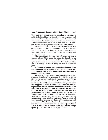They paid little attention to me, but plunged right into a subject of which I knew nothing. But I soon caught on, and was astonished at the freedom with which they discussed personalities. Most of the older men who had known Elder White were not endeared to him, it appeared. In their opinion, he was too strongheaded to work well with others.

"Sister White's position was not an easy one. As the wife of the president of the denomination, she gave support to him in his work. But at times word would come from the Lord that made it necessary for her to bear messages of reproof to him . .

"This was at times the case when it became her duty to counsel others. While many to whom testimonies were written accepted them with gratitude, others turned **against her.** No wonder that she said that if she had her choice of having a vision or dying, she would choose the grave . .

#### "A few of the leaders were waiting for the day when there would be a change in the way the church was run. They thought that at the Minneapolis meeting such a change might be made.

"I have heard many versions of what took place at Minneapolis. Someday, if I ever get time, I would like to tell the story as I heard it recounted at the meetings held in College View by the men who were the leaders in opposition to Sister White. They did not consider the message of Jones and Waggoner to be the real issue. The real issue, according to my informers, was whether Sister White was to be permitted to overrule the men who carried the responsibility of the work. It was an attempt to overthrow the position of the Spirit of Prophecy. And it seemed the men in opposition carried the day. Eventually she left for Australia, where she stayed nine years. It was there that a plan of organization which called for union conferences was tried that received her blessing, and that in 1901 was implemented on the General Conference level. As interpreted by some, the Minneapolis conference was a revolt against Sister White. If that is so, it throws some light on the omega apostasy" *(Without Fear or Favor, pp. 42-44).*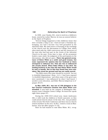In 1898, near Omaha, M.L. went to work in a children's home, started by Luther Warren; he was an earnest believer in the Spirit of Prophecy.

"Several things happened at this children's home that were certainly a help to me. I had not had a Christian upbringing, nor had I become very well grounded in the Adventist faith. My chief source of learning of the teachings of the church was the discussions in College View, which often dealt with the 1888 controversy and the characters of the men who had had part in the events of the Adventist Church in the past. From time to time, all the prominent leaders came under the judgment of the participants in the discussions, who did not spare. There was general acceptance of Sister White as a noble and good woman, but some expressed the opinion that her husband at times attempted to influence her. That she was so influenced she stoutly denied. When Elder White at last died, the leading brethren at the time felt that Sister White would be easy to handle. But in this they found they were mistaken. She stood her ground and was not easily moved.

"The Bible states that some should be received, 'but not to doubtful disputations' (Rom. 14:1). I had been exposed 'to doubtful disputations,' and when some of the great men were mentioned, I was influenced by what I had heard. I needed a new education, and Elder Warren helped me to it" *(pages 46-47).*

In May 1909, M.L. was one of 199 delegates to the last General Conference Session that Ellen White ever attended. It was held on the campus of Washington Missionary (now Columbia Union) College. He heard her speak eight times *(page 67).*

During the 1909-1910 school year, Annie Andreasen (M.L.'s wife) took the children to South Lancaster, so they could attend church school. At the time, M.L. was president of the Greater New York Conference and there was no church school anywhere in the area. So M.L. rented a room in Manhattan, near his office *(pages 71-72).*

Since he had wanted to visit Ellen White, M.L. recog-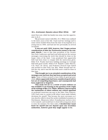nized that now, while his family was away, was his opportunity to do it.

"My personal contact with Mrs. E.G. White was confined to the latter years of her life. I had read her writings and to some extent studied them from the time of my baptism as a young man in 1894, and had met her personally on several occasions.

"It was not until 1909, however, that I began serious consideration of what the *Testimonies* meant to the remnant church. I was at that time president of the Greater New York Conference and had read with interest the various messages concerning the work that should be done in the larger cities of the land. I was perplexed that apparently little had been done to comply with the instruction given. Elder E.E. Franks had been holding meetings in Carnegie Hall with good results. Elders S.N. Haskell, Luther Warren, G.B. Starr, Dr. Kress, and Professor Prescott had visited and worked in New York City. Mrs. White herself had visited the city, and it was felt that little more could be done at that time.

"This brought me to an extended consideration of the messages sent and how they had been accepted and acted upon. Some of them seemed to have fallen in good ground, while others apparently had been considered good advice but not of compelling importance, and consequently had been neglected or forgotten.

"This study led me to a review of such evidence as was available to me bearing on the question of the origin of the writings of Mrs. E.G. White. Hitherto I had accepted the testimonies of others without any critical appraisal or profound conviction one way or the other. Now, however, I felt I had come to a point in life when I must make definite decisions for myself. This became the more necessary as I was shortly called to head the newly established seminary in Hutchinson, Minnesota [where Scandinavian workers were to be trained], and would have to deal with young men about to enter the ministry. For their sakes, I decided that I must know for myself and not depend upon any secondary authorities, however good they might appear to be.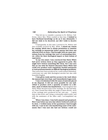"This led me to consider a journey to St. Helena, California, where Mrs. White resided at that time. I wished to have firsthand knowledge as far as it was obtainable. I did not wish to be deceived, nor did I wish to deceive others.

"Consequently, in due time I arrived in St. Helena and was cordially received by Mrs. White. I stated my reason for coming, which was to obtain permission to examine her writings in manuscript before anyone had done any editorial work on them. I had brought with me many quotations from her writings that were of outstanding interest, either for their theological import or their beauty of expression.

"In my own mind, I was convinced that Sister White had never written them as they appeared in print. She might have written something like them, but I was sure that no one with the limited education Sister White had could ever produce such exquisitely worded statements or such pronouncements on difficult theological problems. They must have been produced by a well-trained individual, conversant not only with theological niceties but also with beautiful English.

"I was given ready and free access to the vault where the manuscripts were kept, and I immediately began work.

"I was overwhelmed with the mass of material placed at my disposal. It did not seem possible for one individual to produce such a quantity of matter in a lifetime, most of which was handwritten. I had imagined that Sister White dictated most of her writings, for she had helpers. Now I found that while she might at times dictate, most of her writings were produced by her own pen . . I spent days at this work; and, being a reasonably rapid reader, and with the assistance of the office staff, I accomplished my task.

"When I was done, I was both amazed and perplexed. Here I saw before my eyes that which I believed could not be done. I verified many of the quotations I had brought with me. I saw in her own handwriting some of the statements that I was sure she had not written—could not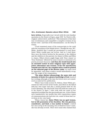have written. Especially was I struck with the now-familiar quotation in the *Desire of Ages, page 530:* 'In Christ is life, original, unborrowed, underived.' This statement at that time was revolutionary and compelled a complete revision of my former view—and that of the denomination—on the deity of Christ.

"I had examined many of the manuscripts in the vault with the exception of the family letters. Though the son, W.C. White, doubted that I would get permission to read them, Sister White readily gave me access. And so I read them. Here were the letters written by the parents to the children and the children to the parents, by James to Ellen and Ellen to James. Ellen's letters might begin with 'Dear James' or 'Dear Husband,' followed by some remark or statement of a purely personal character, and then she would launch into an extended recital of some religious topic with appropriate admonition and counsel. If the few introductory remarks were left out, the complete letter could be printed on the editorial page of the *Review* today, no name need be appended, and many readers would immediately recognize the origin of the composition.

"The same distinct phraseology, the same style and intensity of desire for a greater knowledge of God, marked her writings although at the time the letters were not considered as material for publication.

"When I was ready to leave St. Helena, Sister White presented me with several of her books, inscribed on the flyleaf with her own name and also a small printed wish for the Lord's blessing. The only book I have left with her name in it is the *Desire of Ages.* I also took with me some of her unprinted writings that she graciously gave me. A few of these were handwritten, but mostly they were typewritten copies of communications she had sent out, some of them had corrections in her own hand.

"When I knew her, Sister White was an aged woman, but in full possession of her faculties. She was gracious, considerate, and kind, a true mother in Israel. I visited her once *early* in the morning, but at whatever hour I came, she was already at work. There were some who claimed that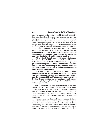she was already in her dotage [unable to think properly]. She must have heard this, for one morning she gave me eight pages to read of what she had written that morning. After I had read it, she smiled at me and said in a playful voice, 'That's pretty good, isn't it, for an old woman in her dotage!' and then she laughed. The first time I heard Sister White laugh I was shocked, for I did not think that a person in her position should laugh. But laugh she did at times—a sweet, quiet, girlish laugh, altogether appropriate. She was good company and not at all the stern, demanding, and commanding personality I had pictured her to be. She was a mother in Israel, and I came to love her.

"When I finally bade her farewell, it was with the profound conviction that I had been face to face with a manifestation and a work that I could account for only on the ground of divine guidance. I was convinced that her work was of God, that her writings were produced under the guidance of God, and that she had a message both for the world and the people of God.

"In writing this, I am not attempting to 'prove' anything. I am merely giving my testimony of that which I know. And that testimony is clear and unequivocal. I believe that the writings of Sister White are true messages of God for this church and that no one can ignore and disobey them except at great, infinitely great, loss" *(Without Fear or Favor, pp. 74-78).*

M.L. Andreasen had one more occasion to be close to Ellen White. It was shortly after her death. Three simple funeral services were held. One at Elmshaven. The second was at Richmond, California, during a camp meeting. And the last and largest was at the Battle Creek, Michigan, Tabernacle on July 24, 1915. Virginia Steinweg describes what happened:

"Not everyone who had had the opportunity to know both Ellen White and her writings profited by the acquaintance. A certain minister who knew Sister White 'to be an unassuming, modest, kind-hearted, noble woman' and who had 'been in their [the White] family time and time again, sometimes weeks at a time' *(D.M. Canright, "A Plain Talk*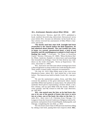*to the Murmurers," Review, April 26, 1877),* published a book entitled *Seventh-day Adventism Renounced* seven years before M.L. became an Adventist. In his book the author utterly reversed his assessment of Ellen White's character and work.

"The fourth (and last) time D.M. Canright had been reconciled to the church before his final departure, he had admitted about himself, 'The real trouble lies close to home, in a proud, unconverted heart, a lack of real humility, and the unwillingness to submit to God's way of finding the truth' " *(Canright, "To Those in Doubting Castle," Review, February 10, 1885).* 'When Brethren Butler, White, Andrews, Haskell, or others have said something that wounded my feelings, I have let that destroy my confidence in the truth' *(Canright, "Items of Experience," Review, December 2, 1884).*

"M.L. had never met this man whose writings have been a discouragement to many seekers for truth during the years. Their paths crossed under unusual circumstances.

"On July 16, 1915, Ellen White went to her rest in her Elmshaven home, where M.L. had visited her a few years before. The funeral was held in Battle Creek. M.L. was present.

"He saw the sanitarium's palms, ferns, and lilies that covered the platform of the great tabernacle where James and Ellen White had spoken so many times. He admired the symbolic floral pieces representing a broken wheel, a broken column, and an open Bible with the words, 'Behold, I come quickly; and My reward is with Me' *(Life Sketches, pp. 462-463).*

"M.L. was seated near the bier, as he had been chosen to be one of the guards of honor who were to serve two at a time, one at the head, the other at the foot. Besides M.L., there were L.H. Christian from Chicago, C.S. Longacre from the General Conference Religious Liberty Department, and pastors from Grand Rapids, Indianapolis, and Chicago, completing the six *(ibid., p. 463).*

"For two hours more than 4,000 persons had been filing by, taking a last look, paying their last respects *(ibid).* M.L.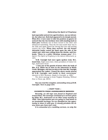had especially noticed two aged brothers, one an Adventist, the other not. Both had appeared to be deeply moved. When M.L.'s turn came to take his position on guard, he noticed that the two brothers were still standing back at their pew. Suddenly one of them turned to the other and whispered something. Then the two men made their way to the aisle and again joined the throng that was still moving toward the front. When they arrived, the old former Adventist leader rested his hand upon the side of the casket and, with tears rolling down his cheeks, said brokenly, 'There is a noble Christian woman gone' *(W.A. Spicer, The Spirit of Prophecy in the Advent Movement, p. 127).*

"D.M. Canright had once again spoken truly. M.L. heard him. Eight years later, when president of Union College, Andreasen wrote:

" 'I was one of the guards of honor when the body of Mrs. E.G. White lay in state in the tabernacle in Battle Creek, Michigan, and was on duty at the time Mr. Canright approached the casket. I heard the above words uttered by D.M. Canright, and testify to their correctness' *(quoted in W.H. Branson, Reply to Canright, p. 288)."*

The above passage is from Virginia Steinweg, *Without Fear or Favor, pp. 89-91.*

#### *You can read the complete, astounding story of D.M. Canright. Turn to page 210.*

#### **— PART TWO —**

#### **EXCERPTS FROM ANDREASEN'S SERMON**

*Recently, an old tape was found in England and transcribed. The message consisted of a sermon given by Elder M.L. Andreasen at an Ohio camp meeting in 1955. This information you are going to read below is an invaluable heritage; we are thankful for the opportunity to share it with you. It closely parallels the diary notes you have just read.*

*It is somewhat of a rambling sermon, so only the*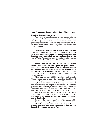#### *heart of it is reprinted here.*

This was not a carefully prepared sermon, but rather an impromptu collection of earlier experiences in Andreasen's life. It was given a year before he learned about and began protesting the doctrinal sellout during the Evangelical Conferences. (See our book, *The Evangelical Conferences and their Aftermath.*)

"This service this morning will be a little different from the ordinary service for the eleven o'clock hour. I have been asked to speak on the subject of the Spirit of Prophecy; more particularly, my personal experiences with Sister White. There are not many remaining who have known and been with Mrs. White; and it's thought best that this hour be used for that purpose.

"When I became an Adventist [in 1894], I'd heard about Sister White, but I was given no special instruction, I simply accepted belief of the writings of the Spirit of Prophecy, as I did many other things, without going thoroughly into the subject. I gave up the eating of unclean things and the drinking of that which is not good, and just let it go at that.

"Then came the time [1898], when I prepared to teach. There I came face to face with a question that I knew I had to settle, because if I were to teach children and young people, I must know for myself. Not merely by hearsay, not merely by reading, but by personal experience, if that were possible. I was attending at that time the Chicago University; not at that time normally noted for its orthodoxy or its religion. But I took there a course in the Life of Christ.

"*Desire of Ages* had just come out [1898] and I used that book as complimentary reading. And I had opportunity there to go thoroughly into the reading, the teaching of that book.

"So day by day I would read *Desire of Ages,* as my additional reading, and compare it with what I learned in class. And I found, to my astonishment, that many of the perplexing questions that even higher critics have to deal with were solved in *Desire of Ages.*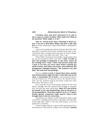"I became more and more interested in it; and at last it came to a kind of climax. What shall I do? What is my position? What ought it to be?

"And so, several years later, believing in direct action, I set out to find Sister White and have a talk with her. So I did. [Andreasen visited Ellen White at Elmshaven in 1909.]

"I was a very young man [about 33 years old at the time] and when I knocked on the door I hardly knew what to say. I did about what a student did much later in Union College, when he came to my office and said, 'Here I am.'

"Sister White received me very kindly. I suppose she sized me up and wondered what I was after. I said, 'I'd like to have the privilege of admission to the vault,' where all her writings were. I said, 'I have read all your books and I want to see how you wrote them before anybody got ahold of them, and made corrections, and omissions and paraphrases [changed phrases].' She looked at me and said, 'You may have the privilege'.

"And so, I went to work. I stayed there three months and worked almost night and day. I read what was in the vault, a tremendous lot of work. I was perplexed when I saw the volume of it. If I had not seen it for myself I'd have said, 'No one, however long he has lived, could ever write that much.' But there it was.

"So I read the *Great Controversy,* written by her own hand. I thought that she dictated her writings to someone else. But that was only rarely done. Most of it was written by herself, in her own handwriting. Then it was given to the stenographers. Then they copied it on  $8\frac{1}{2}$  x 11 paper, double spaced, sometimes triple spaced. Then it was brought back to her for correction.

"Sometimes her helpers would themselves make small corrections—spelling, punctuation or grammar, but then they would sign their name to the item and bring it to her for approval or rejection.

"I had brought with me a great many quotations that I had found as I read *Desire of Ages* very critically. I wanted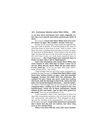to see how those statements were made originally, before they were printed and before anybody got ahold of them.

"So I repeat, I knew that Sister White had never written *Desire of Ages.* She couldn't. Of that I was sure.

"Earlier, in the university, I had waded through Browning, and I said to myself, 'If I had Browning in the class I'd send him home to learn how to write.' Now, in class, I was given the work of finding immortal lines in *Desire of Ages,* as I had done in Shakespeare. I don't believe I put that quite right, because that was not the work that was given me, it's the work that I took, as I took down immortal lines in Shakespeare. —But I had found more immortal lines in *Desire of Ages* than I did in Shakespeare!

"And I was astonished, and I knew Sister White had never written it. And, with that in mind, I came out to see her. What did *she* write? What did she write *before it was 'fixed up,'* as we say, by those who make corrections, proofreaders;—*her work!*

"I had brought with me all of her many statements regarding theology, because as I knew that Sister White could never have written *Desire of Ages,* with that beautiful language, because she didn't have the education. She couldn't! So also I knew she never could have written that book, with the theology in that book, unless she had had a very broad theological education. —And she hadn't. So I knew. I had brought with me my statements; and, as I compared them, *reading out in the original in her own handwriting,*—every one of those statements I found written by her own hand,—just as they were printed in the book! That was an astonishment to me.

"I well remember when I first discovered in *Desire of Ages* that tremendous statement, that 'in Christ is life, original, unborrowed, and underived.' That changed my theology and the theology of the denomination. As I read it [the book] again and again, I had earlier found more statements that I knew that she had not written—*but there they were in her handwriting.*

"When I was done with my work, after three months,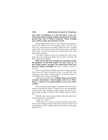and I had a confidence in a job well done, I was convinced that those writings could be explained on no other ground than that of Divine Guidance. Those writings were written under the direction of God.

"Sister White herself was a very pleasant personality. I used to sit with her in the morning, early;—six, five *and once four,* and she was up writing. She'd sit in her rocking chair, with arms and a board across those arms, and there she'd write. I don't know why she accepted me, but I was apparently welcome.

"I sat there trying to find out all about her; and I suppose, she was reading me while I was trying to read her. We had a good time together.

"She told me that her writings were produced under the guidance of the Holy Spirit; but that, later on, as she would reread a passage, she would learn still more about its deeper meaning. She said, 'I study it, same as you do.'

"Later I read what the Bible says about [what] prophet Peter says *that they themselves have to study their own writings,* to see what or what manner of time the Spirit of God which was in them did signify.

"And that is how she wrote. I repeat: *Every one of those unusual statements I had brought with me to Elmshaven, I found to be authenticated in her own handwriting.*

"We discussed many things. I remember the first time I came in and saw her office, I found it to be very antiquated. No up-to-date office furniture. And I said to myself, if I ever get enough courage, I'll tell her what I think about her furniture.

"Well the time came one morning, when she asked me, 'Do you think I'm extravagant?'

"I said, 'No, I don't.'

" 'Well there was a sister in here yesterday; and, when she saw me sitting in this rocking chair, she accused me of extravagance. Now I bought that second hand. I paid eight dollars for it.'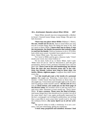#### **207 M.L. Andreasen Speaks about Ellen White**

"Sister White, herself, was very companionable, a Mother in Israel. I learned many things, many things. She gave me full clearance.

"There was one place where Willie [William C. White], the son, would not let me in. And as usual when you may not do a certain thing, that's the thing you want to do. And so I went to Sister White. I knew what was in there: it was the documents, the family documents that nobody ought to read but the family. I had no business to do it. If I'd have had a little more sense, I wouldn't have asked to do it. I went there. Sister White says, 'You may read it.'

"So I went to Willie and he gave a famous reply, "I don't doubt your word, but I don't believe it."

"So we went, both of us, to Sister White. And I said. 'Willie won't let me in.' And we discussed it, and she gave permission. And so I went, perhaps I shouldn't have, but I'm glad I did. There I saw in her own handwriting, her letters from the time she was fourteen years old, to her relatives, her friends. Letters were long in those days, ten twelve, fifteen, eighteen pages. I suppose they didn't write every day.

"And she would give just a few words of a personal nature. She might say, 'Yesterday, I went down to see the dentist.' I didn't know they had dentists in those days. Or she might say, 'I went down and I bought eight yards of calico and I'm going to make myself a dress.' All the rest of [what was in] those letters, you could put on the front page of the *Review* today. You wouldn't need to add any name to it, and every older Adventist at least would say, 'That's Sister White.' It was a sermon. Those were the kind of letters. And many things there that should not be revealed, but all of the same kind. And I was again profoundly impressed by the fact; a young girl, not writing for publication, not writing that a man fifty or more years later would read it, but just the ordinary letters—*the same Spirit as in all her writings.*

"My speech today is really a testimony. It is not a sermon. I am just witnessing, giving my testimony.

"I went away perplexed and satisfied, because I had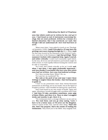seen that which could not be written by her, *and yet it was.* I had found no end of statements concerning theology, that are most profound, written by a woman of a limited education; that I was convinced, as I said, that though I did not understand all—*here God had been at work.*

"Many years later, I was asked to teach at our Theological Seminary [1938]. I said I'd be glad to, if I may have the privilege once more of going through the [E.G. White] vault [by that time located in the basement of the General Conference, next door to the Seminary]. I got that privilege. Three summers I worked, with competent help. Again I read all, and rather critically. I could read reasonably rapid which, by the way, all of you and all ministers particularly might do well to learn; to read rapidly without loosing the context and be able to remember.

"So I read, and I think critically, as far as I could; and, when, I was done, I was again profoundly impressed *and now finally [I concluded] that here was that which man had not written, here was God-indicted writings.*

"Do I then worship Sister White? Oh, no,

"Do I put her on a pedestal? No.

"But only at the peril of my soul may I reject those writings or neglect them [the books]—that God has given to guide us.

"I have in my possession more than twenty-thousand statements on theology, not in our books, but in the Spirit of Prophecy articles—and I wouldn't let them go for a good deal.

"And I had found in my own study of health, again and again, oftentimes I would struggle with a problem and I'd get it. And then I'd take, perchance sometimes, some page of Sister White; and there it is. There is what I struggled weeks and months to get; there it is.

"The testimonies have a strange influence on me and on you. You read them; and you go away saying, 'Lord, I have to be a better man; or I'll never see the Kingdom, unless I repent of this, that, and the other thing.' That's the aim, that's the purpose, that's the results of reading the testimonies. They draw you to the Bible; they magnify God,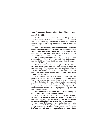magnify the Bible.

"Are there not in the testimonies many things that are hard to understand? To that I'd answer 'Yes.' As I said when I came to the Seminary, I will not be deceived and I will not deceive. I'll go as far as my mind can go and I'll know the truth.

"Yes, there are things hard to understand. There are some things in the Bible I struggled with for a good many years, I wish they weren't there. But they're there. Throw them out? No, no. Wait, wait. You'll find statements that you may not understand. But later on—.

"In the school, one student came to me and said, 'I found a contradiction. Sister White says both that God is Judge and that God is not Judge. God is not judge, Christ is judge, and here God is judge.'

"You'll find part of that in the chapter of the *Great Controversy,* where you'll find the Father sitting in judgment and presiding in the judgment. He is the Judge and Christ is the Advocate. You will find later on in the same book, that God is not Judge. What do you do about that? Just leave it until you get light.

"What light may you get? You can find, or you'll find generally, that you may believe that and believe the other also. Even though it seems to be contradictory; but light will come.

"Now the Father IS Judge—in the Investigative Judgment [while Jesus is still priest]. Christ is Judge—in the Day of Judgment, a thousand years [the Executive Judgment] after the millennium, when He is no longer priest. They are both true, both statements.

"We need to *read what has been written* about good eating, about good living, *and live up to it!*

"What has been written, you'd better read that carefully, because every statement holds true today. There may be a balancing statement. Get that there, but do not neglect or reject that which has been written for our learning.

"As we near the harbor, we need a pilot; thus she speaks of her work. I feel like giving a solemn warning to our people on the neglect of those writings that God has given us! How shall we escape, I speak from the Bible now;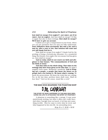how shall we escape if we neglect?—not reject, not if we reject—but we neglect. And how shall we escape? I'd like to apply that also to these writings. How shall we escape? We'll have to give an account.

"I advise you to get a compartment in your brain, where you can put questions that you may not fully understand. Don't disbelieve them necessarily. But wait a bit; and it may be, after a year or two, that solution will come and you will thank God for it.

"How shall we escape if we neglect? I thank God for the privilege of being a Seventh-day Adventist. It's a wonderful thing. But friends, if we neglect the very means God has given us—how shall we escape?

"And so today, shall we not renew our faith and allegiance to that banner, 'The commandments of God and the Faith of Jesus.'

"And that takes in the whole thing. That takes in the writings that have been given us for this time. So again I magnify God's name. Wonderful, wonderful. God is bringing out a people, a people that know the future as no people have ever known it. We know what's coming. We know the persecutions. We know the trials that are coming. For, in the last days, perilous times shall come. Shall we fear then? "Gird on the armor, stand like a rock!"

## **————————————————— THE MAN WHO BOARDED THE PHANTOM SHIP** D.M. CANRIGHT

#### **THE STORY OF WHAT HAPPENED TO THE MAN WHO DEDI-CATED HIS LIFE TO ATTACKING THE SPIRIT OF PROPHECY**

A phantom is something like a mirage. It may seem mysteriously inviting, but what it offers isn't really there. And when Canright went on board, it led him into something terrible. How he came to write what he wrote and what happened in his own life. An astounding story.

**——————————————————**

 *36 pp, 8½ x 11, \$5.00 + \$2.50*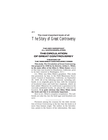# **The most important book of all** The Story of Great Controversy

#### **THE VERY IMPORTANT A.L. WHITE COMPILATION**

### **THE CIRCULATION OF GREAT CONTROVERSY**

#### **THE STORY OF**

#### **THE 1888 GREAT CONTROVERSY CRISIS**

This study, *The Circulation of Great Controversy,* was prepared in 1938 by its director, Arthur L. White, in the main office of the Ellen G. White Estate (which at that time was located in Elmshaven, California, prior to its later removal to Washington, D.C.)

A.L. White was Ellen White's grandson. This study was presented, by him, to the Field Missionary Secretaries' Council at Sanitarium, California, on September 30, 1938. All of the following material, including subheads, is as originally given by him, with the exception of bracketed items and bold face emphasis, which we have added. Whenever we could locate a quotation in the currently published books, we placed the reference in brackets. It is quite obvious that Ellen White wrote the book and that it is extremely important.

*Here is A.L. White's complete compilation. The subheads are also his, but the bold type and brackets are ours:*

—————————

Foremost among the reasons for the wide circulation of *Great Controversy* is the fact that the book is of more than human origin. The author, in the Introduction, points to the Source of her information. She says: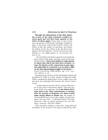"Through the illumination of the Holy Spirit, the scenes of the long continued conflict between good and evil have been opened to the writer of these pages. From time to time I have been permitted to behold the workings, in different ages, of the great controversy between Christ, the Prince of life, the author of salvation, and Satan, the author of evil, the author of sin, the first transgressor of God's holy law"—*Great Controversy (old edition), p. 13; 1888 edition, p. 10 [current edition, p. x].*

"As the Spirit of God has opened to my mind the great truths of His Word, and the scenes of the past and the future, I have been bidden to make known to others that which has thus been revealed—to trace the history of the controversy in past ages, and especially so to present it as to shed a light on the fast-approaching struggle of the future."— *Great Controversy (1888 edition), pp. 10-11 [current edition, p. xi].*

Speaking of the Source of the information which was presented in 1888 in a little volume *[2 Spiritual Gifts, 1858],* touching the high points of the conflict story, the last part was enlarged and became the *Great Controversy:*

"In this vision at Lovett's Grove, much of the matter of the Great Controversy which I had seen ten years before was repeated, and I was shown that I must write it out. That I should have to contend with the powers of darkness, for Satan would make strong efforts to hinder me, but angels of God would not leave me in the conflict, that in God must I put my trust."—*2 Spiritual Gifts, 270 [Life Sketches, 162, is almost identical. For the full story, read pp. 162-163 (1856)].*

This statement brings to view that, along with the revelation of the scenes of the great controversy, Mrs.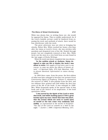White was shown that, in writing these out, she would be opposed by Satan. This is readily understood; for if the Lord's humble servant could be hindered from exposing his work and methods of attack, there would be less interference with his work.

The great adversary was not slow in bringing his attacks. Before Mrs. White reached her home a few days after the vision at Lovett's Grove, she was stricken with paralysis and despaired even of her life. Healed through prayer, but not completely restored at first, Mrs. White wrote out the story in a very brief form as now found in the last pages of *Early Writings*.

When the work was about completed she was shown—

"In the sudden attack at Jackson, Satan designed to take my life to hinder the work I was about to write; but angels of God were sent to my rescue, to raise me above the effects of Satan's attack."—*2 Spiritual Gifts, 272 [Life Sketches, 163, is almost identical; information in vision during 1858].*

In 1884 there came, from the press, the first edition of [what was later enlarged to become] our present *Great Controversy [Spirit of Prophecy, Volume 4, released in the autumn of 1884].* It was popular from the first; and ten editions were printed and sold within the first four years of the life of the book. It was enlarged in 1888. Mrs. White frequently spoke of the special value of this book and of the Source of its inspiration. A few brief quotations follow:

"I was moved by the Spirit of the Lord to write that book, and while working upon it I felt a great burden upon my soul. I knew that time was short, that the scenes which are soon to crowd upon us would at the last come very suddenly and swiftly, as represented in the words of Scripture: 'The day of the Lord so cometh as a thief in the night.' "—*[Letter 1, 1890 ; Colporteur Ministry, 127].*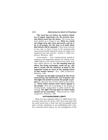"The Lord has set before me matters which are of urgent importance for the present time, and which reach into the future. The words have been spoken in a charge to me, 'Write in a book the things thou hast seen and heard, and let it go to all people; for the time is at hand when past history will be repeated.' I have been aroused at one, two, or three o'clock in the morning with some point forcibly impressed upon my mind, as if spoken by the voice of God."—*[Letter 1, 1890; Colporteur Ministry, 128].*

"I was shown . . that I should devote myself to writing out the important matters for volume 4 *[the 1888 edition of the Great Controversy which was also called Volume 4]*; that the warning must go where the living messenger could not go, and that it would call the attention of many to the important events to occur in the closing scenes of this world's history."—*B.L. 1890 [Colporteur Ministry, 128].*

"God gave me the light contained in *The Great Controversy* and *Patriarchs and Prophets* and this light was needed to arouse the people to prepare for the great day of God, which is just before us. These books contain God's direct appeal to the people. Thus He is speaking to the people in stirring words, urging them to make ready for His coming. The light God has given in these books should not be concealed."—*Manuscript 23, 1890 [Colporteur Ministry, 129].*

#### **WITHHOLDING LIGHT**

When the new enlarged edition of 1888 *Great Controversy* came from the press, there was every hope that the book would have a wide sale and accomplish much good. Certain conditions in our publishing work, however, thwarted these hopes; for the management of the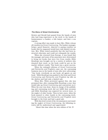Review and Herald had passed from the hands of men who had long experience in the work to the hands of businessmen—a banker, a title lawyer, and later a sea captain.

A strong effort was made to have Mrs. White release all royalties on *Great Controversy*. The banker-manager, being a good financier, objected to paying royalties on books that he supposed would have only limited circulation. Mrs. White stated positively that she had been instructed otherwise and could not relinquish the royalty.

When she returned from Europe, it was found that the manager and some of his associates were determined to bring out books that were free from royalty. *Bible Readings* was brought out by a variety of authors who donated their work, so the book could be put on the market without royalty. This book was a great success.

When the enlarged editions of *Great Controversy* and *Patriarchs and Prophets* came out, the canvassing business was in the hands of men who were advocating, "One book; everybody on one book; all agents on one book." *Bible Readings* was pushed to the front and *Great Controversy* and *Patriarchs and Prophets* lay idle on the shelves and had only a limited sale.

When Mrs. White protested against this, she was promised that, after running *Bible Readings* a year, they would take up *Great Controversy* and concentrate on it. When the year was done, those in charge of the publishing and canvassing work did not fulfill their promise and *Bible Readings* was majored for several years, to the neglect of other books. Then in later years, when the book passed to other hands in the canvassing work, *Great Controversy* and *Patriarchs and Prophets* were brought to the front and had a good sale.

With this brief recital of the circumstances surrounding the neglect of *Great Controversy,* the following extracts will be understood and appreciated:

"About this time when the new edition of Vol. IV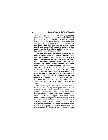[*Great Controversy]* came from the press, the new book *Bible Readings* was introduced. This book has a great sale, and has been permitted to swallow up every other interest. Canvassers found it an easy book to handle, and Vol. IV was kept out of the field. I felt that this was not right. I knew that it was not right, because it was not in harmony with the light which God had given *me.*"— *B.L. 1890 [1888 Materials, 653]*.

"As soon as *Great Controversy* came from the press it should have been pushed forward above every other book. I have been shown this. Had it been circulated at the time it was lying idle, there would have been a very different order of things among our workers. The impressions made would have brought decided changes. But instead of this, the book was suppressed, although the promise was made me that it should go forward if I would take the lowest royalty. The book that should have gone did not go; and the men who should have worked to carry it forward discouraged the canvassers from handling it . . Thus saith the Lord, 'I will judge for this false, dishonest work.' "*—B.L. 1899 [Publishing Ministry, 354-355 (Letter 39, 1899)].*

"Just at this point his satanic majesty was in the management of my books published at the Review and Herald office. Those at the head of the publishing work there would handle neither *Great Controversy* nor *Patriarchs and Prophets,* the very books God had signified the people must have at once. They promised me faithfully that after certain months they would handle these books, but they failed to keep their word. When *Great Controversy* should have been circulated everywhere, it was lying dead in the Review and Herald Office and the Pacific Press."*—Letter 35, 1899*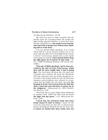**The Story of Great Controversy**

*[21 Manuscript Releases, 75-76].*

"My mind has been so fully occupied with the burden upon me of getting before the people the light having especial reference to these last days, and the crisis before us. The world is to be warned. and I have felt so deeply over *Volume Four* standing still as it has done . .

"I do not demerit *Bible Readings*. It is a book which will do a great amount of good, but it can never take the place the Lord designed that *volume 4 [Great Controversy]* should have in the world and among our people. I have spread before them the light given me of heaven in that book."—*E-21-a, 1889 [Publishing Ministry, 355 (Letter 25a, 1889)].*

"This sale of *Bible Readings,* had it been preceded by the sale of *Great Controversy,* would have had far more weight than it had in going first. The Lord knew all about this. He knew that principles were violated. He knew the falsehoods told and reiterated, that the books bearing the vital truth to the people would not sell. He knew that ministers and presidents were advised to recommend that all handle the one book; and that the keeping of *Great Controversy* from the field has done a work that men will have to answer for in the Judgment."—*Manuscript 64, 1894 [Publishing Ministry, 355].*

"This book has to a great degree been misplaced by another book, which has kept from the world the light God has given."—*[19 Manuscript Release, 239].*

"I know that the statement made that these books cannot be sold, is untrue. I know; for the Lord has instructed me that this is said because human devising has blocked the way for their sale. It cannot be denied that these works were not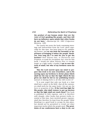the product of any human mind, they are the voice of God speaking His people, and they will have an influence upon minds that other books do not have."—*Manuscript 24, 1891 [Colporteur Ministry, 129].*

"For nearly two years the book containing warnings and instructions from the Lord, given especially for this time, has been lying in our publishing houses, and no one feels the necessity or importance of bringing it before the people. Brethren, how long am I to wait for you to get the burden? Now *Volume One,* or *Patriarchs and Prophets,* is ready for circulation; but, even for this book, I would not allow *Volume Four* to remain longer as a light under a bushel. I am in sore distress of mind, but who of my brethren cares for this?

"Has the Lord moved upon my mind to prepare this work to be sent everywhere, and is He moving upon my brethren to devise plans which shall bar the way so that the light which He has given me shall be hid in our publishing houses instead of shining forth to all who will receive it?

"It is now urged that only one book at a time shall have a place in the field—that all the canvassers shall work for the same book. I do not see the force or propriety of this. If the Lord has light for His people, who shall venture to put up barriers so that the light shall not reach them? One book is published at little expense, and it is therefore sold cheaply; other books that present truths essential at this time, have involved greater expense; shall they therefore be kept from the people? *Bible Readings* is a good book to occupy its own place, but should not be permitted to crowd out other important works which the people need. The presidents of our conferences have a duty to do; our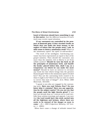board of directors should have something to say in this matter, that the different branches of God's work may receive equal attention.

"If our canvassers are controlled by the prospect of financial gain; if they circulate books on which they can make the most money, to the neglect of others that the people need, I ask, in what sense is theirs a missionary work? Where is the missionary spirit? the spirit of self-sacrifice?

"The work of the intelligent, God-fearing canvasser has been represented as equal to that of the gospel ministry. Then should the canvasser, any more than the minister, feel at liberty to act from selfish motives? Should he turn his back on all the principles of missionary work, and handle the books—placed before him, shall I say, as a temptation—on which he can make the most money? Should he have no interest to circulate any book but that which brings him the greatest financial gain? How is the missionary spirit revealed here? Has not the canvassing work ceased to be what it ought to be? How is it that no voice is raised to correct this state of things?"—*E.G. White 1888 Materials, 654-655.*

"I speak to you who are engaged in the canvassing work. Have you read *Volume Four*? Do you know what it contains? Have you any appreciation for the subject matter? Do you not see that the people need the light therein given? If you have not already done so, I entreat you to read carefully these solemn warnings and appeals. I am sure that the Lord would have this work carried into all the highways and byways, where there are souls to be warned of the danger so soon to come."—*B-1, 1890 [Colporteur Ministry, 127 (Letter 1, 1890)].*

When there came a change of attitude toward her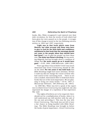books, Mrs. White recognized it and rejoiced over their wide circulation; for thus the words of truth which had been given her were passed on to the people. A recognition of this change is noted in the two following extracts, written in 1894 and 1907 respectively:

"Light was in that book which came from Heaven; but what account will those men have to give to God for the little faith and confidence manifested in that book that the warnings should not come to the people when they should have had them? I am so glad the people can have them now. The delay was Satan's devising. He was working diligently and has brought about a condition of things that the work cannot go as it would have gone."—*O-55, 1894 [1888 Materials, 1280-1281].*

"Years ago when I was in Battle Creek I was much distressed that *Great Controversy* should lie idle on the shelf. For two years it was held back that *Bible Readings* might have more attention. All that I could say did not change the course of those who had control of the canvassing work . . There is not now a studied, determined effort to hold back those books that are of the most importance. We are planning to bring out many books."*—H-70, 1907 [1 Manuscript Releases, 169 (February 26, 1907)].*

In 1899 Mrs. White was led to speak of the experience in which *Great Controversy* was neglected; she also expressed the danger of a repetition of that experience. She said:

"The rights of brethren are to be respected; there should not be a multiplication of books, when it is well understood one will interfere with the sale of the one just preceding it. This was the way with *Great Controversy*. This book was not left to have a fair chance in being handled with *Bible Readings*. The *Bible Readings* was brought in before the books of great importance—*Great Controversy*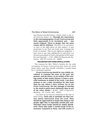and *Daniel and Revelation,* which relate to the vital interests before us. Through the instruction to the canvassing agents, *Great Controversy* had little opportunity to be circulated, and . . was nearly eclipsed. There is danger that the same course will be followed. Therefore it is necessary to refer to the light given on this subject. It was presented to me that one book was crossing the track of another. This is not righteous judgment. I have now to say, that selfishness be uprooted. Let the precious plants of God's own garden of the heart live and flourish."—*J-91, 1899 [19 Manuscript Releases, 196-197 (Letter 91, 1899)].*

#### **REASONS FOR WIDE CIRCULATION**

The reasons for Mrs. White's burden for the wide circulation of *Great Controversy* have been set forth many times, and they should constitute a sound basis for a continued impetus:

"*Great Controversy* should be very widely circulated. It contains the story of the past, the present, and the future. In its outline of the closing scenes of this earth's history, it bears a powerful testimony in behalf of the truth. I am more anxious to see a wide circulation for this book than for any others I have written; for in the *Great Controversy*, the last message of warning to the world is given more distinctly than in any of my other books."—*K-281, 1905 [Colporteur Ministry, 127 (Letter 281, 1905)].*

"Let there be an interest awakened in the sale of these books. Their sale is essential; for they contain timely instruction from the Lord. They should be appreciated as books that bring to the people light that is especially needed just now. Therefore these books should be widely distributed. Those who make a careful study of the instruction contained in them, and will receive it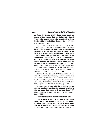as from the Lord, will be kept from receiving many of the errors that are being introduced. Those who accept the truths contained in these books will not be led into false paths."—*[Colporteur Ministry, 130].*

"Many will depart from the faith and give heed to seducing spirits. *Patriarchs and Prophets* and *Great Controversy* are books that are especially adapted to those who have newly come to the faith, that they may be established in the truth. The dangers are pointed out that should be avoided by the churches. Those who become thoroughly acquainted with the lessons in these books will see the dangers before them, and will be able to discern the plain, straight path marked out for them. They will be kept from strange paths. They will make straight paths for their feet, lest the lame be turned out of the way."—*[Colporteur Ministry, 129-130 (Evangelism, 366)].*

"In *The Desire of Ages, Patriarchs and Prophets, The Great Controversy,* and in *Daniel and Revelation,* there is precious instruction. These books must be regarded as of special importance, and every effort should be made to get them before the people."*—[Colporteur Ministry, p. 123].*

"We are warned to avoid the mistakes the Israelites made in obstinately refusing to receive the warnings that came to them from God."—*W-229, 1903 [21 Manuscript Releases, 440 (Letter 229, 1903)].*

### **GREATEST RESULTS IN THE FUTURE**

"The results of the circulation of this book *[The Great Controversy]* are not to be judged by what now appears. By reading it, some souls will be aroused, and will have courage to unite themselves at once with those who keep the com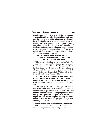mandments of God. But a much larger number who read it will not take their position until they see the very events taking place that are foretold in it. The fulfillment of some of the predictions will inspire faith that others also will come to pass, and when the earth is lightened with the glory of the Lord, in the closing work, many souls will take their position on the commandments of God as the result of this agency."—*Manuscript 31, 1890 [Colporteur Ministry, 128-129].*

#### **LET NOTHING HINDER THEIR SALE. OUR DUTY IS TO SPREAD THE LIGHT THESE BOOKS CONTAIN**

"The larger books, *Patriarchs and Prophets, The Great Controversy,* and *The Desire of Ages,* should be sold everywhere. These books contain truth for this time,—truth that is to be proclaimed in all parts of the world. Nothing is to hinder their sale."—*Colporteur Evangelist, 35 [Colporteur Ministry, 124; Review, January 20, 1903].*

"It is a duty we owe to our people and to God, to send every ray of light given me of God, demanded for this time for every tongue and nation."—*E-25a, 1889 [Publishing Ministry, 355- 356]*.

"The light given was that *Thoughts on Daniel and Revelation, The Great Controversy,* and *Patriarchs and Prophets* would make their way. They contain the very message the people must have, the special light God had given His people. The angels of God would prepare the way for these books in the hearts of the people."*—[Colporteur Ministry, 123-124].*

#### **CIRCULATION OF GREAT CONTROVERSY**

"The work which the church has failed to do in a time of peace and prosperity she will have to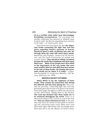do in a terrible crisis under most discouraging, forbidding circumstances. The warnings that worldly conformity has silenced or withheld must be given under the fiercest opposition from enemies of the faith."—*[5 Testimonies, 463].*

"Instruction has been given me that the important books containing the light that God has given regarding Satan's apostasy in heaven should be given a wide circulation just now; for through them the truth will reach many minds. *Patriarchs and Prophets, Daniel and the Revelation,* and *The Great Controversy* are needed now as never before. They should be widely circulated because the truths they emphasize will open many blind eyes . . Many of our people have been blind to the importance of the very books that were most needed. Had tact and skill then been shown in the sale of these books, the Sunday-law movement would not be where it is today."—*Colporteur Evangelist 21 [Colporteur Ministry, 123; Review, February 16, 1905].*

#### **BOOKS A SILENT WITNESS**

"Sister White is not the originator of these books. They contain the instruction that during her lifework God has been giving her. They contain the precious, comforting light that God has graciously given His servant to be given to the world. From their pages this light is to shine into the hearts of men and women, leading them to the Saviour. The Lord has declared that these books are to be scattered throughout the world. There is in them truth which to the receiver is a savor life unto life. They are silent witnesses for God. In the past they have been the means in His hands of convicting and converting many souls. Many have read them with eager expectation and, by reading them, have been led to see the efficacy of Christ's atone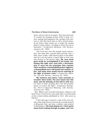ment, and to trust in its power. They have been led to commit the keeping of their souls to their Creator, waiting and hoping for the coming of the Saviour to take His loved ones to their eternal home. In the future these books are to make the Gospel plain to many others, revealing to them the way of salvation."—*[Colporteur Ministry, 125; Review, January 20, 1903].*

"The Lord has sent His people much instruction, line upon line, precept upon precept, here a little, there a little. Little heed is given to the Bible, and the Lord has given a lesser light to lead men and women to the greater light. Oh, how much good would be accomplished if the books containing this light were read with a determination to carry out the principles they contain! There would be a thousandfold greater vigilance, a thousandfold more self-denial and resolute effort. And many more would now be rejoicing in the light of present truth."—*[Colporteur Ministry, 125-126; Review, January 20, 1903].*

"My brethren and sisters, work earnestly to circulate these books. Put your hearts into this work, and the blessing of God will be with you. Go forth in faith, praying that God will prepare hearts to receive the light."—*Colporteur Evangelist, 36-37 [Colporteur Ministry, 126; Review, January 20, 1903].*

Mrs. White's last recorded statement, relative to the book *Great Controversy,* was made after a careful study of the revised edition published in 1911. She wrote as follows:

"A few days ago I received a copy of the new edition of the book *Great Controversy,* recently printed at Mountain View, and also a similar copy printed at Washington. The book pleases me. I have spent many hours looking through its pages, and I see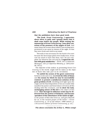that the publishers have done good work.

"The book, *Great Controversy,* I appreciate above silver or gold; and I greatly desire that it shall come before the people. While writing the manuscript of *Great Controversy,* I was often conscious of the presence of the angels of God. And many times the scenes about which I was writing were presented to me anew in visions of the night, so that they were fresh and vivid in my mind.

"Recently it was necessary for the book to be reset because the electrotype plates were badly worn. It has cost me much to have this done, but I do not complain; for whatever the cost may be, I regard the edition with great satisfaction."—*W-55, 1911 [3 Selected Messages, 123; cf. Colporteur Ministry, p. 128 (Letter 56, 1911)].*

The objective of the author, in presenting *Great Controversy* to the world, might well be taken as the objective of those who take part in its circulation:

"To unfold the scenes of the great controversy between truth and error; to reveal the wiles of Satan and the means by which he may be successfully resisted; to present a satisfactory solution of the great problem of evil, shedding such light upon the origin and the final disposition of sin as to make fully manifest the justice and benevolence of God in all His dealing with His creatures; and to show the holy, unchanging nature of His law is the object of this book. That through its influence souls may be delivered from the powers of darkness, and become 'partakers of the inheritance of the saints in light'; to the praise of Him who loves us, and gave Himself for us, is the earnest prayer of the writer."—*Great Controversy, p. 12 of old edition; 1888 edition, p. 118 [current edition of Great Controversy, p. xii.].*

—————————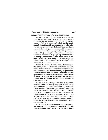#### **The Story of Great Controversy**

#### *lation, The Circulation of Great Controversy.*

"I write from fifteen to twenty pages each day. It is now eleven o'clock, and I have written fourteen pages of manuscript for *Volume Four* [*1888 Great Controversy]* . . As I write upon my book, **I feel intensely** moved. I want to get it out as soon as possible, for our people need it so much. I shall complete it next month if the Lord gives me health as He has done. I have been unable to sleep nights, thinking of the important things to take place. Three hours, and sometimes five, is the most sleep I get. My mind is stirred so deeply I cannot rest. Write, write, write, I feel that I must, and not delay."*—19 Manuscript Releases, 78; E.G. White Brochures: Messenger to the Remnant, p. 57 (Letter 11, 1884).*

"When the storm of God's wrath breaks upon the world, it will be a terrible revelation for souls to find that their house is being swept away because it is built upon the sand. Let the warning be given them before it is too late. We should now feel the responsibility of laboring with intense earnestness to impart to others the truths that God has given for this time. We cannot be too much in earnest."*— 6 Testimonies, 16.*

"I have been repeatedly shown that **our presses** should now be constantly employed in publishing light and truth. This is a time of spiritual darkness in the churches of the world. Ignorance of divine things has hidden God and the truth from view . . I seemed to be in a council meeting where our book work was being discussed. There were a number of our brethren present, leaders in our work, and Elder Haskell and his wife were there consulting together and with the brethren about the circulation of our books, tracts, and periodicals.

"Elder Haskell was presenting strong reasons why the books which contain the knowledge that has been communicated to Sister White—the books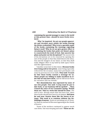containing the special message to come to the world at this present time—should be more freely circulated.

" 'Why,' he inquired, 'do not our people appreciate and circulate more widely the books bearing the divine credentials? Why is not a specialty made of the books containing the warnings regarding Satan's work? Why do we not give greater effort to circulating the books that point out Satan's plans to counterwork the work of God, that uncover his plans and point out his deceptions? The moral evils of his deceptions are to be removed by opening the eyes of the people so that they shall discern the situation and the dangers of our times; so that they shall make diligent effort to lay hold by faith upon Christ and His righteousness' . .

"[Another scene later in this vision:] Because books were being sold at low prices, some being especially reduced for the occasion, many were purchased, and some by persons not of our faith. They said: 'It must be that these books contain a message for us. These people are willing to make sacrifices in order that we may have them, and we will secure them for ourselves and our friends.'

"But dissatisfaction was expressed by some of our own people. One said: 'A stop must be put to this work, or our business will be spoiled' . . Then I heard the voice of our Counselor saying: 'Forbid them not. This is a work that should be done. The end is near. Already much time has been lost, when these books should have been in circulation. Sell them far and near. Scatter them like the leaves of autumn. This work is to continue without the forbiddings of anyone. Souls are perishing out of Christ. Let them be warned of His soon appearing in the clouds of heaven.'

"Some of the workers continued to appear much cast down. One was weeping and said: 'These are do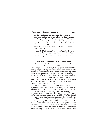ing the publishing work an injustice by purchasing these books at so low a price; besides, this work is depriving us of some of the revenue by which our work is sustained.' The Voice replied: 'You are meeting with no loss. These workers who take the books at reduced prices could not obtain so ready a sale for them except it be at this so-called sacrifice.' "—*9 Testimonies, 65-67, 72-73.*

*May God help us each one to be faithful. Time is short, and there is much to do. We must believe these inspired books. We must read and obey them. We must share them with others.*

# ——————————— **ALL EDITIONS EQUALLY INSPIRED**

Over the decades, *Great Controversy* has been attacked more than any other book Ellen White has written. When she first planned to write it, Satan physically attacked her with paralysis. God permitted that incident so we would realize the importance of this book! More than any other book in the previous 1900 years, *Great Controversy* reveals the devices of Satan and the final crisis on Planet Earth.

Part of this attack—one which we have all heard at various times—is the charge that one or another edition of *Great Controversy* is bad and should not be read. Well-meaning people become involved in this.

But, in reality, as the following quotations verify, all four editions (1858, 1884, 1888, and 1911) are fully inspired, although some are more complete than others. The first edition is the least complete. But, from 1884 onward, all the essential points are presented in each edition. *(For more information on each edition, turn to 155-156 of this book.)*

After completing her first large book, the 1884 edition, Ellen White was told to make it larger. After a two-year trip to Europe, she published the 1888 edition. The 1911 edition is essentially identical to the 1888, except that source references have been added to historical quotations and, in a few instances, different historical quotations were used when the original ones could not be located. All this was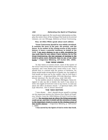done with her approval. For much more information on this, plus the entire story of the writing of the book in its several volumes, see our 504-page, *Editions of Great Controversy.*

### *Now, let Ellen White speak about each edition:*

"Great Controversy should be very widely circulated. It contains the story of the past, the present, and the future. In its outline of the closing scenes of this earth's history, it bears a powerful testimony in behalf of the truth. I am more anxious to see a wide circulation for this book than for any others I have written; for in *The Great Controversy,* the last message of warning to the world is given more distinctly than in any of my other books."—*Colporteur Ministry, 127 (Letter 281, 1905).*

### **THE 1858 VISION**

"In this vision at Lovett's Grove, most of the matter of the Great Controversy which I had seen ten years before was repeated, and I was shown that I must write it out. That I should have to contend with the powers of darkness, for Satan would make strong efforts to hinder me, but angels of God would not leave me in the conflict, that in God must I put my trust."—*2 Spiritual Gifts, 270 (Life Sketches, 162 is almost identical. For the full story, read 162-163).*

"In the sudden attack at Jackson [Michigan], Satan designed to take my life to hinder the work I was about to write; but angels of God were sent to my rescue, to raise me above the effect of Satan's attack."—*2 Spiritual Gifts, 272 (Life Sketches, 163 is almost identical).*

#### **THE 1884 EDITION**

"I was shown . . that I should devote myself to writing out the important matters for *Volume Four* [*Spirit of Prophecy, Volume 4* was the 1884 Edition of *Great Controversy*]; and that the warning must go where the living messenger could not go, and that it would call the attention of many to the important events to occur in the closing scenes of this world's history."—*Colporteur Ministry, p. 128 (Letter 1, 1890).*

"I was moved by the Spirit of God to write that book,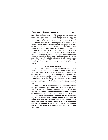and while working upon it I felt a great burden upon my soul. I knew that time was short, that the scenes which are soon to crowd upon us would at the last come very suddenly and swiftly."—*Colporteur Ministry, p. 127 (Letter 1, 1890).*

"I write from fifteen to twenty pages each day. It is now eleven o'clock, and I have written fourteen pages of manuscript for *Volume 4* . . As I write upon my book, I feel intensely moved. I want to get it out as soon as possible, for our people need it so much. I shall complete it next month if the Lord gives me health as He has done. I have been unable to sleep nights, for thinking of the important things to take place. Three hours and sometimes five is the most sleep I get. My mind is stirred so deeply I cannot rest. Write, write, write, I feel that I must, and not delay."—*E.G. White Brochures: Messenger to the Remnant (Letter 11, 1884).*

#### **THE 1888 EDITION**

"About this time when the new [second] edition of *Volume 4* [the 1888 edition] came from the press, the new book, *Bible Readings,* was introduced. This book had a great sale, and has been permitted to swallow up every other interest. Canvassers found it an easy book to handle, and Vol. 4 was kept out of the field. I felt that this was not right. I knew that it was not right, because it was not in harmony with the light which God had given me.*"—1888 Materials, 653.*

"I do not demerit *Bible Reading.* It is a book which will do a great amount of good, but it can never take the place the Lord designed that *volume 4* should have in the world and among our people. I have spread before them the light of heaven in that book."—*Publishing Ministry, 355.*

"The delay was Satan's own devising. He was working diligently and has brought about a condition of things that the work cannot now go as it would have gone and done its work, which the Lord presented before me needed to be done. Those who hindered the work will have to answer to God for this."—*1888 Materials, 1281.*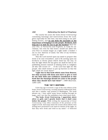"For nearly two years the book *[Great Controversy]* containing warnings and instructions from the Lord, given especially for this time, has been lying in our publishing houses, and no one feels the necessity or the importance of bringing it to the people. Brethren, how long am I to wait for you to get the burden? Now *Volume One*, or *Patriarchs and Prophets,* is ready for circulation, but even for this book I would not allow *Volume Four* to remain longer as a light under a bushel. I am in sore distress of mind, but who of my brethren cares for this?

"Has the Lord moved upon my mind to prepare this work to be sent everywhere, and is He moving upon my brethren to devise plans which shall bar the way, so that the light which He has given me shall be hid in our publishing houses instead of shining forth to enlighten all who will receive it? . . If the Lord has light for His people, who shall venture to put up barriers so that the light shall not reach them?"

"Light was in that book which came from Heaven; but what account will those men have to give to God for the little faith and confidence manifested in that book that the warnings should not come to the people when they should have had them?"—*1888 Materials, 1280-1281.*

#### **THE 1911 EDITION**

"A few day ago I received a copy of the new edition of the book, *Great Controversy,* recently printed at Mountain View, and also a similar copy printed at Washington. The book pleases me. I have spent many hours looking through its pages, and I see that the publishers have done good work.

"The book, *Great Controversy,* I appreciate above silver or gold, and I greatly desire that it shall come before the people. While writing the manuscript of *Great Controversy* I was often conscious of the presence of the angels of God. And many times the scenes about which I was writing were presented to me anew in visions of the night, so that they were fresh and vivid in my mind."—*3 Selected*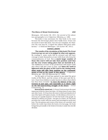*Messages, 123 (Letter 56, 1911; the second of the above two paragraphs is in Colporteur Ministry, p. 128).*

"Recently it was necessary for this book to be reset because the electrotype plates were badly worn. It has cost me much to have this done, but I do not complain, for whatever the cost may be, I regard the edition with great satisfaction."—*3 Selected Messages, 123 (Letter 56, 1911).*

#### **CONCLUSION**

"The results of the circulation of this book *[The Great Controversy]* are not to be judged by what now appears. By reading it, some souls will be aroused and will have courage to unite themselves at once with those who keep the commandments of God. But a much larger number of those who read it will not take their position until they see the very events taking place that are foretold in it. The fulfillment of some of the predictions will inspire faith that others will also come to pass, and when the earth is lightened with the glory of the Lord in the closing work, many souls will take their position on the commandments of God as the result of this agency."—*Colporteur Ministry, pp. 128-129 (Manuscript 31, 1890).*

"As the spirit of God has opened to my mind the great truths of His Word, and the scenes of the past and the future, I have been bidden to make known to others that which has thus been revealed—to trace the history of the controversy in past ages, and especially so to shed a light on the fast-approaching struggle of the future."*—Great Controversy, xi.*

*Several facts stand out:* (1) *Great Controversy* is the most important book for these last days, (2) Satan hates it more than any other book. (3) It has been the most reviled and slandered of any of the Spirit of Prophecy books. (4) All editions of *Great Controversy* are equally inspired. (5) Give the book to the people, in whichever edition you prefer—but give it to them. (6) The book provides the reader with the issues and warnings he needs just now. The deceptions and events of the future are unveiled; and before the reader lays down the book at its last page, the book brings him personally to the brink of eternity to make his own life decision.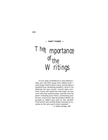### **— PART THREE —**

# Importance **Writings**  $of$ <sub>the</sub> The

"If you lose confidence in the testimonies you will drift away from Bible truth. I have been fearful that many would take a questioning, doubting position, and in my distress for your souls I would warn you. How many will heed the warning? As you now hold the testimonies, should one be given crossing your track, correcting your errors, would you feel at perfect liberty to accept or reject any part or the whole? That which you will be least inclined to receive is the very part most needed." — 5 Testimonies, 98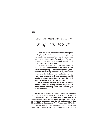# **What is the Spirit of Prophecy for?** Why I t Was Given

There are some among us who say the Spirit of Prophecy should be used for encouragement, but not for instruction. They say it should not be used in the pulpit. Sequeira declares it should not even be used privately to help and encourage Advent believers.

Here is the correct way to share these invaluable counsels: We should not refer to the Spirit of Prophecy as a basis for proving doctrine to Bible study interests. But, after they come into the faith, we very definitely are to study and share it with one another, on all levels of communication. We should read them together in family gatherings.

We are also told that Spirit of Prophecy books should be freely loaned or given to unbelievers, and they should be encouraged to study them.

"In ancient times God spoke to men by the mouth of prophets and apostles. In these days He speaks to them by the testimonies of His Spirit. There was never a time when God instructed His people more earnestly than He instructs them now concerning His will and the course that He would have them pursue."—*4 Testimonies, 147-148.*

"The first number of the *Testimonies* ever published contains a warning against the injudicious use of the light which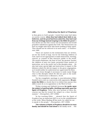is thus given to God's people. I stated that some had taken an unwise course; when they had talked their faith to unbelievers, and the proof had been asked for, they had read from my writings instead of going to the Bible for proof. It was shown me that this course was inconsistent and would prejudice unbelievers against the truth. The *Testimonies* can have no weight with those who know nothing of their spirit. They should not be referred to in such cases."—*5 Testimonies, 669.*

"There are matters in the testimonies that are written, not for the world at large, but for the believing children of God, and it is not appropriate to make instruction, warning, reproof, or counsel of this character public to the world. The world's Redeemer, the Sent of God, the greatest Teacher the children of men ever knew, presented some matters of instruction, not to the world, but to His disciples alone . . He also had some special light and instruction to impart to His followers which He did not impart to the great congregation, as it would neither be understood nor appreciated by them . . The Lord Jesus thought it necessary to make many things clear to His disciples which He did not open to the multitudes."—*Testimonies to Ministers, 34-35.*

"[In his evangelistic meetings to non-Adventists] Elder Haskell enters into no controversy with opponents. He presents the Bible so clearly that it is evident that anyone who differs must do so in opposition to the Word of God.

"Friday evening and Sabbath forenoon he spoke upon the subject of spiritual gifts, dwelling especially upon the Spirit of Prophecy. Those who were present at these discourses say that he treated the subject in a clear, forceful manner."*—Evangelism, 257 (1906).*

"In his teaching Elder\_\_\_\_showed that the Spirit of Prophecy has an important part to act in the establishment of the truth. When binding off his work, he called for me . . to speak to the people."—*Evangelism, 257 (1906).*

"The volumes of Spirit of Prophecy should be in every family, and should be read aloud in the family circle . . The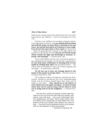#### **Why It Was Given**

*Testimonies* contain instruction which meets the case of all, both parents and children."—*Sons and Daughters of God, 178.*

"Parents, your children are in danger of going contrary to the light given of heaven, and you should both purchase and read the books, for they will be a blessing to you and yours. You should lend *Spirit of Prophecy* to your neighbors and prevail upon them to buy copies for themselves . . Many are going directly contrary to the light which God has given to His people, because they do not read the books which contain the light and knowledge in cautions, reproofs, and warnings."—*4 Testimonies, 391.*

"If you really believe that the voice of God has spoken to you, pointing out your dangers, do you heed the counsels given? Do you keep these testimonies of warning fresh in your minds by reading them often with prayerful hearts? . . You will be held accountable for every one of these appeals and warnings."—*3 Testimonies, 362-363.*

"Do all you can to have my writings placed in the hands of the people in foreign lands."—*Fundamentals of Christian Education, 549.*

"The volumes of *Spirit of Prophecy,* and also the *Testimonies,* should be introduced into every Sabbathkeeping family, and the brethren should know their value and be urged to read them . . They should be in the library of every family and read again and again. Let them be kept where they can be read by many, and let them be worn out in being read by all the neighbors."—*4 Testimonies, 390.*

"All who are under the training of God need the quiet hour for communion with their own hearts, with nature, and with God . . We must individually hear Him speaking to the heart. When every other voice is hushed, and in quietness we wait before Him, the silence of the soul makes more distinct the voice of God . . He who is thus refreshed will be surrounded with an atmosphere of light and peace."

— Ministry of Healing, 58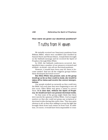# **How were we given our doctrinal positions?** Truths from Heaven

We initially received our Sanctuary positions from William Miller, which were modified and clarified by Samuel Snow and Hiram Edson. Joseph Bates brought us the Sabbath message and we received the Spirit of Prophecy through Ellen White.

In 1848, the Sabbath conferences occurred, during which time a number of our pioneers reviewed and studied—in detail—into all our doctrinal positions.

However, it would have been easy for them to become misled. Had not all the religious groups before them developed doctrinal errors?

But Ellen White was present; and, as the group would go as far as they could in study, she would be taken off in vision and receive the correct interpretations.

Our people studied as earnestly as they could into the Bible; but each time they were beginning to veer off into error, Ellen White was given a vision to correct them. It is clear that, without the Spirit of Prophecy, we would not have our present doctrinal truths.

So that none of the group might think that these were merely the opinions of Ellen White, God arranged matters so that she could not grasp any scriptural or doctrinal truths during this entire time. This was quite obvious to all; so they were willing to accept the light she brought them from each vision as from God. In addition, of course, it would have been impossible to coun-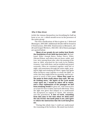#### **Why It Was Given**

terfeit the visions themselves (no breathing for half an hour or so, etc.), which would occur in the presence of the entire group.

The best clarification of this is given in *1 Selected Messages, 206-208.* Additional details will be found in *5 Testimonies, 655-656; Testimonies to Ministers, 24- 26* and *Gospel Workers, 302-303.* All of these passages are quoted below:

"Many of our people do not realize how firmly the foundation of our faith has been laid. My husband, Elder Joseph Bates, Father Pierce, Elder [Hiram] Edson, and others who are keen, noble, and true, were among those who, after the passing of the time in 1884, searched for the truth as for hidden treasure. I met with them, and we studied and prayed earnestly. Often we remained together until late at night, and sometimes through the entire night, praying for light and studying the Word. Again and again these brethren came together to study the Bible, in order that they might know its meaning, and be prepared to teach it with power. When they came to the point in their study where they said, 'We can do nothing more,' the Spirit of the Lord would come upon me, I would be taken off in vision, and a clear explanation of the passages we had been studying would be given me, with instruction as to how we were to labor and teach effectively. Thus the light was given that helped us to understand the Scriptures in regard to Christ, His mission, and His priesthood. A line of truth, extending from that time to the time when we shall enter the city of God, was made plain to me, and I gave to others the instruction that the Lord had given me.

"During this whole time I could not understand the reasoning of the brethren. My mind was locked,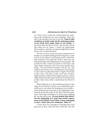as it were, and I could not comprehend the meaning of the Scriptures we were studying. This was one of the greatest sorrows of my life. I was in this condition of mind until all the principal points of our faith were made clear to our minds, in harmony with the Word of God. The brethren knew that when not in vision, I could not understand these matters, and they accepted as light direct from heaven the revelations given.

"For two or three years my mind continued to be locked to an understanding of the Scriptures. In the course of our labors, my husband and I visited Father Andrews [J.N. Andrews' father], who was suffering intensely with inflammatory rheumatism. We prayed for him. I laid my hands on his head, and said, 'Father Andrews, the Lord Jesus maketh thee whole.' He was healed instantly. He got up, and walked around the room, praising God, and saying, 'I never saw it on this wise before. Angels of God are in this room. The glory of the Lord was revealed. Light seemed to shine all through the house, and an angel's hand was laid upon my head. From that time to this I have been able to understand the Word of God.'

"What influence is it that would lead men at this stage of our history to work in an underhand, powerful way to tear down the foundation of our faith the foundation that was laid at the beginning of our work by prayerful study of the Word and by revelation? Upon this foundation we have been building for the past fifty years. Do you wonder that when I see the beginning of a work that would remove some of the pillars of our faith, I have something to say? I must obey the command, 'Meet it?' . .

"I must bear the messages of warning that God gives me to bear, and then leave with the Lord the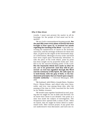results. I must now present the matter in all its bearings; for the people of God must not be despoiled.

"We are God's commandment-keeping people. For the past fifty years every phase of heresy has been brought to bear upon us, to becloud our minds regarding the teaching of the Word—especially concerning the ministration of Christ in the heavenly sanctuary, and the message of Heaven for these last days, as given by the angels of the fourteenth chapter of Revelation. Messages of every order and kind have been urged upon Seventh-day Adventists, to take the place of the truth which, point by point has been sought out by prayerful study and testified to by the miracle-working power of the Lord. But the waymarks which have made us what we are, are to be preserved—and they will be preserved—as God has signified through His Word and the testimony of His Spirit. He calls upon us to hold firmly, with the grip of faith, to the fundamental principles that are based upon unquestionable authority."—*1 Selected Messages, 206- 208.*

"My husband, with Elders Joseph Bates, Stephen Pierce, Hiram Edson, and others who were keen, noble, and true, was among those who, after the passing of the time in 1844, searched for the truth as for hidden treasure.

"We would come together burdened in soul, praying that we might be one in faith and doctrine; for we knew that Christ is not divided. One point at a time was made the subject of investigation. The Scriptures were opened with a sense of awe. Often we fasted, that we might be better fitted to understand truth. After earnest prayer, if any point was not understood it was discussed, and each one ex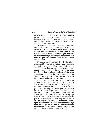pressed his opinion freely; then we would again bow in prayer, and earnest supplications went up to heaven that God would help us to see eye to eye, that we might be one as Christ and the Father are one. Many tears were shed.

"We spent many hours in this way. Sometimes the entire night was spent in solemn investigation of the Scriptures, that we might understand the truth for our time. On some occasions the Spirit of God would come upon me, and difficult portions were made clear through God's appointed way, and then there was perfect harmony. We were all of one mind and one spirit.

"We sought most earnestly that the Scriptures should not be wrested to suit any man's opinions. We tried to make our differences as slight as possible by not dwelling on points that were of minor importance, upon which there were varying opinions. But the burden of every soul was to bring about a condition among the brethren which would answer the prayer of Christ that His disciples might be one as He and the Father are one.

"Sometimes one or two of the brethren would stubbornly set themselves against the view presented, and would act out the natural feelings of the heart; but when this disposition appeared, we suspended our investigations and adjourned our meeting, that each one might have an opportunity to go to God in prayer, and, without conversation with others, study the point of difference, asking light from heaven. With expressions of friendliness we parted, to meet again as soon as possible for further investigation. At times the power of God came upon us in a marked manner, and when clear light revealed the points of truth, we would weep and rejoice together. We loved Jesus; we loved one another."—*Testimonies to Ministers, 24-26.*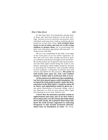"At this time there was fanaticism among some of those who had been believers in the first message. Serious errors in doctrine and practice were cherished, and some were ready to condemn all who would not accept their views. God revealed these errors to me in vision and sent me to His erring children to declare them; but in performing this duty I met with bitter opposition and reproach."—*5 Testimonies, 655-656.*

"We are to be established in the faith, in the light of the truth given us in our earlier experience. At that time one error after another pressed in upon us; ministers and doctors brought in new doctrines. We would search the Scriptures with much prayer, and the Holy Spirit would bring the truth to our minds. Sometimes whole nights would be devoted to searching the Scriptures, and earnestly asking God for guidance. Companies of devoted men and women assembled for this purpose. The power of God would come upon me, and I was enabled clearly to define what is truth and what is error.

"As the points of our faith were thus established, our feet were placed upon a solid foundation. We accepted the truth point by point, under the demonstration of the Holy Spirit. I would be taken off in vision, and explanations would be given me. I was given illustrations of heavenly things, and of the sanctuary, so that we were placed where light was shining on us in clear, distinct rays.

"I know that the sanctuary question stands in righteousness and truth, just as we have held it for so many years. It is the enemy that leads minds off on side-tracks. He is pleased when those who know the truth become engrossed in collecting Scriptures to pile around erroneous theories, which have no foundation in truth. The Scrip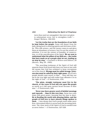tures thus used are misapplied; they were not given to substantiate error, but to strengthen truth."— *Gospel Workers, 302-303.*

"Let the truths that are the foundation of our faith be kept before the people. Some will depart from the faith, giving heed to seducing spirits and doctrines of devils. They talk science, and the enemy comes in and gives them an abundance of science; but it is not the science of salvation. It is not the science of humility, of consecration, or of the sanctification of the Spirit. We are now to understand what the pillars of our faith are,—the truths that have made us as a people what we are, leading us on step by step."—*Counsels to Writers and Editors, 29 (Review, May 25, 1905).*

"The searching testimony of the Spirit of God will separate those from Israel who have ever been at war with the means that God has ordained to keep corruptions out of the church. Wrongs must be called wrongs. Grievous sins must be called by their right name. All of God's people should come nearer to Him . . Then will they see sin in the true light and will realize how offensive it is in the sight of God."—*5 Testimonies, 676.*

"The plain, straight testimony must live in the church, or the curse of God will rest upon His people as surely as it did upon ancient Israel because of their sins."—*3 Testimonies, 269.*

"Never was there greater need of faithful warnings and reproofs . . than at this very time. Satan has come down with great power, knowing that his time is short. He is flooding the world with pleasing fables, and the people of God love to have smooth things spoken to them . . I was shown that God's people must make more firm, determined efforts to press back the incoming darkness. The close work of the Spirit of God is needed now as never before."—*3 Testimonies, 327-328.*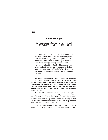# **An invaluable gift!**

# Messages from the Lord

Please consider the following messages. If you will humble your heart before God in prayer, and ask that He might teach you your work for this time,—and then, in humility of a learner, read the following gleanings from God's Word,— I assure you the Holy Spirit will move on your heart and set you on a new course of dedication, a deeper study of His holy Word, and an intensified determination to please Him in every way.

"In ancient times God spoke to men by the mouth of prophets and apostles. In these days He speaks to them by the *Testimonies* of His Spirit. There was never a time when God instructed His people more earnestly than He instructs them now concerning His will and the course that He would have them pursue."—*4 Testimonies, 147-148.*

"God is either teaching His church, reproving their wrongs and strengthening their faith, or He is not. This work is of God, or it is not. God does nothing in partnership with Satan. My work . . bears the stamp of God or the stamp of the enemy. There is no halfway work in the matter."—*5 Testimonies, 671*.

"As the Lord has manifested Himself through the spirit of prophecy, 'past, present, and future have passed before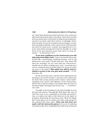me. I have been shown faces that I had never seen, and years afterward I knew them when I saw them. I have been aroused from my sleep with a vivid sense of subjects previously presented to my mind; and I have written, at midnight, letters that have gone across the continent and, arriving at a crisis, have saved great disaster to the cause of God. This has been my work for many years. A power has impelled me to reprove and rebuke wrongs that I had not thought of. Is this work of the last thirty-six years from above or from beneath?' "—*5 Testimonies, 671.*

"If you lose confidence in the *Testimonies* you will drift away from Bible truth. I have been fearful that many would take a questioning, doubting position, and in my distress for your souls I would warn you. How many will heed the warning? As you now hold the *Testimonies*, should one be given crossing your track, correcting your errors, would you feel at perfect liberty to accept or reject any part or the whole? That which you will be least inclined to receive is the very part most needed."—*5 Testimonies, 98.*

"As the end draws near, and the work of giving the last warning to the world extends, it becomes more important for those who accept present truth to have a clear understanding of the nature and influence of the *Testimonies,* which God in His providence has linked with the work of the third angel's message from its very rise . ."—*5 Testimonies, 654.*

"A wealth of moral influence has been brought to us in the last half century. Through His Holy Spirit the voice of God has come to us continually in warning and instruction, to confirm the faith of the believers in the Spirit of prophecy. Repeatedly the word has come: Write the things that I have given you to confirm the faith of My people in the position they have taken. Time and trial have not made void the instruction given, but years of suffering and self-sacrifice have established the truth of the testimony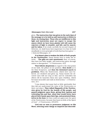given. The instruction that was given in the early days of the message is to be held as safe instruction to follow in these, its closing days. Those who are indifferent to this light and instruction must not expect to escape the snares which we have been plainly told will cause the rejecters of light to stumble, and fall, and be snared, and be taken. If we study carefully the second chapter of Hebrews, we shall learn how important it is that we hold steadfastly to every principle of truth that has been given."*— 1 Selected Messages, 41*.

"It is Satan's plan to weaken the faith of God's people in the *Testimonies*. Satan knows how to make his attacks . . The gifts are next questioned: then, of course, they have but little weight, and instruction given through vision is disregarded."—*5 Testimonies, 672.*

"Next follows skepticism in regard to the vital points of our faith, the pillars of our position, then doubt as to the Holy Scriptures, and then the downward march to perdition. When the *Testimonies,* which were once believed, are doubted and given up, Satan knows the deceived ones will not stop at this; and he redoubles his efforts till he launches them into open rebellion, which becomes incurable and ends in destruction."—*4 Testimonies, 211.*

"I was shown that many had so little spirituality that they did not understand the value of the *Testimonies* or their real object. They talked flippantly of the *Testimonies* given by God for the benefit of His people, and passed judgment upon them, giving their opinion and criticizing this and that, when they would better have placed their hands upon their lips, and prostrated themselves in the dust; for they could not appreciate the spirit of the *Testimonies,* because they knew so little of the Spirit of God."—*5 Testimonies, 672-673.*

"God sets no man to pronounce judgment on His Word, selecting some things as inspired and discredit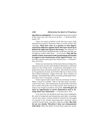ing others as uninspired. The testimonies have been treated in the same way; but God is not in this."—*1 Selected Messages, 23.*

"There are some in Battle Creek who have never fully submitted to reproof. They have taken a course of their own choosing. They have ever, to a greater or less degree, exerted an influence against those who have stood up to defend the right and reprove the wrong. The influence of these persons upon individuals who come here and who are brought in contact with them . . is very bad. They fill the minds of these newcomers with questionings and doubts in regard to the *Testimonies* of the Spirit of God. They put false constructions upon the *Testimonies*."—*4 Testimonies, 513-514.*

"Some are unconscious of the harm they are doing; but, unconsecrated, proud, and rebellious themselves, they lead others in the wrong track. A poisonous atmosphere is inhaled from these unconsecrated ones. The blood of souls is in the garments of such, and Christ will say to them in the day of final settlement: 'Depart from Me, all ye workers of iniquity.' Astonished they will be, but their professedly Christian lives were a deception, a fraud.

"Some express their views that the testimony of Sister White cannot be reliable. This is all that many unconsecrated ones want. The testimonies of reproof have checked their vanity and pride; but if they dared, they would go to almost any length in fashion and pride. God will give all such an opportunity to prove themselves and to develop their true characters."—*5 Testimonies, 673.*

"I am sorry for my brethren who have been walking in the mist of suspicion and skepticism and false reasoning. I know that some of them would be blessed by messages of counsel if the clouds obscuring their spiritual vision could be driven back, and they could see aright. But they do not see clearly. Therefore I dare not communicate with them. When the Spirit of God clears away the 'mysti-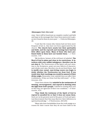#### **Messages from the Lord**

cism,' there will be found just as complete comfort and faith and hope in the messages that I have been instructed to give, as were found in them in years past."—*1 Selected Messages, 30.*

"I saw that the reason why visions had not been more frequent of late is, they have not been appreciated by the church. The church have nearly lost their spirituality and faith, and the reproofs and warnings have had but little effect upon them. Many of those who have professed faith in them have not heeded them."—*1 Testimonies, 119.*

"My brethren, beware of the evil heart of unbelief. The Word of God is plain and close in its restrictions. It interferes with your selfish indulgence; therefore you do not obey it. The *Testimonies* of His Spirit call your attention to the Scriptures, point out your defects of character, and rebuke your sins; therefore you do not heed them. And to justify your carnal, ease-loving course you begin to doubt whether the *Testimonies* are from God. If you would obey their teachings you would be assured of their divine origin. Remember, your unbelief does not affect their truthfulness. If they are from God they will stand."—*5 Testimonies, 234*.

"I have been shown that unbelief in the testimonies of warning, encouragement, and reproof is shutting away the light from God's people. Unbelief is closing their eyes so that they are ignorant of their true condition."—*5 Testimonies, 674*.

"They think the testimony of the Spirit of God in reproof is uncalled for or that it does not mean them. Such are in the greatest need of the grace of God and spiritual discernment that they may discover their deficiency in spiritual knowledge."—*3 Testimonies, 253-254.*

"Many who have backslidden from the truth assign as a reason for their course that they do not have faith in the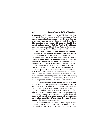*Testimonies* . . The question now is: Will they yield their idol which God condemns, or will they continue in their wrong course of indulgence and reject the light God has given them reproving the very things in which they delight? The question to be settled with them is: Shall I deny myself and receive as of God the *Testimonies* which reprove my sins, or shall I reject the *Testimonies because* they reprove my sins?"—*4 Testimonies, 31-32*.

"Satan has ability to suggest doubts and to devise objections to the pointed testimony that God sends, and many think it a virtue, a mark of intelligence in them, to be unbelieving and to question and quibble. Those who desire to doubt will have plenty of room. God does not propose to remove all occasion for unbelief. He gives evidence, which must be carefully investigated with a humble mind and a teachable spirit, and all should decide from the weight of evidence."—*3 Testimonies, 255.*

"God gives sufficient evidence for the candid mind to believe; but he who turns from the weight of evidence because there are a few things which he cannot make plain to his finite understanding will be left in the cold, chilling atmosphere of unbelief and questioning doubts, and will make shipwreck of faith."—*4 Testimonies, 232-233*.

"Soon every possible effort will be made to discount and pervert the truth of the testimonies of God's Spirit. We must have in readiness the clear, straight messages that since 1846 have been coming to God's people.

"There will be those once united with us in the faith who will search for new, strange doctrines, for something odd and sensational to present to the people. They will bring in all conceivable fallacies, and will present them as coming from Mrs. White, that they may beguile souls."—*1 Selected Messages, 41.*

"Let none entertain the thought that I regret or take back any plain testimony I have borne to individuals or to the people. If I have erred anywhere, it is in not rebuking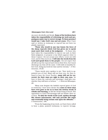#### **Messages from the Lord**

sin more decidedly and firmly. Some of the brethren have taken the responsibility of criticizing my work and proposing an easier way to correct wrongs. To these persons I would say: I take God's way and not yours. What I have said or written in testimony or reproof has not been too plainly expressed . .

"Those who would in any way lessen the force of the sharp reproofs which God has given me to speak must meet their work at the judgment . . To those who have taken the responsibility to reprove me and, in their finite judgment, to propose a way which appears wiser to them I repeat: I do not accept your efforts. Leave me with God, and let Him teach me. I will take the words from the Lord and speak them to the people. I do not expect that all will accept the reproof and reform their lives, but I must discharge my duty all the same. I will walk in humility before God, doing my work for time and for eternity."—*5 Testimonies, 19-20.*

"These words were spoken to me: 'Your work is appointed you of God. Many will not hear you, for they refused to hear the Great Teacher; many will not be corrected, for their ways are right in their own eyes. Yet bear to them the reproofs and warnings I shall give you, whether they will hear or forbear.' "—*1 Selected Messages, 29.*

"Many now despise the faithful reproof given of God in testimony. I have been shown that some in these days have even gone so far as to burn the written words of rebuke and warning, as did the wicked king of Israel. But opposition to God's threatenings will not hinder their execution. To defy the words of the Lord, spoken through His chosen instruments, will only provoke His anger and eventually bring certain ruin upon the offender."— *4 Testimonies, 180.*

"From the beginning of my work, as I have been called to bear a plain, pointed testimony, to reprove wrongs,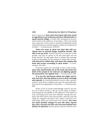and to spare not, there have been those who have stood in opposition to my testimony and have followed after to speak smooth things, to daub with untempered mortar, and to destroy the influence of my labors. The Lord would move upon me to bear reproof, and then individuals would step in between me and the people to make my testimony of no effect."—*5 Testimonies, 678-679.*

"There are some in these last days who will cry: 'Speak unto us smooth things, prophesy deceits.' But this is not my work. God has set me as a reprover of His people; and just so surely as He has laid upon me the heavy burden, He will make those to whom this message is given responsible for the manner in which they treat it. God will not be trifled with, and those who despise His work will receive according to their deeds."—*4 Testimonies, 231-232.*

"If God has given me a message to bear to His people, those who would hinder me in the work and lessen the faith of the people in its truth are not fighting against the instrument, but against God."—*5 Testimonies, 680.*

"It is not the instrument whom you slight and insult, but God, who has spoken to you in these warnings and reproofs. It is hardly possible for men to offer a greater insult to God than to despise and reject the instrumentalities that He has appointed to lead them."—*5 Testimonies, 680*.

"Some of you in words acknowledge reproof, but you do not in heart accept it. You go on the same as before, only being less susceptible to the influence of the Spirit of God, becoming more and more blinded, having less wisdom, less self-control, less moral power, and less zeal and relish for religious exercises; and, unless converted, you will finally yield your hold upon God entirely. You have not made decided changes in your life when reproof has come, because you have not seen and realized your defects of character and the great contrast between your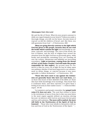life and the life of Christ. What do your prayers amount to while you regard iniquity in your hearts? Unless you make a thorough change, you will, not far hence, become weary of reproof, as did the children of Israel; and, like them, you will apostatize from God."—*5 Testimonies, 680*.

"Many are going directly contrary to the light which God has given to His people, because they do not read the books which contain the light and knowledge in cautions, reproofs, and warnings. The cares of the world, the love of fashion, and the lack of religion have turned the attention from the light God has so graciously given, while books and periodicals containing error are traveling all over the country. Skepticism and infidelity are increasing everywhere. Light so precious, coming from the throne of God, is hid under a bushel. God will make His people responsible for this neglect. An account must be rendered to Him for every ray of light He has let shine upon our pathway, whether it has been improved to our advancement in divine things, or rejected because it was more agreeable to follow inclination."—*4 Testimonies, 391.*

"Those who have most to say against the testimonies are generally those who have not read them, just as those who boast of their disbelief of the Bible are those who have little knowledge of its teachings. They know that it condemns them, and their rejection of it gives them a feeling of security in their sinful course."—*1 Selected Messages, 45-46.*

"Let ministers and people remember that gospel truth ruins if it does not save. 'The soul that refuses to listen to the invitations of mercy from day to day can soon listen to the most urgent appeals without an emotion stirring his soul. As laborers with God we need more fervent piety and less self-exaltation. The more self is exalted, the more will faith in the *Testimonies* of the Spirit of God be lessened . . Those who trust wholly in themselves will see less and less of God in the *Testimonies* of His Spirit.' "—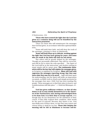*5 Testimonies, 134*.

## "Those who have treated the light that the Lord has given as a common thing will not be benefited by the instruction presented.

"There are those who will misinterpret the messages that God has given, in accordance with their spiritual blindness.

"Some will yield their faith, and will deny the truth of the messages, pointing to them as falsehoods.

# "Some will hold them up to ridicule, working against the light that God has been giving for years, and some who are weak in the faith will thus be led astray.

"But others will be greatly helped by the messages. Though not personally addressed, they will be corrected, and will be led to shun the evils specified . . The Spirit of the Lord will be in the instruction, and doubts existing in many minds will be swept away. The testimonies themselves will be the key that will explain the messages given, as Scripture is explained by Scripture. Many will read with eagerness the messages reproving wrong, that they may learn what they may do to be saved . . Light will dawn upon the understanding, and the Spirit will make an impression on minds, as Bible truth is clearly and simply presented in the messages that since 1846 God has been sending His people. These messages are to find their place in hearts, and transformations will take place."—*1 Selected Messages, 41- 42.*

"God has given sufficient evidence, so that all who desire to do so may satisfy themselves as to the character of the *Testimonies;* and, having acknowledged them to be from God, it is their duty to accept reproof, even though they do not themselves see the sinfulness of their course. If they fully realized their condition, what would be the need of reproof? Because they know it not, God mercifully sets it before them, so that they may repent and reform before it shall be too late. Those who despise the warning will be left in blindness to become self-de-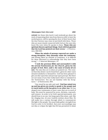ceived; but those who heed it and zealously go about the work of separating their sins from them in order to have the needed graces, will be opening the door of their hearts that the dear Saviour may come in and dwell with them. Those who are most closely connected with God are the ones who know His voice when He speaks to them. Those who are spiritual discern spiritual things. Such will feel grateful that the Lord has pointed out their errors."—*5 Testimonies, 682-583.*

"When the minds of persons reproved are under a strong deception, they naturally resist the testimony; and having taken an attitude of resistance, it is difficult for them afterward to acknowledge that they have been wrong."—*1 Selected Messages, 51*.

"I took the precious Bible and surrounded it with the several *Testimonies for the Church,* given for the people of God. Here, said I, the cases of nearly all are met. The sins they are to shun are pointed out. The counsel that they desire can be found here, given for other cases situated similarly to themselves. God has been pleased to give you line upon line and precept upon precept. But there are not many of you that really know what is contained in the *Testimonies*. You are not familiar with the Scriptures."—*2 Testimonies, 605.*

"One stood by my side and said: 'God has raised you up and has given you words to speak to the people and to reach hearts as He has given to no other one. He has shaped your testimonies to meet cases that are in need of help. You must be unmoved by scorn, derision, reproach, and censure. In order to be God's special instrument, you should lean to no one, but hang upon Him alone; and, like the clinging vine, let your tendrils entwine about Him. He will make you a means through which to communicate His light to the people. You must daily gather strength from God in order to be fortified, that your surroundings may not dim or eclipse the light that He has permitted to shine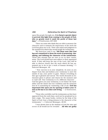upon His people through you. It is Satan's special object to prevent this light from coming to the people of God, who so greatly need it amid the perils of these last days."*—2 Testimonies, 607-608.*

"There are some who think they are able to measure the character and to estimate the importance of the work the Lord has given me to do. Their own mind and judgment is the standard by which they would weigh the testimonies.

"My Instructor said to me, Tell these men that God has not committed to them the work of measuring, classifying, and defining the character of the testimonies. Those who attempt this are sure to err in their conclusions. The Lord would have men adhere to their appointed work. If they will keep the way of the Lord, they will be able to discern clearly that the work which He has appointed me to do is not a work of human devising."—*1 Selected Messages, 49*.

" 'Your success is in your simplicity. As soon as you depart from this and fashion your testimony to meet the minds of any, your power is gone. Almost everything in this age is glossed and unreal. The world abounds in testimonies given to please and charm for the moment and to exalt self. Your testimony is of a different character . . God has given you your testimony, to set before the backslider and the sinner his true condition and the immense loss he is sustaining by continuing a life of sin. God has impressed this upon you by opening it before your vision as He has to no other now living.' "—*2 Testimonies, 608*.

"Those who carefully read the testimonies as they have appeared from the early days, need not be perplexed as to their origin. The many books, written by the help of the Spirit of God, bear a living witness to the character of the testimonies."—*1 Selected Messages, 49-50.*

"I was shown that in the wisdom of God the sins and errors of all would not be revealed . . All who are guilty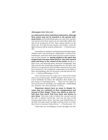are addressed in these individual testimonies, although their names may not be attached to the special testimony borne; and if individuals pass over and cover up their own sins because their names are not especially called, they will not be prospered of God. They cannot advance in the divine life, but will become darker and darker, until the light of heaven will be entirely withdrawn."—*2 Testimonies, 447.*

"Sometimes in ministers and physicians bearing responsibilities there has developed a disposition to discard the testimonies, and I have been instructed not to place testimonies in their hands; for, having yielded to the spirit that tempted and overcame Adam and Eve, they have opened mind and heart to the control of the enemy. Being on a false track, and laboring under deceptive imaginings, they will read into the testimonies things that are not there, but which are in agreement with the false statements that they have listened to. By reading the testimonies in the light of their own kindling, they are deceived, and will deceive others."—*1 Selected Messages, 51-52.*

"The Lord has seen fit to give me a view of the needs and errors of His people. Painful though it has been to me, I have faithfully set before the offenders their faults and the means of remedying them . . Thus has the Spirit of God pronounced warnings and judgments, withholding not, however, the sweet promise of mercy . .

"Repentant sinners have no cause to despair because they are reminded of their transgressions and warned of their danger. These very efforts in their behalf show how much God loves them and desires to save them. They have only to follow His counsel and do His will, to inherit eternal life. God sets the sins of His erring people before them, that they may behold them in all their enormity under the light of divine truth. It is then their duty to renounce them forever."—*4 Testimonies, 15*.

"Some who are not willing to receive the light, but who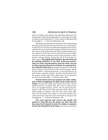prefer to walk in ways of their own choosing, will search the testimonies to find something in them to encourage the spirit of unbelief and disobedience. Thus a spirit of disunion will be brought in."—*1 Selected Messages, 48*.

"Warnings and reproofs are not given to the erring among Seventh-day Adventists because their lives are more blameworthy than are the lives of professed Christians of the nominal churches, nor because the example of their acts are worse than those of the Adventists who will not yield obedience to the claims of God's law, but because they have great light, and have by their profession taken their position as God's special, chosen people, having the law of God written in their hearts. They signify their loyalty to the God of heaven by yielding obedience to the laws of His government. They are God's representatives upon the earth. Any sin in them separates them from God and, in a special manner, dishonors His name by giving the enemies of His holy law occasion to reproach His cause and His people, whom He has called 'a chosen generation, a royal priesthood, an holy nation, a peculiar people,' that they should show forth the praises of Him that hath called them out of darkness into His marvelous light."—*2 Testimonies, 452.*

"If those whose errors are pointed out make confession of their wrongdoing, the spell of the enemy may be broken. If they will repent and forsake their sins, God is faithful and just to forgive their sins, and to cleanse them from all unrighteousness. Christ, the sin-pardoning Redeemer, will remove the filthy garments from them, give them change of raiment, and set a fair miter upon their head. But so long as they refuse to turn from iniquity they cannot develop a character that will stand in the great day of judgment."—*1 Selected Messages, 52*.

"The Lord reproves and corrects the people who profess to keep His law. He points out their sins and lays open their iniquity because He wishes to separate all sin and wickedness from them, that they may perfect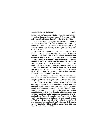holiness in His fear . . God rebukes, reproves, and corrects them, that they may be refined, sanctified, elevated, and finally exalted to His own throne."—*2 Testimonies, 453.*

"Testimonies of warning have been repeated. I inquire: Who have heeded them? Who have been zealous in repenting of their sins and idolatry, and have been earnestly pressing toward the mark for the prize of the high calling of God in Christ Jesus? . .

"I have waited anxiously, hoping that God would put His Spirit upon some and use them as instruments of righteousness to awaken and set in order His church. I have almost despaired as I have seen, year after year, a greater departure from that simplicity which God has shown me should characterize the life of His followers. There has been less and less interest in, and devotion to, the cause of God. I ask: Wherein have those who profess confidence in the *Testimonies* sought to live according to the light given in them? Wherein have they regarded the warnings given? Wherein have they heeded the instructions they have received?"—*2 Testimonies, 483-484.*

"The *Testimonies* are not to belittle the Word of God, but to exalt it and attract minds to it, that the beautiful simplicity of truth may impress all."—*5 Testimonies, 665.*

"As the Word of God is walled in with these books and pamphlets, so has God walled you in with reproofs, counsel, warnings, and encouragements. Here you are crying before God, in the anguish of your souls, for more light. I am authorized from God to tell you that **not another** ray of light through the *Testimonies* will shine upon your pathway until you make a practical use of the light already given. The Lord has walled you about with light; but you have not appreciated the light; you have trampled upon it. While some have despised the light, others have neglected it or followed it but indifferently. A few have set their hearts to obey the light which God has been pleased to give them."—*5 Testimonies, 666.*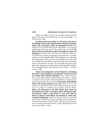"When you gather up the rays of light which God has given in the past, then will He give an increase of light."—*5 Testimonies, 666.*

"Perilous times are before us. Everyone who has a knowledge of the truth should awake and place himself, body, soul, and spirit, under the discipline of God. The enemy is on our track. We must be wide awake, on our guard against him. We must put on the whole armor of God. We must follow the directions given through the Spirit of Prophecy. We must love and obey the truth for this time. This will save us from accepting strong delusions. God has spoken to us through His Word. He has spoken to us through the testimonies to the church and through the books that have helped to make plain our present duty and the position that we should now occupy. The warnings that have been given, line upon line, precept upon precept, should be heeded. If we disregard them, what excuse can we offer?"—*8 Testimonies, 298.*

"Some sit in judgment on the Scriptures, declaring that this or that passage is not inspired, because it does not strike their minds favorably. They cannot harmonize it with their ideas of philosophy and science, 'falsely so called' (1 Tim. 6:20). Others for different reasons question portions of the Word of God. Thus many walk blindly where the enemy prepares the way. Now, it is not the province of any man to pronounce sentence upon the Scriptures, to judge or condemn any portion of God's Word. When one presumes to do this, Satan will create an atmosphere for him to breathe which will dwarf spiritual growth. When a man feels so very wise that he dares to dissect God's Word, his wisdom is, with God, counted foolishness. When he knows more, he will feel that he has everything to learn. And his very first lesson is to become teachable. 'Learn of Me,' says the Great Teacher; 'for I am meek and lowly in heart: and ye shall find rest unto your souls' (Matt. 11:29).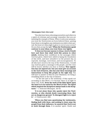"You who have been educating yourselves and others in a spirit of criticism and accusing, remember that you are imitating the example of Satan. When it suits your purpose, you treat the *Testimonies* as if you believed them, quoting from them to strengthen any statement you wish to have prevail. But how is it when light is given to correct your errors? Do you then accept the light? When the *Testimonies* speak contrary to your ideas, you treat them very lightly.

"It does not become anyone to drop a word of doubt here and there that shall work like poison in other minds, shaking their confidence in the messages which God has given, which have aided in laying the foundation of this work, and have attended it to the present day, in reproofs, warnings, corrections, and encouragements. To all who have stood in the way of the *Testimonies,* I would say, God has given a message to His people, and His voice will be heard, whether you hear or forbear. Your opposition has not injured me; but you must give an account to the God of heaven, who has sent these warnings and instructions to keep His people in the right way. You will have to answer to Him for your blindness, for being a stumbling block in the way of sinners.

" 'To the law and to the testimony: if they speak not according to this Word, it is because there is no light in them' (Isa. 8:20). Even the work of the Holy Spirit upon the heart is to be tested by the Word of God. The Spirit which inspired the Scriptures always leads to the Scriptures."—*1 Selected Messages, 42-43.*

"It is not alone those who openly reject the *Testimonies,* or who cherish doubt concerning them, that are on dangerous ground. To disregard light is to reject it."—*5 Testimonies, 680*.

"When you find men questioning the testimonies, finding fault with them, and seeking to draw away the people from their influence, be assured that God is not at work through them. It is another spirit. Doubt and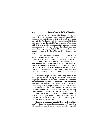unbelief are cherished by those who do not walk circumspectly. They have a painful consciousness that their life will not abide the test of the Spirit of God, whether speaking through His Word or through the testimonies of His Spirit that would bring them to His Word. Instead of beginning with their own hearts, and coming into harmony with the pure principles of the gospel, they find fault, and condemn the very means that God has chosen to fit up a people to stand in the day of the Lord."—*1 Selected Messages, 45.*

"In many cases the *Testimonies* are fully received, the sin and indulgence broken off, and reformation at once commences in harmony with the light God has given. In other instances sinful indulgences are cherished, the *Testimonies* are rejected, and many excuses which are untrue are offered to others as the reason for refusing to receive them. The *true* reason is not given. It is a lack of moral courage—a will, strengthened and controlled by the Spirit of God, to renounce hurtful habits."—*4 Testimonies, 32.*

"Let some skeptical one come along, who is not willing to square his life by the Bible rule, who is seeking to gain the favor of all, and how soon the class that are not in harmony with the work of God are called out. Those who are converted, and grounded in the truth, will find nothing pleasing or profitable in the influence or teaching of such a one. But those who are defective in character, whose hands are not pure, whose hearts are not holy, whose habits of life are loose, who are unkind at home, or untrustworthy in deal—all these will be sure to enjoy the new sentiments presented. All may see, if they will, the true measure of the man, the nature of his teaching, from the character of his followers . .

"There is in error and unbelief that which bewilders and bewitches the mind. To question and doubt and cherish unbelief in order to excuse ourselves in stepping aside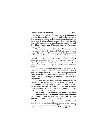from the straight path is a far easier matter than to purify the soul through a belief of the truth, and obedience thereto. But when better influences lead one to desire to return, he finds himself entangled in such a network of Satan, like a fly in a spider's web, that it seems a hopeless task to him, and he seldom recovers himself from the snare laid for him by the wily foe.

"When once men have admitted doubt and unbelief of the testimonies of the Spirit of God, they are strongly tempted to adhere to the opinions which they have avowed before others. Their theories and notions fix themselves like a gloomy cloud over the mind, shutting out every ray of evidence in favor of the truth. The doubts indulged through ignorance, pride, or love of sinful practices, rivet upon the soul fetters that are seldom broken. Christ, and He alone, can give the needed power to break them.

"The testimonies of the Spirit of God are given to direct men to His Word, which has been neglected. Now if their messages are not heeded, the Holy Spirit is shut away from the soul. What further means has God in reserve to reach the erring ones, and show them their true condition?

"The churches that have cherished influences which lessen faith in the testimonies, are weak and tottering. Some ministers are working to attract the people to themselves. When an effort is made to correct any wrong in these ministers, they stand back in independence and say, 'My church accepts my labors.'

"Jesus said, 'Every one that doeth evil, hateth the light, neither cometh to the light, lest his deeds should be reproved.' There are many today pursuing a similar course."—*1 Selected Messages, 45-46*.

"For years you have had many evidences that the Lord has given me a work to do. These evidences could scarcely have been greater than they are. Will you brush away all these evidences as a cobweb, at the suggestion of a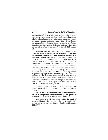man's unbelief? That which makes my heart ache is the fact that many who are now perplexed and tempted are those who have had abundance of evidence and opportunity to consider and pray and understand; and yet they do not discern the nature of the sophistries that are presented to influence them to reject the warnings God has given to save them from the delusions of these last days."—*1 Selected Messages, 31.*

"Abundant light has been given to our people in these last days. Whether or not my life is spared, my writings will constantly speak, and their work will go forward as long as time shall last. My writings are kept on file in the office, and even though I should not live, these words that have been given to me by the Lord will still have life and will speak to the people."—*1 Selected Messages, 55*.

"I thank God for the assurance of His love, and that I have daily His leading and guidance. I am very busy with my writing. Early and late, I am writing out the matters that the Lord opens before me. The burden of my work is to prepare a people to stand in the day of the Lord. The promise of Christ is sure. The time is not long. We must work and watch and wait for the Lord Jesus. We are called upon to be steadfast, unmovable, always abounding in the work of the Lord. All our hopes have their foundation in Christ."—*1 Selected Messages, 56.*

"It takes those who have trained their minds to war against the truth to manufacture quibbles."—*3 Testimonies, 37.*

"We are not to receive the words of those who come with a message that contradicts the special points of our faith."—*Counsels to Writers and Editors, 32.*

"The track of truth lies close beside the track of error, and both tracks may seem to be one to minds which are not worked by the Holy Spirit."—*1 Selected Messages, 202 (1903).*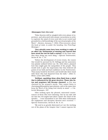"False theories will be mingled with every phase of experience, and advocated with satanic earnestness in order to captivate the mind of every soul who is not rooted and grounded in a full knowledge of the sacred principles of the Word."—*Review, January 7, 1904. (This comment, about the book of Jude, is under the heading: Our First-Page Message.)*

"Very adroitly some have been working to make of no effect the Testimonies of warning and reproof that have stood the test for half a century. At the same time, they deny doing any such thing."—*Special Testimonies, Series B, No. 7, 31.*

"Before the development of recent events, the course that would be pursued by Dr. Kellogg and his associates was plainly outlined before me. He, with others, planned how they might gain the sympathies of the people. They would seek to give the impression that they believed all points of our faith and had confidence in the *Testimonies.* Thus many would be deceived, and would take their stand with those who had departed from the faith."—*Ellen G. White, Letter 238 (1906).*

"Brilliant, sparkling ideas often flash from a mind that is influenced by the great deceiver. Those who listen and acquiesce will become charmed, as Eve was charmed by the serpent's words. They cannot listen to charming philosophical speculations, and at the same time keep the Word of the living God clearly in mind."—*1 Selected Messages, 197.*

"After looking upon the pleased, interested countenances of those who were listening, One by my side told me that the evil angels had taken captive the mind of the speaker . . I was astonished to see with what enthusiasm the sophistries and deceptive theories were received."— *Special Testimonies, Series B, No. 6, 41.*

"My soul is so greatly distressed as I see the working out of the plans of the tempter that I cannot express the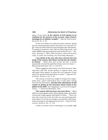agony of my mind. Is the church of God always to be confused by the devices of the accuser, when Christ's warnings are so definite, so plain?"—*Special Testimonies, Series B, No. 2, 23.*

"In the very midst of us will arise false teachers, giving heed to seducing spirits whose doctrines are of satanic origin. These teachers will draw away disciples after themselves. Creeping in unawares, they will use flattering words, and make skillful misrepresentations with seductive tact."—*Review, January 7, 1904. (This comment, about the book of Jude, is under the heading: Our First-Page Message.)*

"I am afraid of the men who have entered into the study of the science that Satan carried into the warfare in heaven . . When they once accept the bait, it seems impossible to break the spell that Satan casts over them."— *Manuscript Releases, Vol. 11, 212-213.*

"When engaged in discussion over these theories, their advocates will take words spoken to oppose them, and will make them appear to mean the very opposite of that which the speaker intended them to mean."—*Special Testimonies, Series B, No. 6, 42.*

"The enemy of souls has sought to bring in the supposition that a great reformation was to take place among Seventh-day Adventists, and that this reformation would consist in giving up the doctrines which stand as the pillars of our faith, and engaging in a process of reorganization."—*1 Selected Messages, 204.*

"The contest will wax more and more fierce . . Mind will be arrayed against mind, plans against plans, principles of heavenly origin against principles of Satan . . There are men who teach the truth, but who are not perfecting their ways before God, who are trying to conceal their defections, and encourage an estrangement from God."—*Special Testimonies, Series A, No. 11, 5-6.*

"I wish to sound a note of warning to our people nigh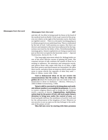## **Messages from the Lord Messages from the Lord**

and afar off. An effort is being made by those at the head of the medical work in Battle Creek to get control of the property over which, in the sight of the heavenly courts, they have no rightful control . . There is a deceptive working going on to obtain property in an underhand way. This is condemned by the law of God. I will mention no names. But there are doctors and ministers who have been influenced by the hypnotism exercised by the father of lies. Notwithstanding the warnings given, Satan's sophistries are being accepted now just as they were accepted in the heavenly courts."—*Special Testimonies, Series B, No. 7, 30.*

"The long night interviews which Dr. Kellogg holds are one of his most effective means of gaining his point. His constant stream of talk confuses the minds of those he is seeking to influence. He misstates and misquotes words, and places those who argue with him in so false a light that their powers and discernment are benumbed. He takes their words, and gives them an impress which makes them seem to mean exactly the opposite of what they said."— *Ellen G. White, Letter 259, 1904*.

"God is dishonored when we do not receive the communications that He sends us. Thus we refuse the golden oil which He would pour into our souls to be communicated to those in darkness."—*Review, February 3, 1903 (4 Bible Commentary, 1180).*

"Satan's skill is exercised in devising plans and methods without number to accomplish his purposes. He works to restrict religious liberty and to bring into the religious world a species of slavery. Organizations, institutions, unless kept by the power of God, will work under Satan's dictation to bring men under the control of men; and fraud and guile will bear the semblance of zeal for truth and for the advancement of the kingdom of God. Whatever in our practice is not as open as the day belongs to the methods of the prince of evil.

"Men fall into error by starting with false premises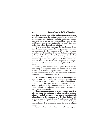and then bringing everything to bear to prove the error true. In some cases the first principles have a measure of truth interwoven with the error; but it leads to no just action; and this is why men are misled. They desire to reign and become a power, and, in the effort to justify their principles, they adopt the methods of Satan.

"If men resist the warnings the Lord sends them, they become even leaders in evil practices; such men assume to exercise the prerogatives of God—they presume to do that which God Himself will not do in seeking to control the minds of men. Thus they follow in the track of Romanism. They introduce their own methods and plans, and through their misconceptions of God they weaken the faith of others in the truth and bring in false principles that work like leaven to taint and corrupt institutions and churches.

"Anything that lowers man's conception of righteousness and equity and impartial judgment, any device or precept that brings God's human agents under the control of human minds, impairs their faith in God, and separates the soul from Him."—*7 Testimonies, 180-181.*

"The prevailing spirit of our time is that of infidelity and apostasy-a spirit of pretended illumination because of a knowledge of the truth, but in reality of the blindest presumption. There is a spirit of opposition to the plain Word of God and to the testimony of His Spirit. There is a spirit of idolatrous exaltation of mere human reason above the revealed wisdom of God.

"There are men among us in responsible positions who hold that the opinions of a few conceited philosophers, so called, are more to be trusted than the truth of the Bible, or the testimonies of the Holy Spirit. Such a faith as that of Paul, Peter, or John is considered oldfashioned and insufferable at the present day. It is pronounced absurd, mystical, and unworthy of an intelligent mind.

"God has shown me that these men are Hazaels to prove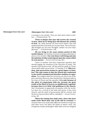#### **Messages from the Lord Messages from the Lord**

a scourge to our people. They are wise above what is written."—*5 Testimonies, 79.*

"There is danger that men will receive the counsel of men, when by so doing they will discard the counsel of God. Oh, what lessons all must learn before they will understand that God seeth not as man seeth. The Lord says: 'My thoughts are not your thoughts, neither are your ways My ways.' "—*8 Testimonies, 146.*

"We are living in the most solemn period of this world's history. The destiny of earth's teeming multitudes is about to be decided. Our own future well-being and also the salvation of other souls depend upon the course which we now pursue."—*Great Controversy, 601.*

"There is another and more important question that should engage the attention of the churches of today. The apostle Paul declares that 'all that will live godly in Christ Jesus shall suffer persecution.' 2 Timothy  $3:12$ . Why is it, then, that persecution seems in a great degree to slumber? The only reason is that the church has conformed to the world's standard and therefore awakens no opposition. The religion which is current in our day is not of the pure and holy character that marked the Christian faith in the days of Christ and His apostles. It is only because of the spirit of compromise with sin, because the great truths of the Word of God are so indifferently regarded, because there is so little vital godliness in the church, that Christianity is apparently so popular with the world. Let there be a revival of the faith and power of the early church, and the spirit of persecution will be revived, and the fires of persecution will be rekindled."—*Great Controversy, 48.*

"When the testing time shall come, those who have made God's Word their rule of life will be revealed. In summer there is no noticeable difference between evergreens and other trees; but when the blasts of winter come, the evergreens remain unchanged, while other trees are stripped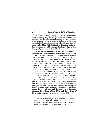of their foliage. So the falsehearted professor may not now be distinguished from the real Christian, but the time is just upon us when the difference will be apparent. Let opposition arise, let bigotry and intolerance again bear sway, let persecution be kindled, and the halfhearted and hypocritical will waver and yield the faith; but the true Christian will stand firm as a rock, his faith stronger, his hope brighter, than in days of prosperity."—*Great Controversy, 602.*

"From the very beginning of the great controversy in heaven it has been Satan's purpose to overthrow the law of God. It was to accomplish this that he entered upon his rebellion against the Creator, and though he was cast out of heaven he has continued the same warfare upon the earth. To deceive men, and thus lead them to transgress God's law, is the object which he has steadfastly pursued. Whether this be accomplished by casting aside the law altogether, or by rejecting one of its precepts, the result will be ultimately the same. He that offends 'in one point,' manifests contempt for the whole law; his influence and example are on the side of transgression; he becomes 'guilty of all.' James 2:10.

"In seeking to cast contempt upon the divine statutes, Satan has perverted the doctrines of the Bible, and errors have thus become incorporated into the faith of thousands who profess to believe the Scriptures. The last great conflict between truth and error is but the final struggle of the long-standing controversy concerning the law of God. Upon this battle we are now entering—a battle between the laws of men and the precepts of Jehovah, between the religion of the Bible and the religion of fable and tradition."—*Great Controversy, 582.*

"In the darkest days, when appearances seem so forbidding, fear not. Have faith in God . . The strength of those who love and serve Him will be renewed day by day."— 8 Testimonies, 10-11.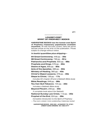# *——————————* **LOWEST-COST SPIRIT OF PROPHECY BOOKS**

**HARVESTIME BOOKS has the lowest-cost Spirit of Prophecy missionary paperbacks available anywhere.** All with full-color covers. Here are some sample prices at the time of this publication. Prices subject to change without notice.

**In boxful quantities plus shipping— 84 Great Controversy**, 448 pp. - **35¢ 88 Great Controversy**, 736 pp. - **55 ¢ Patriarchs and Prophets**. 800 pp. - **88¢ Prophets and Kings**, 576 pp. - **65¢ Desire of Ages**, 856 pp. - **80¢ Acts of the Apostles**, 488 pp. - **60¢ Ministry of Healing**, 360 pp. - **40¢ Christ's Object Lessons**, 376 pp. - **39¢ Steps to Christ**, 128 pp. - **17¢** Includes GC chapter 29 and a Sabbath Bible study **Bible Readings**, 648 pp. - **88¢ You Can Quit Tobacco**, 104 pp. - **22¢** Includes a Sabbath Bible study **Beyond Pitcairn**, 256 pp. - **30¢** A complete book about the Sabbath **National Sunday Law Crisis**, 112 pp. - **20¢ Prophet of the End**, 224 pp. - **28¢** Complete introduction to the Spirit of Prophecy

— Plus over a dozen more outstanding missionary books!

**HARVESTIME BOOKS - BOX 300 - ALTAMONT, TN 37301 CREDIT CARD ORDERS: 931-692-2777**